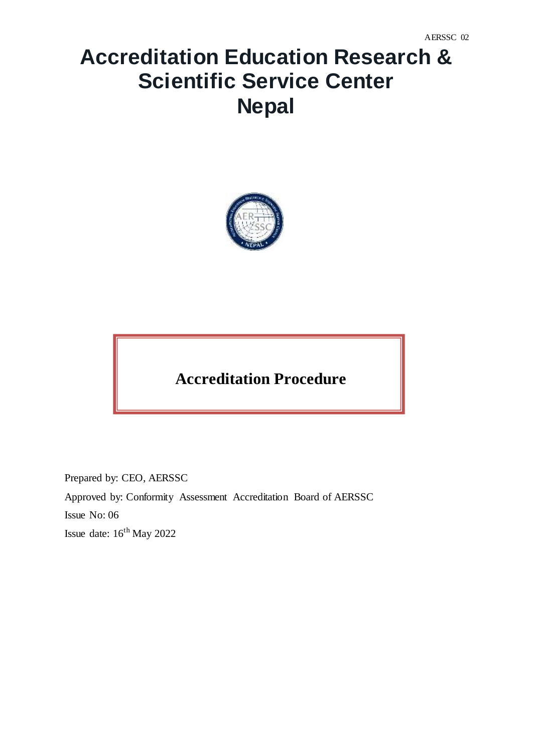# **Accreditation Education Research & Scientific Service Center Nepal**



# **Accreditation Procedure**

Prepared by: CEO, AERSSC Approved by: Conformity Assessment Accreditation Board of AERSSC Issue No: 06 Issue date:  $16^{th}$  May 2022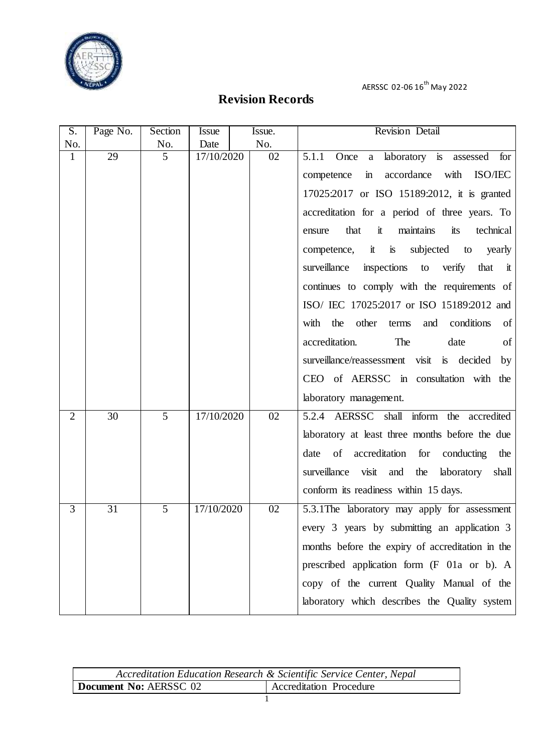

## **Revision Records**

<span id="page-1-0"></span>

| S.             | Page No. | Section        | <b>Issue</b> | Issue. | Revision Detail                                                  |
|----------------|----------|----------------|--------------|--------|------------------------------------------------------------------|
| No.            |          | No.            | Date         | No.    |                                                                  |
| $\mathbf{1}$   | 29       | 5              | 17/10/2020   | 02     | laboratory is assessed for<br>5.1.1<br>Once<br>a                 |
|                |          |                |              |        | accordance with<br><b>ISO/IEC</b><br>$\mathbf{in}$<br>competence |
|                |          |                |              |        | 17025:2017 or ISO 15189:2012, it is granted                      |
|                |          |                |              |        | accreditation for a period of three years. To                    |
|                |          |                |              |        | maintains<br>technical<br>that<br>$\mathbf{i}$<br>its<br>ensure  |
|                |          |                |              |        | subjected to<br>competence, it is<br>yearly                      |
|                |          |                |              |        | inspections<br>verify<br>surveillance<br>to<br>that<br>$\dot{a}$ |
|                |          |                |              |        | continues to comply with the requirements of                     |
|                |          |                |              |        | ISO/ IEC 17025:2017 or ISO 15189:2012 and                        |
|                |          |                |              |        | conditions<br>with<br>the<br>other<br>of<br>terms<br>and         |
|                |          |                |              |        | accreditation.<br>The<br>date<br>of                              |
|                |          |                |              |        | surveillance/reassessment visit is decided<br>by                 |
|                |          |                |              |        | CEO of AERSSC in consultation with the                           |
|                |          |                |              |        | laboratory management.                                           |
| $\overline{2}$ | 30       | 5              | 17/10/2020   | 02     | 5.2.4 AERSSC shall inform the accredited                         |
|                |          |                |              |        | laboratory at least three months before the due                  |
|                |          |                |              |        | of<br>accreditation for<br>conducting<br>date<br>the             |
|                |          |                |              |        | surveillance<br>visit<br>and<br>the<br>laboratory<br>shall       |
|                |          |                |              |        | conform its readiness within 15 days.                            |
| $\overline{3}$ | 31       | $\overline{5}$ | 17/10/2020   | 02     | 5.3.1The laboratory may apply for assessment                     |
|                |          |                |              |        | every 3 years by submitting an application 3                     |
|                |          |                |              |        | months before the expiry of accreditation in the                 |
|                |          |                |              |        | prescribed application form (F 01a or b). A                      |
|                |          |                |              |        | copy of the current Quality Manual of the                        |
|                |          |                |              |        | laboratory which describes the Quality system                    |

| Accreditation Education Research & Scientific Service Center, Nepal |                                |
|---------------------------------------------------------------------|--------------------------------|
| <b>Document No: AERSSC 02</b>                                       | <b>Accreditation Procedure</b> |
|                                                                     |                                |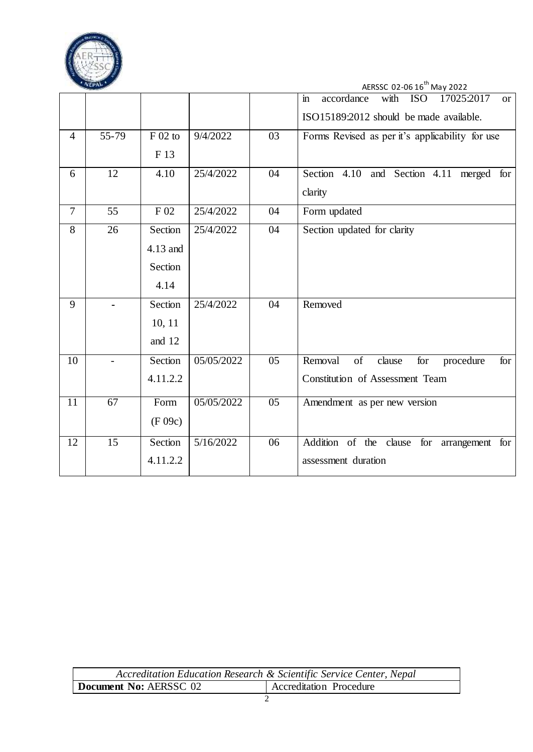

|                | ' NEPAL' |                 |            |                 | AERSSC 02-06 16 <sup>th</sup> May 2022                                      |
|----------------|----------|-----------------|------------|-----------------|-----------------------------------------------------------------------------|
|                |          |                 |            |                 | $\mathbf{m}$<br>17025:2017<br>accordance<br>with<br><b>ISO</b><br><b>or</b> |
|                |          |                 |            |                 | ISO15189:2012 should be made available.                                     |
| $\overline{4}$ | 55-79    | $F_{02}$ to     | 9/4/2022   | 03              | Forms Revised as per it's applicability for use                             |
|                |          | F 13            |            |                 |                                                                             |
| 6              | 12       | 4.10            | 25/4/2022  | 04              | Section 4.10<br>and Section 4.11 merged for                                 |
|                |          |                 |            |                 | clarity                                                                     |
| $\overline{7}$ | 55       | F <sub>02</sub> | 25/4/2022  | 04              | Form updated                                                                |
| 8              | 26       | Section         | 25/4/2022  | 04              | Section updated for clarity                                                 |
|                |          | 4.13 and        |            |                 |                                                                             |
|                |          | Section         |            |                 |                                                                             |
|                |          | 4.14            |            |                 |                                                                             |
| 9              |          | Section         | 25/4/2022  | 04              | Removed                                                                     |
|                |          | 10, 11          |            |                 |                                                                             |
|                |          | and 12          |            |                 |                                                                             |
| 10             |          | Section         | 05/05/2022 | 05              | Removal<br>of<br>for<br>for<br>clause<br>procedure                          |
|                |          | 4.11.2.2        |            |                 | <b>Constitution of Assessment Team</b>                                      |
| 11             | 67       | Form            | 05/05/2022 | $\overline{05}$ | Amendment as per new version                                                |
|                |          | (F 09c)         |            |                 |                                                                             |
| 12             | 15       | Section         | 5/16/2022  | 06              | Addition of the clause<br>for<br>arrangement<br>for                         |
|                |          | 4.11.2.2        |            |                 | assessment duration                                                         |
|                |          |                 |            |                 |                                                                             |

| Accreditation Education Research & Scientific Service Center, Nepal |                                |  |
|---------------------------------------------------------------------|--------------------------------|--|
| Document No: AERSSC 02                                              | <b>Accreditation Procedure</b> |  |
|                                                                     |                                |  |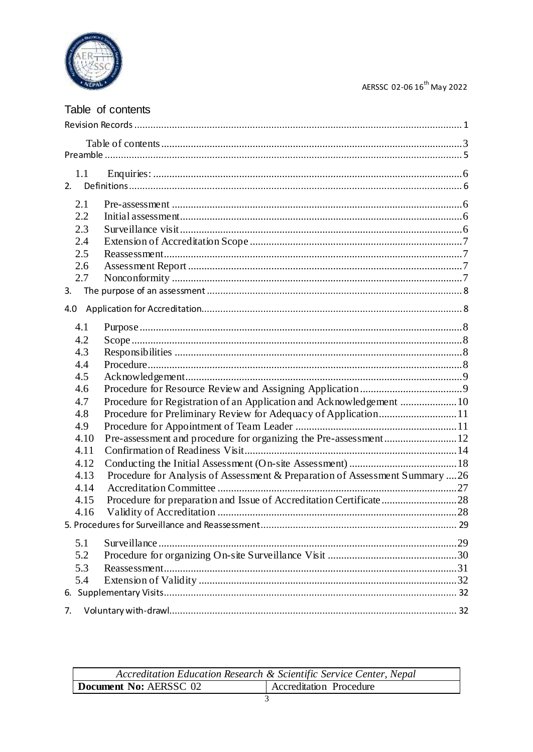

## <span id="page-3-0"></span>Table of contents

| 1.1  |                                                                             |  |  |  |
|------|-----------------------------------------------------------------------------|--|--|--|
| 2.   |                                                                             |  |  |  |
| 2.1  |                                                                             |  |  |  |
| 2.2  |                                                                             |  |  |  |
| 2.3  |                                                                             |  |  |  |
| 2.4  |                                                                             |  |  |  |
| 2.5  |                                                                             |  |  |  |
| 2.6  |                                                                             |  |  |  |
| 2.7  |                                                                             |  |  |  |
| 3.   |                                                                             |  |  |  |
| 4.0  |                                                                             |  |  |  |
| 4.1  |                                                                             |  |  |  |
| 4.2  |                                                                             |  |  |  |
| 4.3  |                                                                             |  |  |  |
| 4.4  |                                                                             |  |  |  |
| 4.5  |                                                                             |  |  |  |
| 4.6  |                                                                             |  |  |  |
| 4.7  | Procedure for Registration of an Application and Acknowledgement  10        |  |  |  |
| 4.8  | Procedure for Preliminary Review for Adequacy of Application11              |  |  |  |
| 4.9  |                                                                             |  |  |  |
| 4.10 |                                                                             |  |  |  |
| 4.11 |                                                                             |  |  |  |
| 4.12 |                                                                             |  |  |  |
| 4.13 | Procedure for Analysis of Assessment & Preparation of Assessment Summary 26 |  |  |  |
| 4.14 |                                                                             |  |  |  |
| 4.15 |                                                                             |  |  |  |
| 4.16 |                                                                             |  |  |  |
|      |                                                                             |  |  |  |
| 5.1  |                                                                             |  |  |  |
| 5.2  |                                                                             |  |  |  |
| 5.3  |                                                                             |  |  |  |
| 5.4  |                                                                             |  |  |  |
|      |                                                                             |  |  |  |
| 7.   |                                                                             |  |  |  |

| Accreditation Education Research & Scientific Service Center, Nepal |                                |  |
|---------------------------------------------------------------------|--------------------------------|--|
| Document No: AERSSC 02                                              | <b>Accreditation Procedure</b> |  |
|                                                                     |                                |  |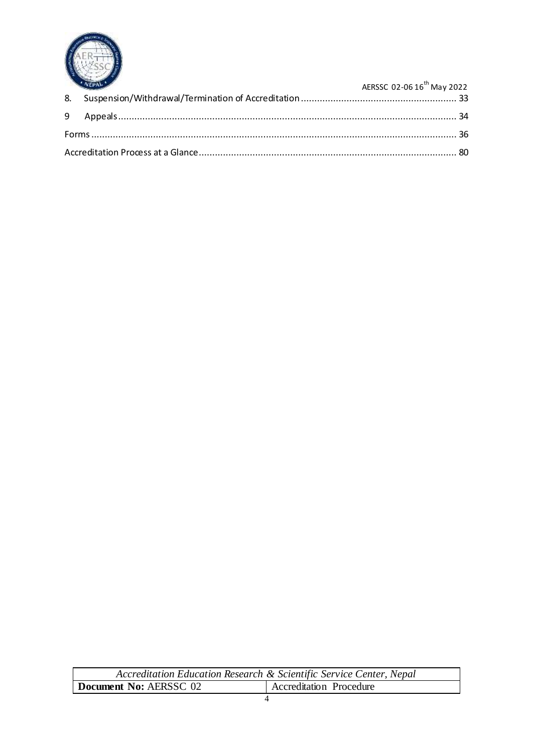

| NEPAL <sup>1</sup> | AERSSC 02-06 16 <sup>th</sup> May 2022 |
|--------------------|----------------------------------------|
|                    |                                        |
|                    |                                        |
|                    |                                        |
|                    |                                        |

| Accreditation Education Research & Scientific Service Center, Nepal |                         |  |
|---------------------------------------------------------------------|-------------------------|--|
| Document No: AERSSC 02                                              | Accreditation Procedure |  |
|                                                                     |                         |  |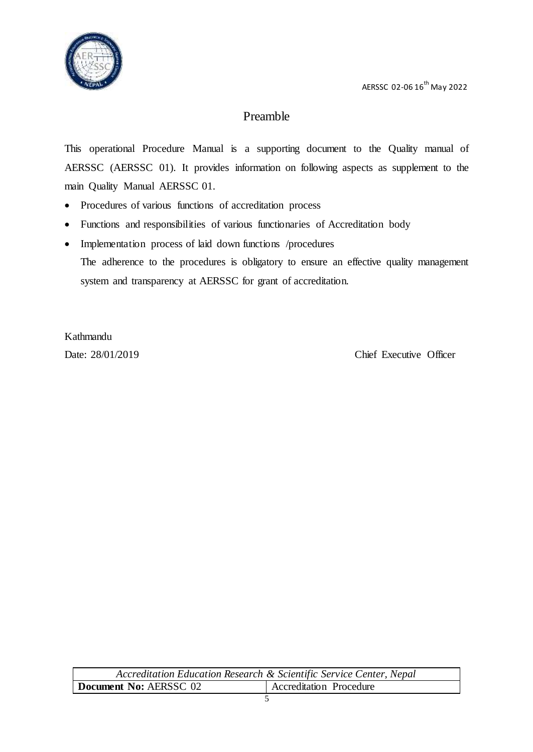

## Preamble

<span id="page-5-0"></span>This operational Procedure Manual is a supporting document to the Quality manual of AERSSC (AERSSC 01). It provides information on following aspects as supplement to the main Quality Manual AERSSC 01.

- Procedures of various functions of accreditation process
- Functions and responsibilities of various functionaries of Accreditation body
- Implementation process of laid down functions /procedures The adherence to the procedures is obligatory to ensure an effective quality management system and transparency at AERSSC for grant of accreditation.

## Kathmandu

Date: 28/01/2019 Chief Executive Officer

| Accreditation Education Research & Scientific Service Center, Nepal |                                |  |
|---------------------------------------------------------------------|--------------------------------|--|
| <b>Document No: AERSSC 02</b>                                       | <b>Accreditation Procedure</b> |  |
|                                                                     |                                |  |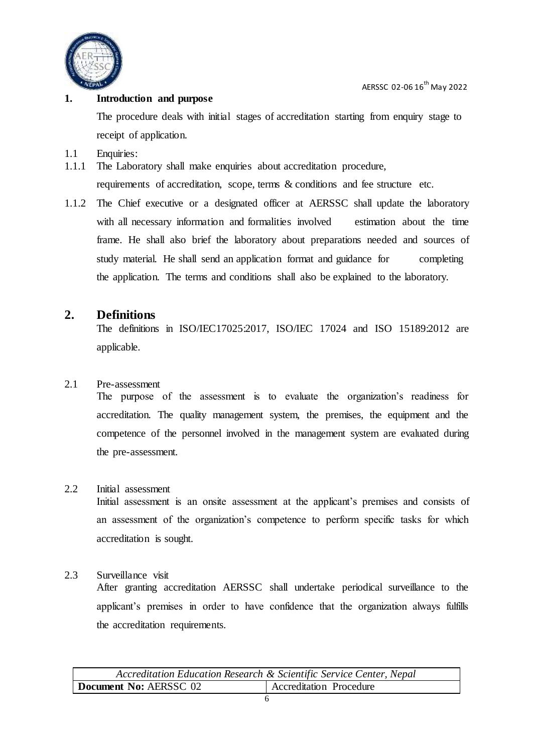

### **1. Introduction and purpose**

The procedure deals with initial stages of accreditation starting from enquiry stage to receipt of application.

- <span id="page-6-0"></span>1.1 Enquiries:
- 1.1.1 The Laboratory shall make enquiries about accreditation procedure, requirements of accreditation, scope, terms & conditions and fee structure etc.
- 1.1.2 The Chief executive or a designated officer at AERSSC shall update the laboratory with all necessary information and formalities involved estimation about the time frame. He shall also brief the laboratory about preparations needed and sources of study material. He shall send an application format and guidance for completing the application. The terms and conditions shall also be explained to the laboratory.

## <span id="page-6-1"></span>**2. Definitions**

The definitions in ISO/IEC17025:2017, ISO/IEC 17024 and ISO 15189:2012 are applicable.

## <span id="page-6-2"></span>2.1 Pre-assessment

The purpose of the assessment is to evaluate the organization"s readiness for accreditation. The quality management system, the premises, the equipment and the competence of the personnel involved in the management system are evaluated during the pre-assessment.

#### <span id="page-6-3"></span>2.2 Initial assessment

Initial assessment is an onsite assessment at the applicant's premises and consists of an assessment of the organization's competence to perform specific tasks for which accreditation is sought.

#### <span id="page-6-4"></span>2.3 Surveillance visit

After granting accreditation AERSSC shall undertake periodical surveillance to the applicant"s premises in order to have confidence that the organization always fulfills the accreditation requirements.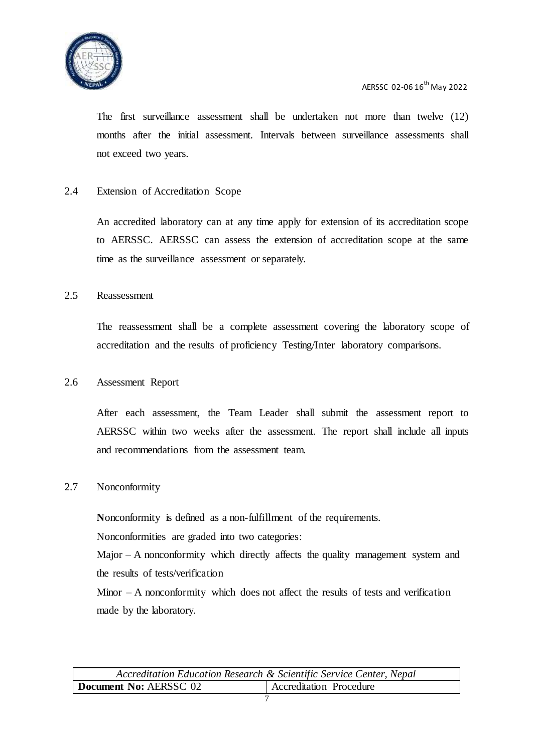

The first surveillance assessment shall be undertaken not more than twelve (12) months after the initial assessment. Intervals between surveillance assessments shall not exceed two years.

## <span id="page-7-0"></span>2.4 Extension of Accreditation Scope

An accredited laboratory can at any time apply for extension of its accreditation scope to AERSSC. AERSSC can assess the extension of accreditation scope at the same time as the surveillance assessment or separately.

### <span id="page-7-1"></span>2.5 Reassessment

The reassessment shall be a complete assessment covering the laboratory scope of accreditation and the results of proficiency Testing/Inter laboratory comparisons.

## <span id="page-7-2"></span>2.6 Assessment Report

After each assessment, the Team Leader shall submit the assessment report to AERSSC within two weeks after the assessment. The report shall include all inputs and recommendations from the assessment team.

## <span id="page-7-3"></span>2.7 Nonconformity

**N**onconformity is defined as a non-fulfillment of the requirements.

Nonconformities are graded into two categories:

Major  $- A$  nonconformity which directly affects the quality management system and the results of tests/verification

Minor  $- A$  nonconformity which does not affect the results of tests and verification made by the laboratory.

| Accreditation Education Research & Scientific Service Center, Nepal |                         |
|---------------------------------------------------------------------|-------------------------|
| <b>Document No: AERSSC 02</b>                                       | Accreditation Procedure |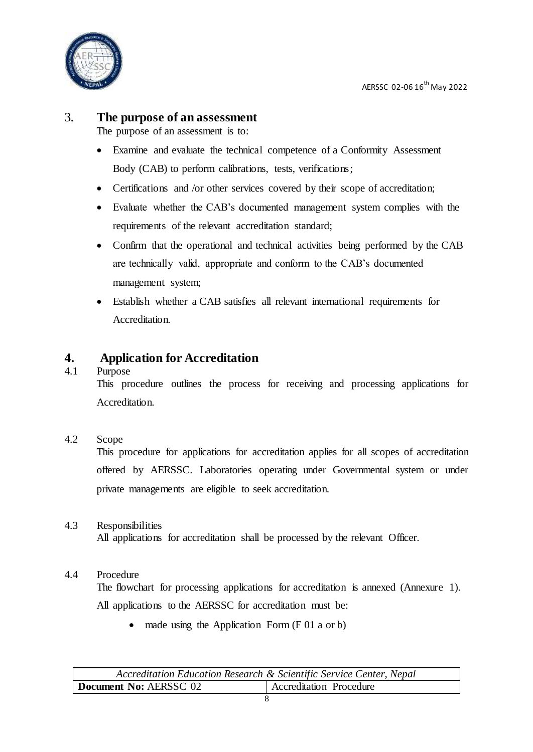



## <span id="page-8-0"></span>3. **The purpose of an assessment**

The purpose of an assessment is to:

- Examine and evaluate the technical competence of a Conformity Assessment Body (CAB) to perform calibrations, tests, verifications;
- Certifications and /or other services covered by their scope of accreditation;
- Evaluate whether the CAB"s documented management system complies with the requirements of the relevant accreditation standard;
- Confirm that the operational and technical activities being performed by the CAB are technically valid, appropriate and conform to the CAB"s documented management system;
- Establish whether a CAB satisfies all relevant international requirements for Accreditation.

## <span id="page-8-1"></span>**4. Application for Accreditation**

## <span id="page-8-2"></span>4.1 Purpose

This procedure outlines the process for receiving and processing applications for Accreditation.

<span id="page-8-3"></span>4.2 Scope

This procedure for applications for accreditation applies for all scopes of accreditation offered by AERSSC. Laboratories operating under Governmental system or under private managements are eligible to seek accreditation.

## <span id="page-8-4"></span>4.3 Responsibilities

All applications for accreditation shall be processed by the relevant Officer.

## <span id="page-8-5"></span>4.4 Procedure

The flowchart for processing applications for accreditation is annexed (Annexure 1). All applications to the AERSSC for accreditation must be:

• made using the Application Form (F 01 a or b)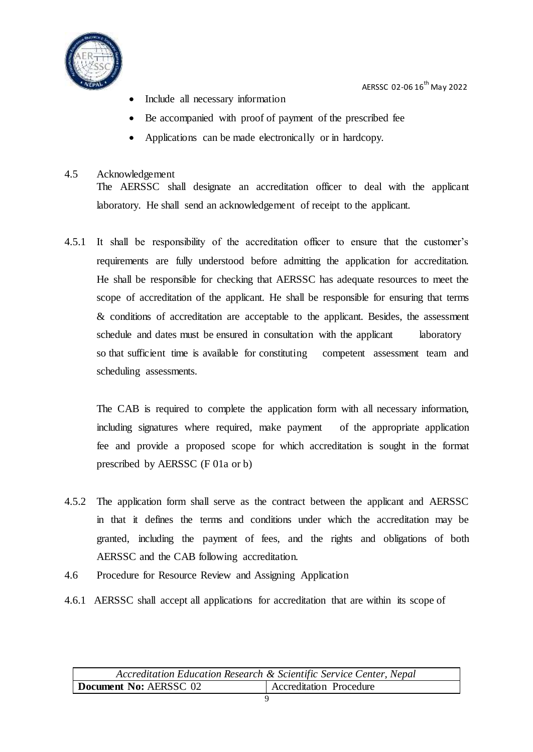

- Include all necessary information
- Be accompanied with proof of payment of the prescribed fee
- Applications can be made electronically or in hardcopy.
- <span id="page-9-0"></span>4.5 Acknowledgement

The AERSSC shall designate an accreditation officer to deal with the applicant laboratory. He shall send an acknowledgement of receipt to the applicant.

4.5.1 It shall be responsibility of the accreditation officer to ensure that the customer"s requirements are fully understood before admitting the application for accreditation. He shall be responsible for checking that AERSSC has adequate resources to meet the scope of accreditation of the applicant. He shall be responsible for ensuring that terms & conditions of accreditation are acceptable to the applicant. Besides, the assessment schedule and dates must be ensured in consultation with the applicant laboratory so that sufficient time is available for constituting competent assessment team and scheduling assessments.

The CAB is required to complete the application form with all necessary information, including signatures where required, make payment of the appropriate application fee and provide a proposed scope for which accreditation is sought in the format prescribed by AERSSC (F 01a or b)

- 4.5.2 The application form shall serve as the contract between the applicant and AERSSC in that it defines the terms and conditions under which the accreditation may be granted, including the payment of fees, and the rights and obligations of both AERSSC and the CAB following accreditation.
- <span id="page-9-1"></span>4.6 Procedure for Resource Review and Assigning Application
- 4.6.1 AERSSC shall accept all applications for accreditation that are within its scope of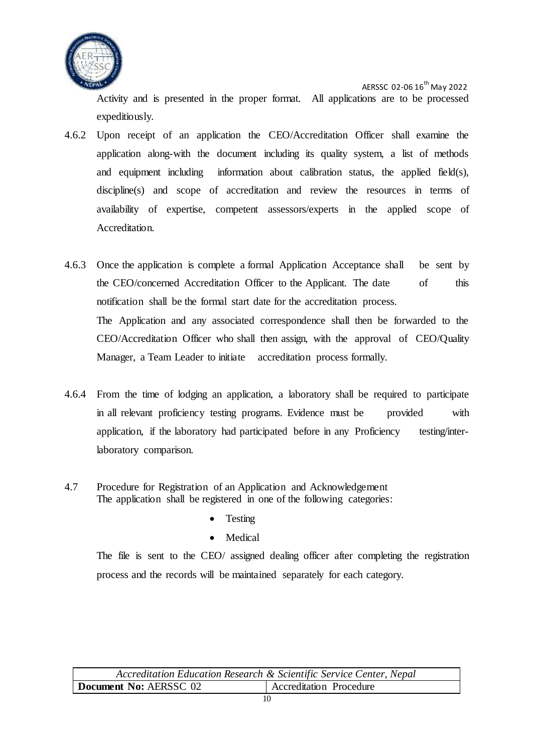

Activity and is presented in the proper format. All applications are to be processed expeditiously.

- 4.6.2 Upon receipt of an application the CEO/Accreditation Officer shall examine the application along-with the document including its quality system, a list of methods and equipment including information about calibration status, the applied field(s), discipline(s) and scope of accreditation and review the resources in terms of availability of expertise, competent assessors/experts in the applied scope of Accreditation.
- 4.6.3 Once the application is complete a formal Application Acceptance shall be sent by the CEO/concerned Accreditation Officer to the Applicant. The date of this notification shall be the formal start date for the accreditation process. The Application and any associated correspondence shall then be forwarded to the CEO/Accreditation Officer who shall then assign, with the approval of CEO/Quality Manager, a Team Leader to initiate accreditation process formally.
- 4.6.4 From the time of lodging an application, a laboratory shall be required to participate in all relevant proficiency testing programs. Evidence must be provided with application, if the laboratory had participated before in any Proficiency testing/interlaboratory comparison.
- <span id="page-10-0"></span>4.7 Procedure for Registration of an Application and Acknowledgement The application shall be registered in one of the following categories:
	- Testing
	- Medical

The file is sent to the CEO/ assigned dealing officer after completing the registration process and the records will be maintained separately for each category.

| Accreditation Education Research & Scientific Service Center, Nepal |                         |
|---------------------------------------------------------------------|-------------------------|
| Document No: AERSSC 02                                              | Accreditation Procedure |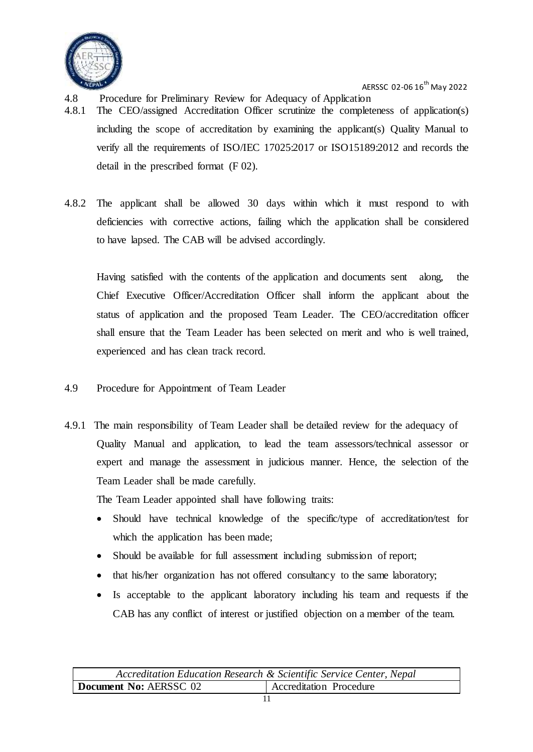

- <span id="page-11-0"></span>4.8 Procedure for Preliminary Review for Adequacy of Application
- 4.8.1 The CEO/assigned Accreditation Officer scrutinize the completeness of application(s) including the scope of accreditation by examining the applicant(s) Quality Manual to verify all the requirements of ISO/IEC 17025:2017 or ISO15189:2012 and records the detail in the prescribed format (F 02).
- 4.8.2 The applicant shall be allowed 30 days within which it must respond to with deficiencies with corrective actions, failing which the application shall be considered to have lapsed. The CAB will be advised accordingly.

Having satisfied with the contents of the application and documents sent along, the Chief Executive Officer/Accreditation Officer shall inform the applicant about the status of application and the proposed Team Leader. The CEO/accreditation officer shall ensure that the Team Leader has been selected on merit and who is well trained, experienced and has clean track record.

- <span id="page-11-1"></span>4.9 Procedure for Appointment of Team Leader
- 4.9.1 The main responsibility of Team Leader shall be detailed review for the adequacy of Quality Manual and application, to lead the team assessors/technical assessor or expert and manage the assessment in judicious manner. Hence, the selection of the Team Leader shall be made carefully.

The Team Leader appointed shall have following traits:

- Should have technical knowledge of the specific/type of accreditation/test for which the application has been made;
- Should be available for full assessment including submission of report;
- that his/her organization has not offered consultancy to the same laboratory;
- Is acceptable to the applicant laboratory including his team and requests if the CAB has any conflict of interest or justified objection on a member of the team.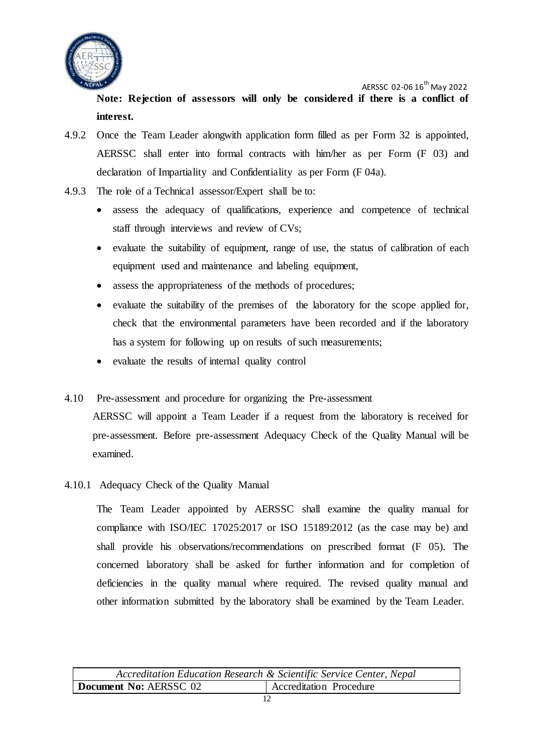

**Note: Rejection of assessors will only be considered if there is a conflict of interest.**

- 4.9.2 Once the Team Leader alongwith application form filled as per Form 32 is appointed, AERSSC shall enter into formal contracts with him/her as per Form (F 03) and declaration of Impartiality and Confidentiality as per Form (F 04a).
- 4.9.3 The role of a Technical assessor/Expert shall be to:
	- assess the adequacy of qualifications, experience and competence of technical staff through interviews and review of CVs;
	- evaluate the suitability of equipment, range of use, the status of calibration of each equipment used and maintenance and labeling equipment,
	- assess the appropriateness of the methods of procedures;
	- evaluate the suitability of the premises of the laboratory for the scope applied for, check that the environmental parameters have been recorded and if the laboratory has a system for following up on results of such measurements;
	- evaluate the results of internal quality control
- <span id="page-12-0"></span>4.10 Pre-assessment and procedure for organizing the Pre-assessment

AERSSC will appoint a Team Leader if a request from the laboratory is received for pre-assessment. Before pre-assessment Adequacy Check of the Quality Manual will be examined.

4.10.1 Adequacy Check of the Quality Manual

The Team Leader appointed by AERSSC shall examine the quality manual for compliance with ISO/IEC 17025:2017 or ISO 15189:2012 (as the case may be) and shall provide his observations/recommendations on prescribed format (F 05). The concerned laboratory shall be asked for further information and for completion of deficiencies in the quality manual where required. The revised quality manual and other information submitted by the laboratory shall be examined by the Team Leader.

| Accreditation Education Research & Scientific Service Center, Nepal |                         |
|---------------------------------------------------------------------|-------------------------|
| Document No: AERSSC 02                                              | Accreditation Procedure |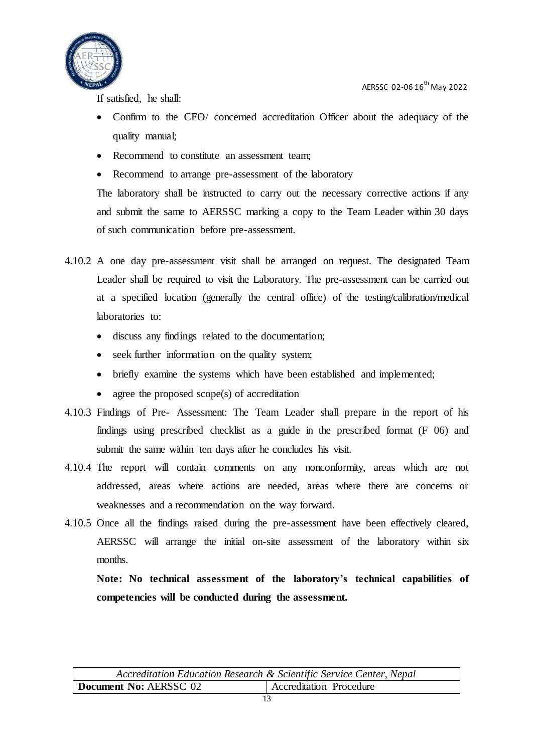

If satisfied, he shall:

- Confirm to the CEO/ concerned accreditation Officer about the adequacy of the quality manual;
- Recommend to constitute an assessment team;
- Recommend to arrange pre-assessment of the laboratory

The laboratory shall be instructed to carry out the necessary corrective actions if any and submit the same to AERSSC marking a copy to the Team Leader within 30 days of such communication before pre-assessment.

- 4.10.2 A one day pre-assessment visit shall be arranged on request. The designated Team Leader shall be required to visit the Laboratory. The pre-assessment can be carried out at a specified location (generally the central office) of the testing/calibration/medical laboratories to:
	- discuss any findings related to the documentation;
	- seek further information on the quality system;
	- briefly examine the systems which have been established and implemented;
	- agree the proposed scope(s) of accreditation
- 4.10.3 Findings of Pre- Assessment: The Team Leader shall prepare in the report of his findings using prescribed checklist as a guide in the prescribed format (F 06) and submit the same within ten days after he concludes his visit.
- 4.10.4 The report will contain comments on any nonconformity, areas which are not addressed, areas where actions are needed, areas where there are concerns or weaknesses and a recommendation on the way forward.
- 4.10.5 Once all the findings raised during the pre-assessment have been effectively cleared, AERSSC will arrange the initial on-site assessment of the laboratory within six months.

**Note: No technical assessment of the laboratory's technical capabilities of competencies will be conducted during the assessment.**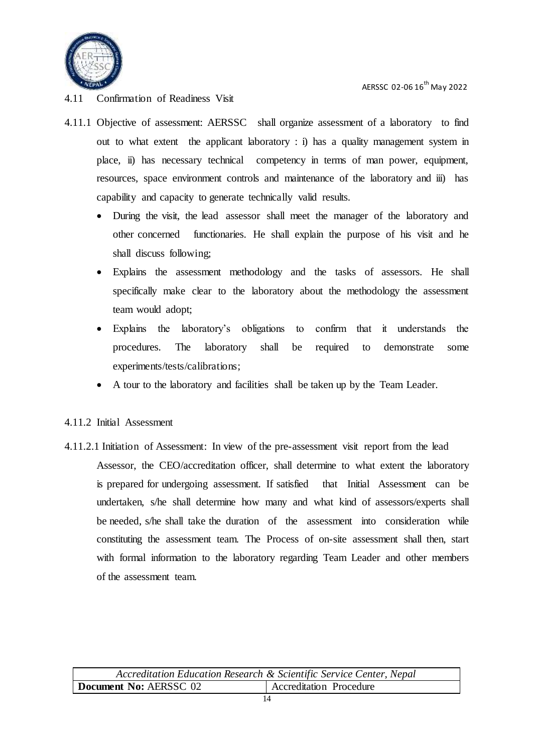

## <span id="page-14-0"></span>4.11 Confirmation of Readiness Visit

- 4.11.1 Objective of assessment: AERSSC shall organize assessment of a laboratory to find out to what extent the applicant laboratory : i) has a quality management system in place, ii) has necessary technical competency in terms of man power, equipment, resources, space environment controls and maintenance of the laboratory and iii) has capability and capacity to generate technically valid results.
	- During the visit, the lead assessor shall meet the manager of the laboratory and other concerned functionaries. He shall explain the purpose of his visit and he shall discuss following;
	- Explains the assessment methodology and the tasks of assessors. He shall specifically make clear to the laboratory about the methodology the assessment team would adopt;
	- Explains the laboratory"s obligations to confirm that it understands the procedures. The laboratory shall be required to demonstrate some experiments/tests/calibrations;
	- A tour to the laboratory and facilities shall be taken up by the Team Leader.

#### 4.11.2 Initial Assessment

4.11.2.1 Initiation of Assessment: In view of the pre-assessment visit report from the lead Assessor, the CEO/accreditation officer, shall determine to what extent the laboratory is prepared for undergoing assessment. If satisfied that Initial Assessment can be undertaken, s/he shall determine how many and what kind of assessors/experts shall be needed, s/he shall take the duration of the assessment into consideration while constituting the assessment team. The Process of on-site assessment shall then, start with formal information to the laboratory regarding Team Leader and other members of the assessment team.

| Accreditation Education Research & Scientific Service Center, Nepal |                                |
|---------------------------------------------------------------------|--------------------------------|
| <b>Document No: AERSSC 02</b>                                       | <b>Accreditation Procedure</b> |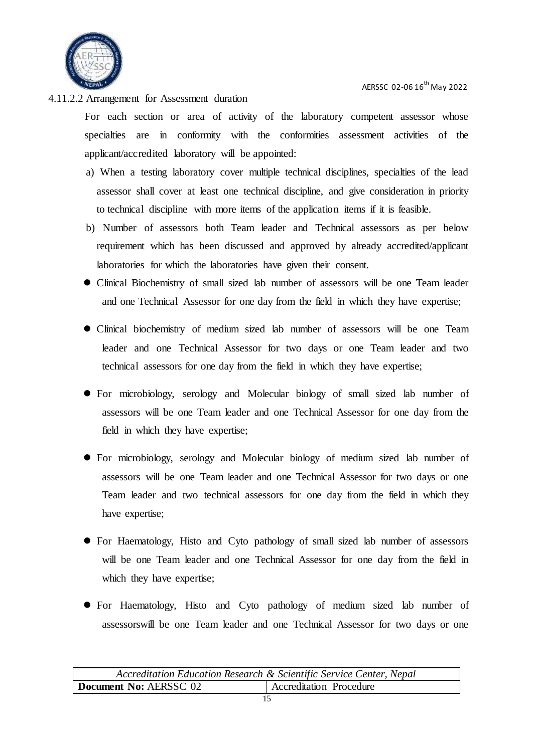

4.11.2.2 Arrangement for Assessment duration

For each section or area of activity of the laboratory competent assessor whose specialties are in conformity with the conformities assessment activities of the applicant/accredited laboratory will be appointed:

- a) When a testing laboratory cover multiple technical disciplines, specialties of the lead assessor shall cover at least one technical discipline, and give consideration in priority to technical discipline with more items of the application items if it is feasible.
- b) Number of assessors both Team leader and Technical assessors as per below requirement which has been discussed and approved by already accredited/applicant laboratories for which the laboratories have given their consent.
- Clinical Biochemistry of small sized lab number of assessors will be one Team leader and one Technical Assessor for one day from the field in which they have expertise;
- Clinical biochemistry of medium sized lab number of assessors will be one Team leader and one Technical Assessor for two days or one Team leader and two technical assessors for one day from the field in which they have expertise;
- For microbiology, serology and Molecular biology of small sized lab number of assessors will be one Team leader and one Technical Assessor for one day from the field in which they have expertise;
- For microbiology, serology and Molecular biology of medium sized lab number of assessors will be one Team leader and one Technical Assessor for two days or one Team leader and two technical assessors for one day from the field in which they have expertise;
- For Haematology, Histo and Cyto pathology of small sized lab number of assessors will be one Team leader and one Technical Assessor for one day from the field in which they have expertise;
- For Haematology, Histo and Cyto pathology of medium sized lab number of assessorswill be one Team leader and one Technical Assessor for two days or one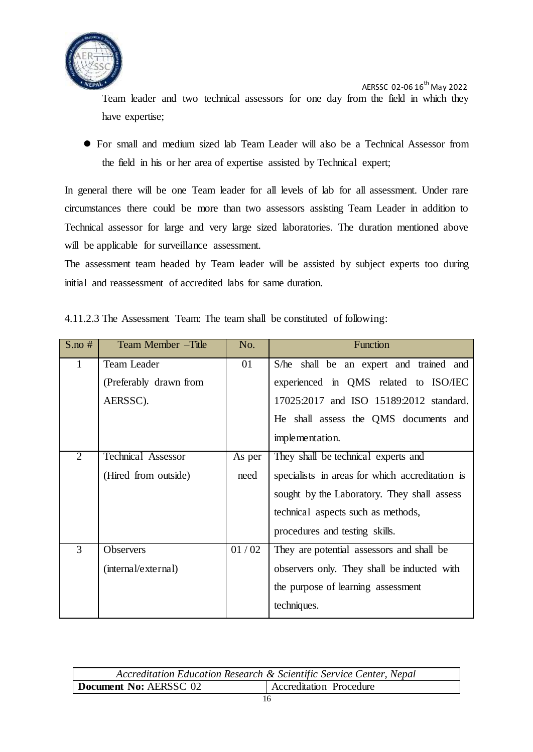

Team leader and two technical assessors for one day from the field in which they have expertise;

 For small and medium sized lab Team Leader will also be a Technical Assessor from the field in his or her area of expertise assisted by Technical expert;

In general there will be one Team leader for all levels of lab for all assessment. Under rare circumstances there could be more than two assessors assisting Team Leader in addition to Technical assessor for large and very large sized laboratories. The duration mentioned above will be applicable for surveillance assessment.

The assessment team headed by Team leader will be assisted by subject experts too during initial and reassessment of accredited labs for same duration.

| $S.no$ #       | Team Member - Title       | No.    | Function                                        |
|----------------|---------------------------|--------|-------------------------------------------------|
| $\mathbf{1}$   | Team Leader               | 01     | S/he shall be an expert and trained and         |
|                | (Preferably drawn from    |        | experienced in QMS related to ISO/IEC           |
|                | AERSSC).                  |        | 17025:2017 and ISO 15189:2012 standard.         |
|                |                           |        | He shall assess the QMS documents and           |
|                |                           |        | implementation.                                 |
| $\overline{2}$ | <b>Technical Assessor</b> | As per | They shall be technical experts and             |
|                | (Hired from outside)      | need   | specialists in areas for which accreditation is |
|                |                           |        | sought by the Laboratory. They shall assess     |
|                |                           |        | technical aspects such as methods,              |
|                |                           |        | procedures and testing skills.                  |
| 3              | <b>Observers</b>          | 01/02  | They are potential assessors and shall be       |
|                | (internal/external)       |        | observers only. They shall be inducted with     |
|                |                           |        | the purpose of learning assessment              |
|                |                           |        | techniques.                                     |

4.11.2.3 The Assessment Team: The team shall be constituted of following:

| Accreditation Education Research & Scientific Service Center, Nepal |                         |
|---------------------------------------------------------------------|-------------------------|
| Document No: AERSSC 02                                              | Accreditation Procedure |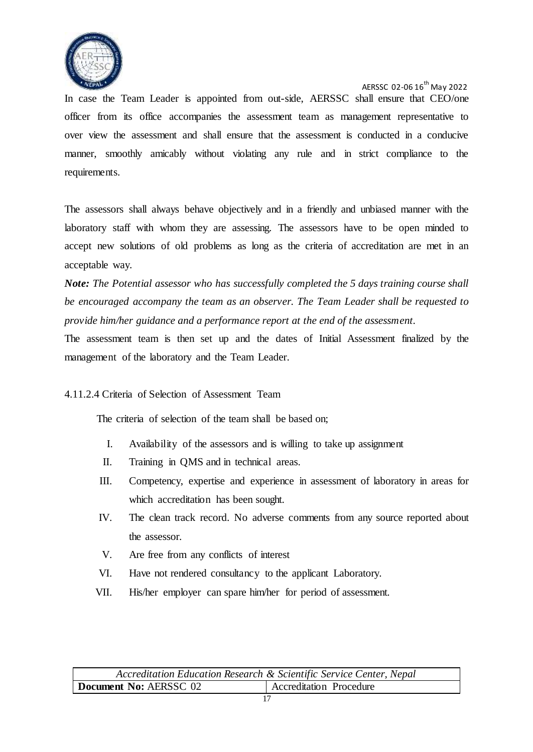

In case the Team Leader is appointed from out-side, AERSSC shall ensure that CEO/one officer from its office accompanies the assessment team as management representative to over view the assessment and shall ensure that the assessment is conducted in a conducive manner, smoothly amicably without violating any rule and in strict compliance to the requirements.

The assessors shall always behave objectively and in a friendly and unbiased manner with the laboratory staff with whom they are assessing. The assessors have to be open minded to accept new solutions of old problems as long as the criteria of accreditation are met in an acceptable way.

*Note: The Potential assessor who has successfully completed the 5 days training course shall be encouraged accompany the team as an observer. The Team Leader shall be requested to provide him/her guidance and a performance report at the end of the assessment.* 

The assessment team is then set up and the dates of Initial Assessment finalized by the management of the laboratory and the Team Leader.

## 4.11.2.4 Criteria of Selection of Assessment Team

The criteria of selection of the team shall be based on;

- I. Availability of the assessors and is willing to take up assignment
- II. Training in QMS and in technical areas.
- III. Competency, expertise and experience in assessment of laboratory in areas for which accreditation has been sought.
- IV. The clean track record. No adverse comments from any source reported about the assessor.
- V. Are free from any conflicts of interest
- VI. Have not rendered consultancy to the applicant Laboratory.
- VII. His/her employer can spare him/her for period of assessment.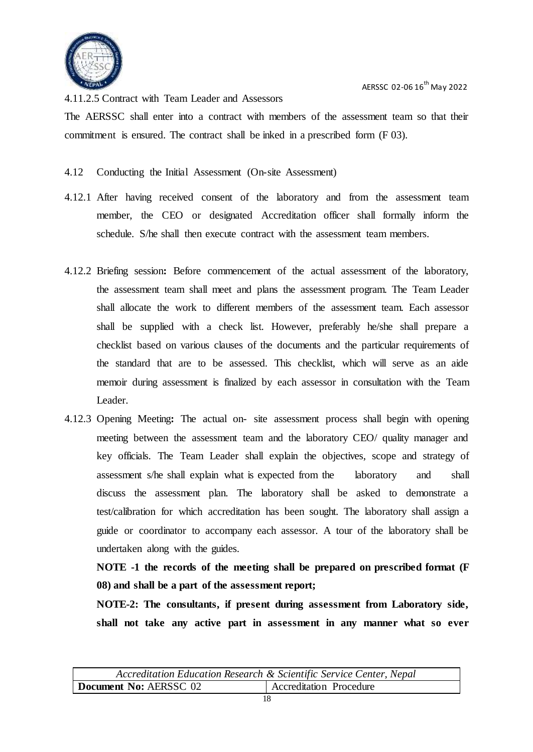

4.11.2.5 Contract with Team Leader and Assessors

The AERSSC shall enter into a contract with members of the assessment team so that their commitment is ensured. The contract shall be inked in a prescribed form (F 03).

<span id="page-18-0"></span>4.12 Conducting the Initial Assessment (On-site Assessment)

- 4.12.1 After having received consent of the laboratory and from the assessment team member, the CEO or designated Accreditation officer shall formally inform the schedule. S/he shall then execute contract with the assessment team members.
- 4.12.2 Briefing session**:** Before commencement of the actual assessment of the laboratory, the assessment team shall meet and plans the assessment program. The Team Leader shall allocate the work to different members of the assessment team. Each assessor shall be supplied with a check list. However, preferably he/she shall prepare a checklist based on various clauses of the documents and the particular requirements of the standard that are to be assessed. This checklist, which will serve as an aide memoir during assessment is finalized by each assessor in consultation with the Team Leader.
- 4.12.3 Opening Meeting**:** The actual on- site assessment process shall begin with opening meeting between the assessment team and the laboratory CEO/ quality manager and key officials. The Team Leader shall explain the objectives, scope and strategy of assessment s/he shall explain what is expected from the laboratory and shall discuss the assessment plan. The laboratory shall be asked to demonstrate a test/calibration for which accreditation has been sought. The laboratory shall assign a guide or coordinator to accompany each assessor. A tour of the laboratory shall be undertaken along with the guides.

**NOTE -1 the records of the meeting shall be prepared on prescribed format (F 08) and shall be a part of the assessment report;**

**NOTE-2: The consultants, if present during assessment from Laboratory side, shall not take any active part in assessment in any manner what so ever** 

| Accreditation Education Research & Scientific Service Center, Nepal |                         |
|---------------------------------------------------------------------|-------------------------|
| <b>Document No: AERSSC 02</b>                                       | Accreditation Procedure |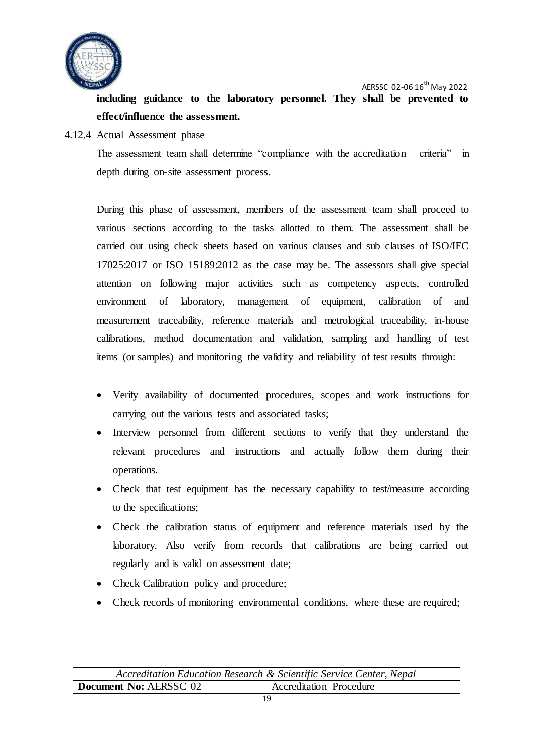

**including guidance to the laboratory personnel. They shall be prevented to effect/influence the assessment.**

4.12.4 Actual Assessment phase

The assessment team shall determine "compliance with the accreditation criteria" in depth during on-site assessment process.

During this phase of assessment, members of the assessment team shall proceed to various sections according to the tasks allotted to them. The assessment shall be carried out using check sheets based on various clauses and sub clauses of ISO/IEC 17025:2017 or ISO 15189:2012 as the case may be. The assessors shall give special attention on following major activities such as competency aspects, controlled environment of laboratory, management of equipment, calibration of and measurement traceability, reference materials and metrological traceability, in-house calibrations, method documentation and validation, sampling and handling of test items (or samples) and monitoring the validity and reliability of test results through:

- Verify availability of documented procedures, scopes and work instructions for carrying out the various tests and associated tasks;
- Interview personnel from different sections to verify that they understand the relevant procedures and instructions and actually follow them during their operations.
- Check that test equipment has the necessary capability to test/measure according to the specifications;
- Check the calibration status of equipment and reference materials used by the laboratory. Also verify from records that calibrations are being carried out regularly and is valid on assessment date;
- Check Calibration policy and procedure;
- Check records of monitoring environmental conditions, where these are required;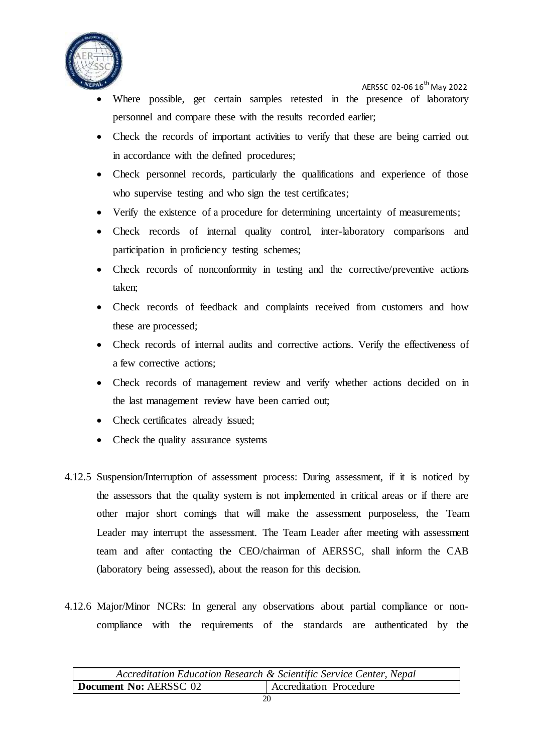

- Where possible, get certain samples retested in the presence of laboratory personnel and compare these with the results recorded earlier;
- Check the records of important activities to verify that these are being carried out in accordance with the defined procedures;
- Check personnel records, particularly the qualifications and experience of those who supervise testing and who sign the test certificates;
- Verify the existence of a procedure for determining uncertainty of measurements;
- Check records of internal quality control, inter-laboratory comparisons and participation in proficiency testing schemes;
- Check records of nonconformity in testing and the corrective/preventive actions taken;
- Check records of feedback and complaints received from customers and how these are processed;
- Check records of internal audits and corrective actions. Verify the effectiveness of a few corrective actions;
- Check records of management review and verify whether actions decided on in the last management review have been carried out;
- Check certificates already issued;
- Check the quality assurance systems
- 4.12.5 Suspension/Interruption of assessment process: During assessment, if it is noticed by the assessors that the quality system is not implemented in critical areas or if there are other major short comings that will make the assessment purposeless, the Team Leader may interrupt the assessment. The Team Leader after meeting with assessment team and after contacting the CEO/chairman of AERSSC, shall inform the CAB (laboratory being assessed), about the reason for this decision.
- 4.12.6 Major/Minor NCRs: In general any observations about partial compliance or noncompliance with the requirements of the standards are authenticated by the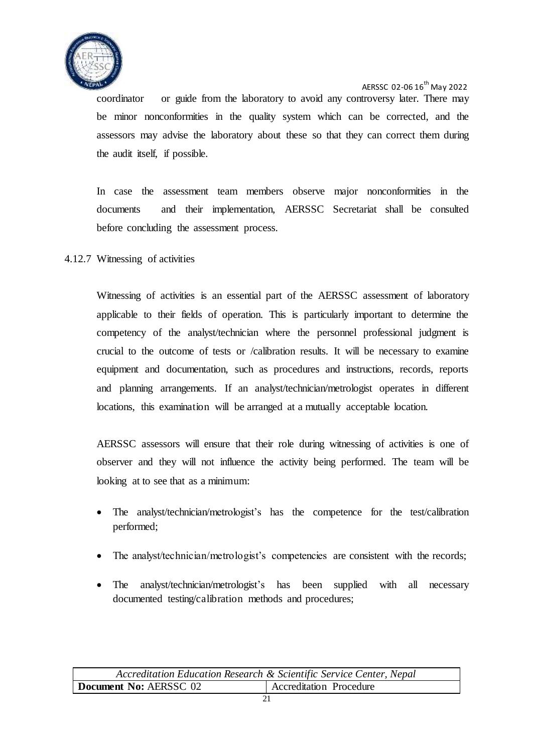

coordinator or guide from the laboratory to avoid any controversy later. There may be minor nonconformities in the quality system which can be corrected, and the assessors may advise the laboratory about these so that they can correct them during the audit itself, if possible.

In case the assessment team members observe major nonconformities in the documents and their implementation, AERSSC Secretariat shall be consulted before concluding the assessment process.

4.12.7 Witnessing of activities

Witnessing of activities is an essential part of the AERSSC assessment of laboratory applicable to their fields of operation. This is particularly important to determine the competency of the analyst/technician where the personnel professional judgment is crucial to the outcome of tests or /calibration results. It will be necessary to examine equipment and documentation, such as procedures and instructions, records, reports and planning arrangements. If an analyst/technician/metrologist operates in different locations, this examination will be arranged at a mutually acceptable location.

AERSSC assessors will ensure that their role during witnessing of activities is one of observer and they will not influence the activity being performed. The team will be looking at to see that as a minimum:

- The analyst/technician/metrologist's has the competence for the test/calibration performed;
- The analyst/technician/metrologist's competencies are consistent with the records;
- The analyst/technician/metrologist"s has been supplied with all necessary documented testing/calibration methods and procedures;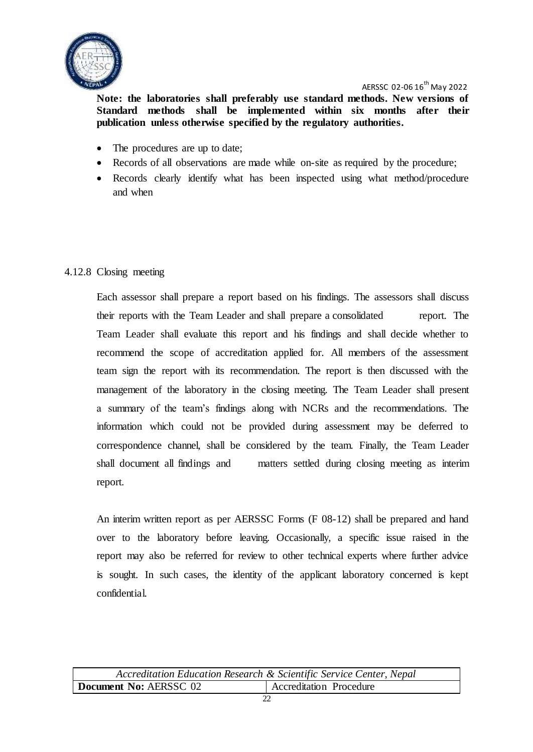

**Note: the laboratories shall preferably use standard methods. New versions of Standard methods shall be implemented within six months after their publication unless otherwise specified by the regulatory authorities.**

- The procedures are up to date;
- Records of all observations are made while on-site as required by the procedure;
- Records clearly identify what has been inspected using what method/procedure and when

### 4.12.8 Closing meeting

Each assessor shall prepare a report based on his findings. The assessors shall discuss their reports with the Team Leader and shall prepare a consolidated report. The Team Leader shall evaluate this report and his findings and shall decide whether to recommend the scope of accreditation applied for. All members of the assessment team sign the report with its recommendation. The report is then discussed with the management of the laboratory in the closing meeting. The Team Leader shall present a summary of the team"s findings along with NCRs and the recommendations. The information which could not be provided during assessment may be deferred to correspondence channel, shall be considered by the team. Finally, the Team Leader shall document all findings and matters settled during closing meeting as interim report.

An interim written report as per AERSSC Forms (F 08-12) shall be prepared and hand over to the laboratory before leaving. Occasionally, a specific issue raised in the report may also be referred for review to other technical experts where further advice is sought. In such cases, the identity of the applicant laboratory concerned is kept confidential.

| Accreditation Education Research & Scientific Service Center, Nepal |                         |
|---------------------------------------------------------------------|-------------------------|
| Document No: AERSSC 02                                              | Accreditation Procedure |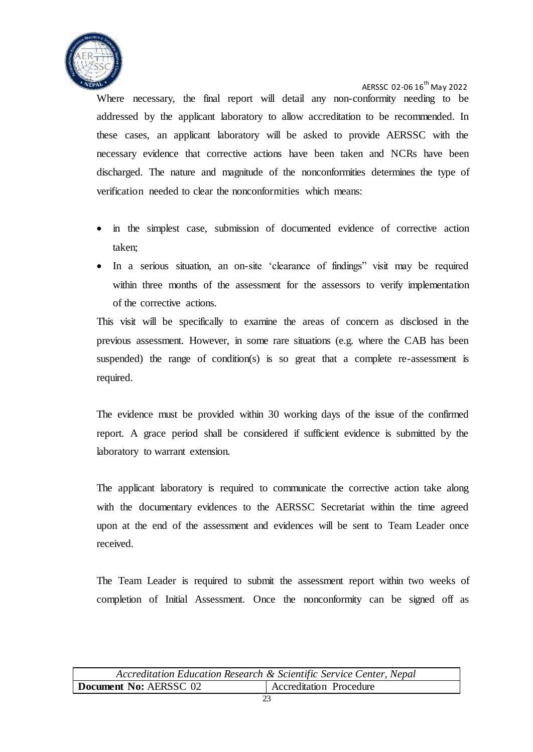

Where necessary, the final report will detail any non-conformity needing to be addressed by the applicant laboratory to allow accreditation to be recommended. In these cases, an applicant laboratory will be asked to provide AERSSC with the necessary evidence that corrective actions have been taken and NCRs have been discharged. The nature and magnitude of the nonconformities determines the type of verification needed to clear the nonconformities which means:

- in the simplest case, submission of documented evidence of corrective action taken;
- In a serious situation, an on-site 'clearance of findings' visit may be required within three months of the assessment for the assessors to verify implementation of the corrective actions.

This visit will be specifically to examine the areas of concern as disclosed in the previous assessment. However, in some rare situations (e.g. where the CAB has been suspended) the range of condition(s) is so great that a complete re-assessment is required.

The evidence must be provided within 30 working days of the issue of the confirmed report. A grace period shall be considered if sufficient evidence is submitted by the laboratory to warrant extension.

The applicant laboratory is required to communicate the corrective action take along with the documentary evidences to the AERSSC Secretariat within the time agreed upon at the end of the assessment and evidences will be sent to Team Leader once received.

The Team Leader is required to submit the assessment report within two weeks of completion of Initial Assessment. Once the nonconformity can be signed off as

| Accreditation Education Research & Scientific Service Center, Nepal |                         |
|---------------------------------------------------------------------|-------------------------|
| <b>Document No: AERSSC 02</b>                                       | Accreditation Procedure |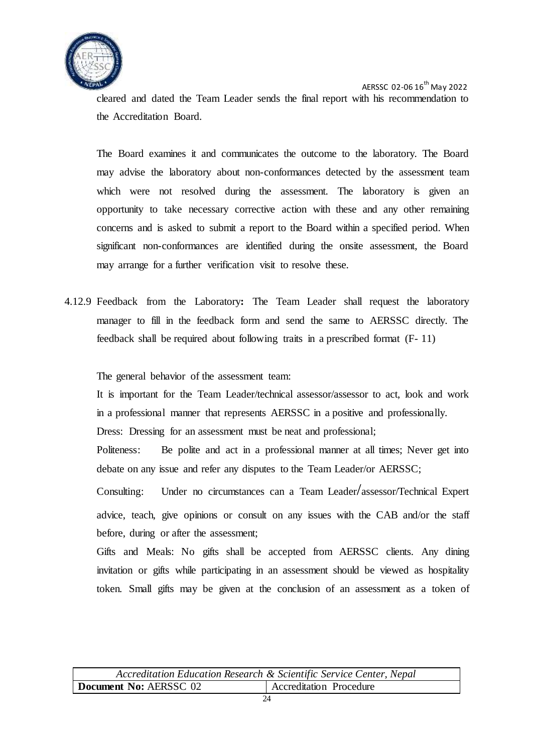

cleared and dated the Team Leader sends the final report with his recommendation to the Accreditation Board.

The Board examines it and communicates the outcome to the laboratory. The Board may advise the laboratory about non-conformances detected by the assessment team which were not resolved during the assessment. The laboratory is given an opportunity to take necessary corrective action with these and any other remaining concerns and is asked to submit a report to the Board within a specified period. When significant non-conformances are identified during the onsite assessment, the Board may arrange for a further verification visit to resolve these.

4.12.9 Feedback from the Laboratory**:** The Team Leader shall request the laboratory manager to fill in the feedback form and send the same to AERSSC directly. The feedback shall be required about following traits in a prescribed format (F- 11)

The general behavior of the assessment team:

It is important for the Team Leader/technical assessor/assessor to act, look and work in a professional manner that represents AERSSC in a positive and professionally.

Dress: Dressing for an assessment must be neat and professional;

Politeness: Be polite and act in a professional manner at all times; Never get into debate on any issue and refer any disputes to the Team Leader/or AERSSC;

Consulting: Under no circumstances can a Team Leader/assessor/Technical Expert advice, teach, give opinions or consult on any issues with the CAB and/or the staff before, during or after the assessment;

Gifts and Meals: No gifts shall be accepted from AERSSC clients. Any dining invitation or gifts while participating in an assessment should be viewed as hospitality token. Small gifts may be given at the conclusion of an assessment as a token of

| Accreditation Education Research & Scientific Service Center, Nepal |                         |
|---------------------------------------------------------------------|-------------------------|
| Document No: AERSSC 02                                              | Accreditation Procedure |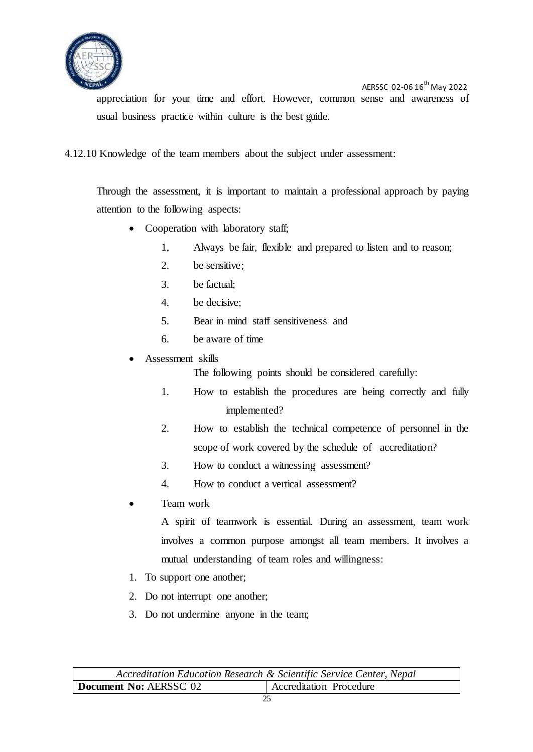

appreciation for your time and effort. However, common sense and awareness of usual business practice within culture is the best guide.

4.12.10 Knowledge of the team members about the subject under assessment:

Through the assessment, it is important to maintain a professional approach by paying attention to the following aspects:

- Cooperation with laboratory staff;
	- 1, Always be fair, flexible and prepared to listen and to reason;
	- 2. be sensitive;
	- 3. be factual;
	- 4. be decisive;
	- 5. Bear in mind staff sensitiveness and
	- 6. be aware of time
- Assessment skills

The following points should be considered carefully:

- 1. How to establish the procedures are being correctly and fully implemented?
- 2. How to establish the technical competence of personnel in the scope of work covered by the schedule of accreditation?
- 3. How to conduct a witnessing assessment?
- 4. How to conduct a vertical assessment?
- Team work

A spirit of teamwork is essential. During an assessment, team work involves a common purpose amongst all team members. It involves a mutual understanding of team roles and willingness:

- 1. To support one another;
- 2. Do not interrupt one another;
- 3. Do not undermine anyone in the team;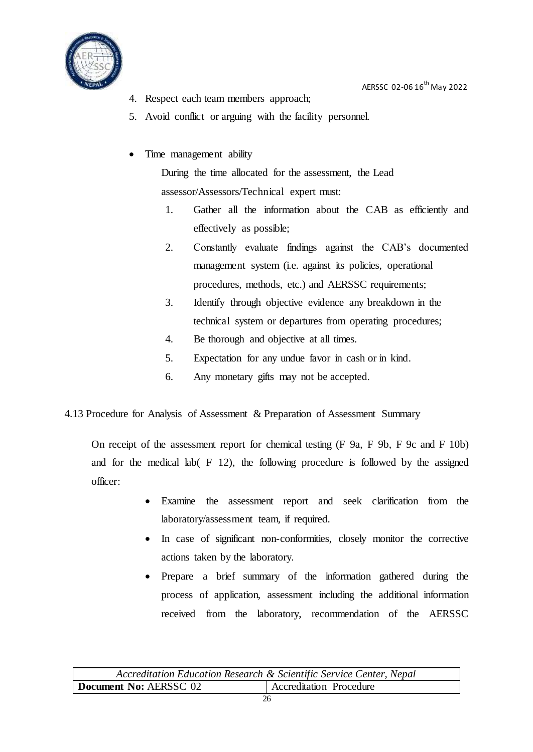

- 4. Respect each team members approach;
- 5. Avoid conflict or arguing with the facility personnel.
- Time management ability

During the time allocated for the assessment, the Lead assessor/Assessors/Technical expert must:

- 1. Gather all the information about the CAB as efficiently and effectively as possible;
- 2. Constantly evaluate findings against the CAB"s documented management system (i.e. against its policies, operational procedures, methods, etc.) and AERSSC requirements;
- 3. Identify through objective evidence any breakdown in the technical system or departures from operating procedures;
- 4. Be thorough and objective at all times.
- 5. Expectation for any undue favor in cash or in kind.
- 6. Any monetary gifts may not be accepted.
- <span id="page-26-0"></span>4.13 Procedure for Analysis of Assessment & Preparation of Assessment Summary

On receipt of the assessment report for chemical testing (F 9a, F 9b, F 9c and F 10b) and for the medical lab( F 12), the following procedure is followed by the assigned officer:

- Examine the assessment report and seek clarification from the laboratory/assessment team, if required.
- In case of significant non-conformities, closely monitor the corrective actions taken by the laboratory.
- Prepare a brief summary of the information gathered during the process of application, assessment including the additional information received from the laboratory, recommendation of the AERSSC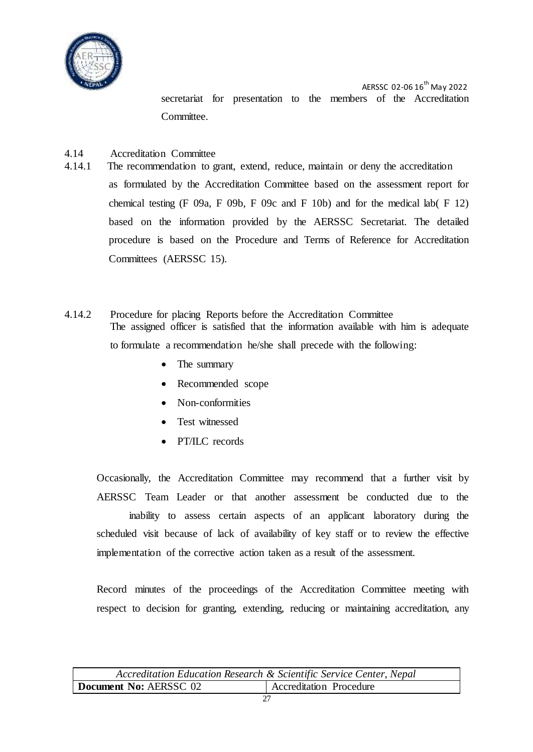

AERSSC 02-06 16<sup>th</sup> May 2022 secretariat for presentation to the members of the Accreditation Committee.

### <span id="page-27-0"></span>4.14 Accreditation Committee

- 4.14.1 The recommendation to grant, extend, reduce, maintain or deny the accreditation as formulated by the Accreditation Committee based on the assessment report for chemical testing  $(F \t 09a, F \t 09b, F \t 09c \t and F \t 10b)$  and for the medical lab( $F \t 12$ ) based on the information provided by the AERSSC Secretariat. The detailed procedure is based on the Procedure and Terms of Reference for Accreditation Committees (AERSSC 15).
- 4.14.2 Procedure for placing Reports before the Accreditation Committee The assigned officer is satisfied that the information available with him is adequate to formulate a recommendation he/she shall precede with the following:
	- The summary
	- Recommended scope
	- Non-conformities
	- Test witnessed
	- PT/ILC records

Occasionally, the Accreditation Committee may recommend that a further visit by AERSSC Team Leader or that another assessment be conducted due to the

inability to assess certain aspects of an applicant laboratory during the scheduled visit because of lack of availability of key staff or to review the effective implementation of the corrective action taken as a result of the assessment.

Record minutes of the proceedings of the Accreditation Committee meeting with respect to decision for granting, extending, reducing or maintaining accreditation, any

| Accreditation Education Research & Scientific Service Center, Nepal |                         |
|---------------------------------------------------------------------|-------------------------|
| <b>Document No: AERSSC 02</b>                                       | Accreditation Procedure |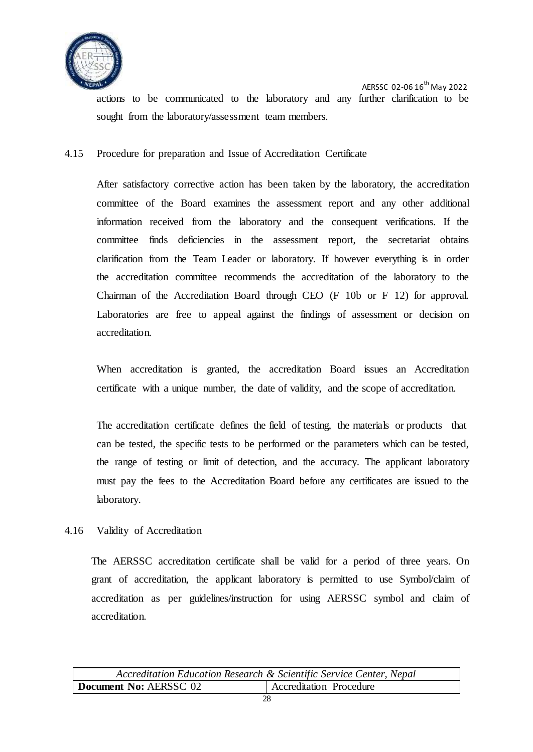

actions to be communicated to the laboratory and any further clarification to be sought from the laboratory/assessment team members.

#### <span id="page-28-0"></span>4.15 Procedure for preparation and Issue of Accreditation Certificate

After satisfactory corrective action has been taken by the laboratory, the accreditation committee of the Board examines the assessment report and any other additional information received from the laboratory and the consequent verifications. If the committee finds deficiencies in the assessment report, the secretariat obtains clarification from the Team Leader or laboratory. If however everything is in order the accreditation committee recommends the accreditation of the laboratory to the Chairman of the Accreditation Board through CEO (F 10b or F 12) for approval. Laboratories are free to appeal against the findings of assessment or decision on accreditation.

When accreditation is granted, the accreditation Board issues an Accreditation certificate with a unique number, the date of validity, and the scope of accreditation.

The accreditation certificate defines the field of testing, the materials or products that can be tested, the specific tests to be performed or the parameters which can be tested, the range of testing or limit of detection, and the accuracy. The applicant laboratory must pay the fees to the Accreditation Board before any certificates are issued to the laboratory.

<span id="page-28-1"></span>4.16 Validity of Accreditation

The AERSSC accreditation certificate shall be valid for a period of three years. On grant of accreditation, the applicant laboratory is permitted to use Symbol/claim of accreditation as per guidelines/instruction for using AERSSC symbol and claim of accreditation.

| Accreditation Education Research & Scientific Service Center, Nepal |                                |
|---------------------------------------------------------------------|--------------------------------|
| <b>Document No: AERSSC 02</b>                                       | <b>Accreditation Procedure</b> |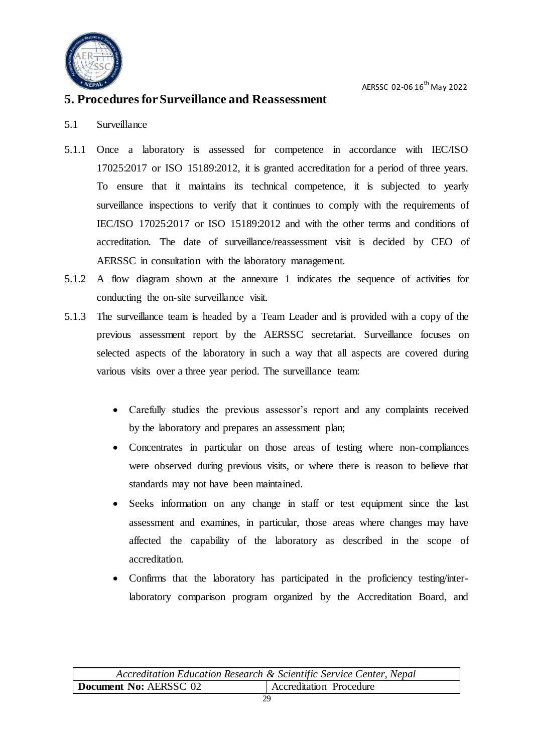

## <span id="page-29-0"></span>**5. Procedures for Surveillance and Reassessment**

## <span id="page-29-1"></span>5.1 Surveillance

- 5.1.1 Once a laboratory is assessed for competence in accordance with IEC/ISO 17025:2017 or ISO 15189:2012, it is granted accreditation for a period of three years. To ensure that it maintains its technical competence, it is subjected to yearly surveillance inspections to verify that it continues to comply with the requirements of IEC/ISO 17025:2017 or ISO 15189:2012 and with the other terms and conditions of accreditation. The date of surveillance/reassessment visit is decided by CEO of AERSSC in consultation with the laboratory management.
- 5.1.2 A flow diagram shown at the annexure 1 indicates the sequence of activities for conducting the on-site surveillance visit.
- 5.1.3 The surveillance team is headed by a Team Leader and is provided with a copy of the previous assessment report by the AERSSC secretariat. Surveillance focuses on selected aspects of the laboratory in such a way that all aspects are covered during various visits over a three year period. The surveillance team:
	- Carefully studies the previous assessor's report and any complaints received by the laboratory and prepares an assessment plan;
	- Concentrates in particular on those areas of testing where non-compliances were observed during previous visits, or where there is reason to believe that standards may not have been maintained.
	- Seeks information on any change in staff or test equipment since the last assessment and examines, in particular, those areas where changes may have affected the capability of the laboratory as described in the scope of accreditation.
	- Confirms that the laboratory has participated in the proficiency testing/interlaboratory comparison program organized by the Accreditation Board, and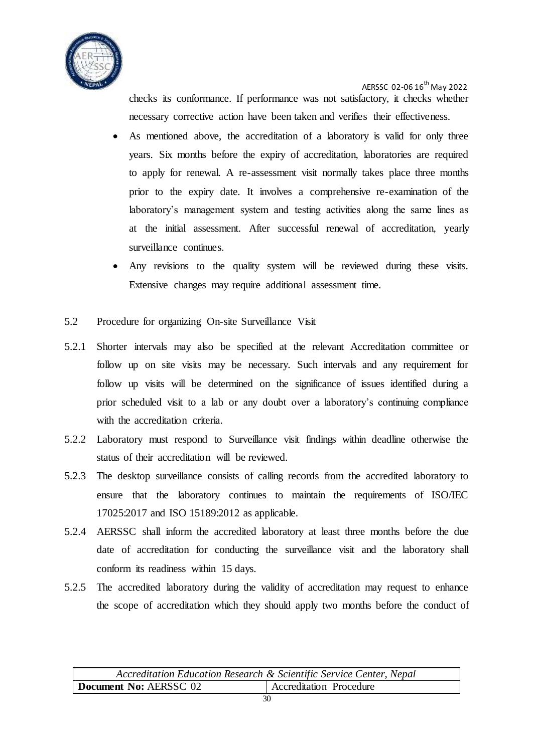

checks its conformance. If performance was not satisfactory, it checks whether necessary corrective action have been taken and verifies their effectiveness.

- As mentioned above, the accreditation of a laboratory is valid for only three years. Six months before the expiry of accreditation, laboratories are required to apply for renewal. A re-assessment visit normally takes place three months prior to the expiry date. It involves a comprehensive re-examination of the laboratory"s management system and testing activities along the same lines as at the initial assessment. After successful renewal of accreditation, yearly surveillance continues.
- Any revisions to the quality system will be reviewed during these visits. Extensive changes may require additional assessment time.
- <span id="page-30-0"></span>5.2 Procedure for organizing On-site Surveillance Visit
- 5.2.1 Shorter intervals may also be specified at the relevant Accreditation committee or follow up on site visits may be necessary. Such intervals and any requirement for follow up visits will be determined on the significance of issues identified during a prior scheduled visit to a lab or any doubt over a laboratory"s continuing compliance with the accreditation criteria.
- 5.2.2 Laboratory must respond to Surveillance visit findings within deadline otherwise the status of their accreditation will be reviewed.
- 5.2.3 The desktop surveillance consists of calling records from the accredited laboratory to ensure that the laboratory continues to maintain the requirements of ISO/IEC 17025:2017 and ISO 15189:2012 as applicable.
- 5.2.4 AERSSC shall inform the accredited laboratory at least three months before the due date of accreditation for conducting the surveillance visit and the laboratory shall conform its readiness within 15 days.
- 5.2.5 The accredited laboratory during the validity of accreditation may request to enhance the scope of accreditation which they should apply two months before the conduct of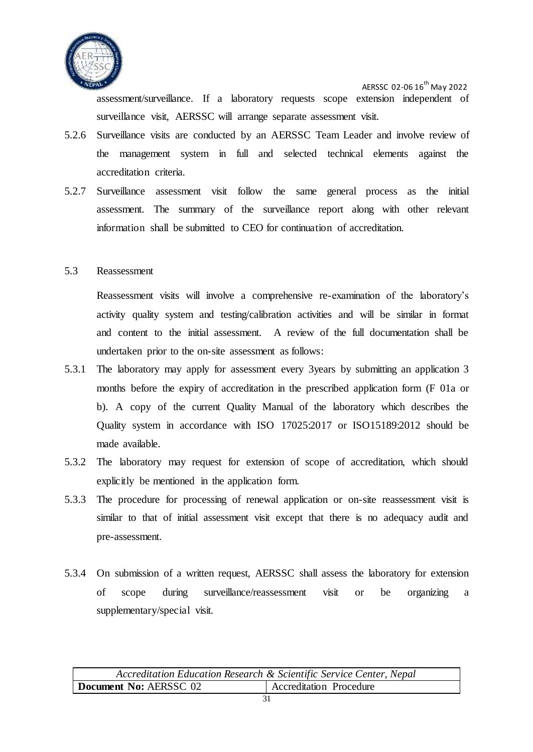

assessment/surveillance. If a laboratory requests scope extension independent of surveillance visit, AERSSC will arrange separate assessment visit.

- 5.2.6 Surveillance visits are conducted by an AERSSC Team Leader and involve review of the management system in full and selected technical elements against the accreditation criteria.
- 5.2.7 Surveillance assessment visit follow the same general process as the initial assessment. The summary of the surveillance report along with other relevant information shall be submitted to CEO for continuation of accreditation.

### <span id="page-31-0"></span>5.3 Reassessment

Reassessment visits will involve a comprehensive re-examination of the laboratory"s activity quality system and testing/calibration activities and will be similar in format and content to the initial assessment. A review of the full documentation shall be undertaken prior to the on-site assessment as follows:

- 5.3.1 The laboratory may apply for assessment every 3years by submitting an application 3 months before the expiry of accreditation in the prescribed application form (F 01a or b). A copy of the current Quality Manual of the laboratory which describes the Quality system in accordance with ISO 17025:2017 or ISO15189:2012 should be made available.
- 5.3.2 The laboratory may request for extension of scope of accreditation, which should explicitly be mentioned in the application form.
- 5.3.3 The procedure for processing of renewal application or on-site reassessment visit is similar to that of initial assessment visit except that there is no adequacy audit and pre-assessment.
- 5.3.4 On submission of a written request, AERSSC shall assess the laboratory for extension of scope during surveillance/reassessment visit or be organizing a supplementary/special visit.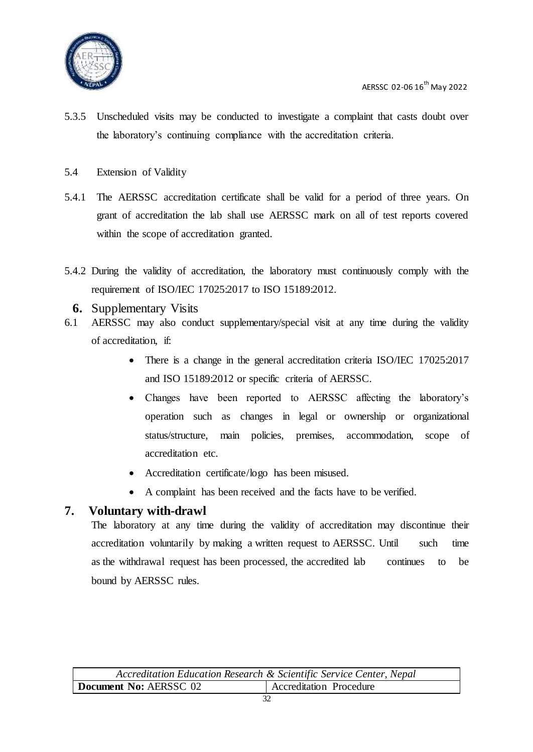

- 5.3.5 Unscheduled visits may be conducted to investigate a complaint that casts doubt over the laboratory"s continuing compliance with the accreditation criteria.
- <span id="page-32-0"></span>5.4 Extension of Validity
- 5.4.1 The AERSSC accreditation certificate shall be valid for a period of three years. On grant of accreditation the lab shall use AERSSC mark on all of test reports covered within the scope of accreditation granted.
- 5.4.2 During the validity of accreditation, the laboratory must continuously comply with the requirement of ISO/IEC 17025:2017 to ISO 15189:2012.
	- **6.** Supplementary Visits
- <span id="page-32-1"></span>6.1 AERSSC may also conduct supplementary/special visit at any time during the validity of accreditation, if:
	- There is a change in the general accreditation criteria ISO/IEC 17025:2017 and ISO 15189:2012 or specific criteria of AERSSC.
	- Changes have been reported to AERSSC affecting the laboratory"s operation such as changes in legal or ownership or organizational status/structure, main policies, premises, accommodation, scope of accreditation etc.
	- Accreditation certificate/logo has been misused.
	- A complaint has been received and the facts have to be verified.

## <span id="page-32-2"></span>**7. Voluntary with-drawl**

The laboratory at any time during the validity of accreditation may discontinue their accreditation voluntarily by making a written request to AERSSC. Until such time as the withdrawal request has been processed, the accredited lab continues to be bound by AERSSC rules.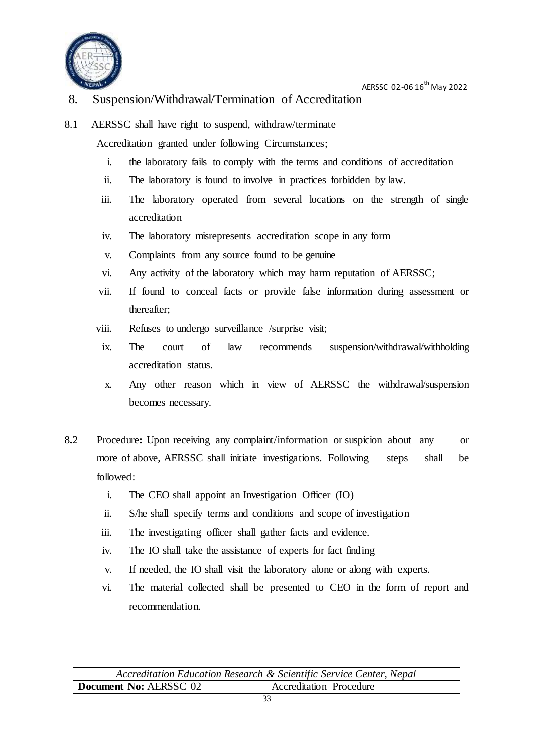

- <span id="page-33-0"></span>8. Suspension/Withdrawal/Termination of Accreditation
- 8.1 AERSSC shall have right to suspend, withdraw/terminate

Accreditation granted under following Circumstances;

- i. the laboratory fails to comply with the terms and conditions of accreditation
- ii. The laboratory is found to involve in practices forbidden by law.
- iii. The laboratory operated from several locations on the strength of single accreditation
- iv. The laboratory misrepresents accreditation scope in any form
- v. Complaints from any source found to be genuine
- vi. Any activity of the laboratory which may harm reputation of AERSSC;
- vii. If found to conceal facts or provide false information during assessment or thereafter;
- viii. Refuses to undergo surveillance /surprise visit;
- ix. The court of law recommends suspension/withdrawal/withholding accreditation status.
- x. Any other reason which in view of AERSSC the withdrawal/suspension becomes necessary.
- 8**.**2 Procedure**:** Upon receiving any complaint/information or suspicion about any or more of above, AERSSC shall initiate investigations. Following steps shall be followed:
	- i. The CEO shall appoint an Investigation Officer (IO)
	- ii. S/he shall specify terms and conditions and scope of investigation
	- iii. The investigating officer shall gather facts and evidence.
	- iv. The IO shall take the assistance of experts for fact finding
	- v. If needed, the IO shall visit the laboratory alone or along with experts.
	- vi. The material collected shall be presented to CEO in the form of report and recommendation.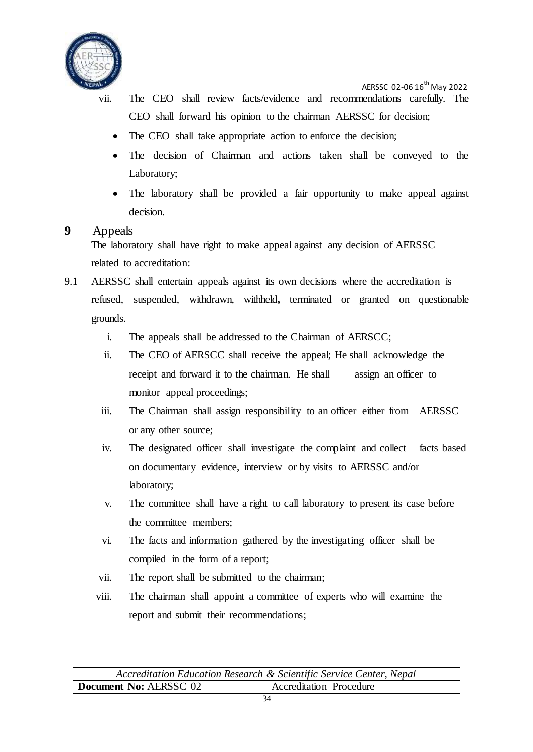- vii. The CEO shall review facts/evidence and recommendations carefully. The CEO shall forward his opinion to the chairman AERSSC for decision;
	- The CEO shall take appropriate action to enforce the decision;
	- The decision of Chairman and actions taken shall be conveyed to the Laboratory;
	- The laboratory shall be provided a fair opportunity to make appeal against decision.

## <span id="page-34-0"></span>**9** Appeals

 The laboratory shall have right to make appeal against any decision of AERSSC related to accreditation:

- 9.1 AERSSC shall entertain appeals against its own decisions where the accreditation is refused, suspended, withdrawn, withheld**,** terminated or granted on questionable grounds.
	- i. The appeals shall be addressed to the Chairman of AERSCC;
	- ii. The CEO of AERSCC shall receive the appeal; He shall acknowledge the receipt and forward it to the chairman. He shall assign an officer to monitor appeal proceedings;
	- iii. The Chairman shall assign responsibility to an officer either from AERSSC or any other source;
	- iv. The designated officer shall investigate the complaint and collect facts based on documentary evidence, interview or by visits to AERSSC and/or laboratory;
	- v. The committee shall have a right to call laboratory to present its case before the committee members;
	- vi. The facts and information gathered by the investigating officer shall be compiled in the form of a report;
	- vii. The report shall be submitted to the chairman;
	- viii. The chairman shall appoint a committee of experts who will examine the report and submit their recommendations;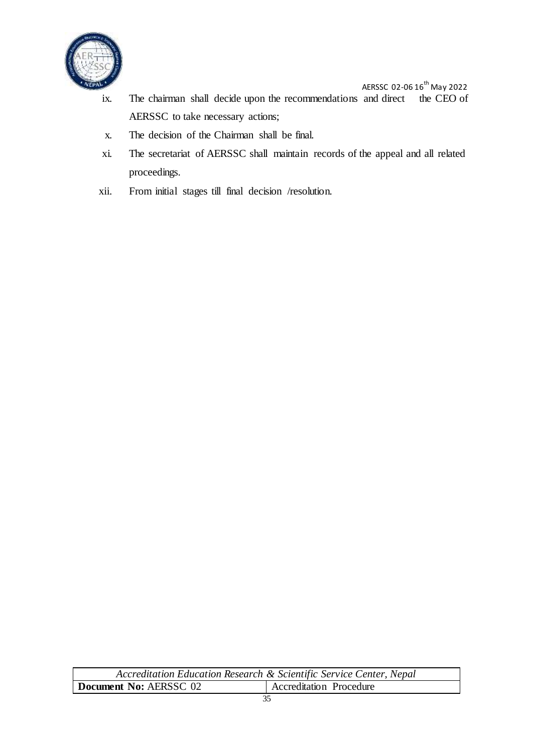

- AERSSC 02-06  $16^{th}$  May 2022<br>and direct the CEO of ix. The chairman shall decide upon the recommendations and direct AERSSC to take necessary actions;
- x. The decision of the Chairman shall be final.
- xi. The secretariat of AERSSC shall maintain records of the appeal and all related proceedings.
- xii. From initial stages till final decision /resolution.

| Accreditation Education Research & Scientific Service Center, Nepal |                         |
|---------------------------------------------------------------------|-------------------------|
| <b>Document No: AERSSC 02</b>                                       | Accreditation Procedure |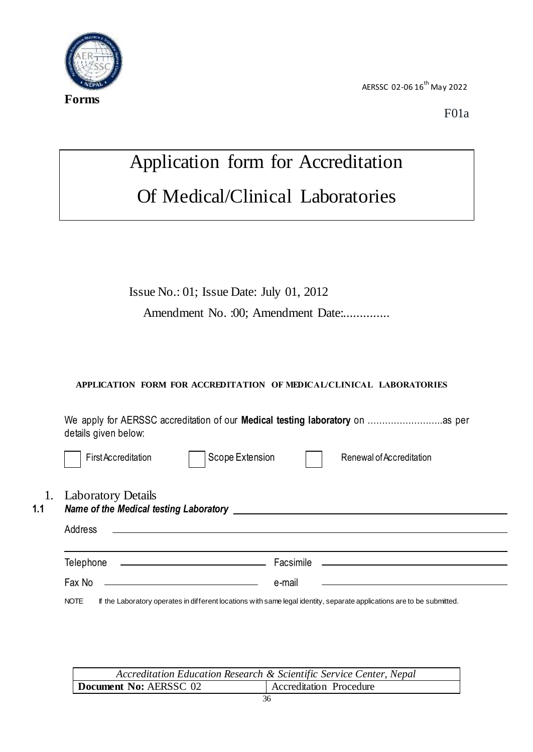

**Forms**

F01a

# Application form for Accreditation Of Medical/Clinical Laboratories

## Issue No.: 01; Issue Date: July 01, 2012 Amendment No. : 00; Amendment Date:...............

#### **APPLICATION FORM FOR ACCREDITATION OF MEDICAL/CLINICAL LABORATORIES**

We apply for AERSSC accreditation of our **Medical testing laboratory** on ……………………..as per details given below:

|     | First Accreditation                                                                                                         | Scope Extension |           | Renewal of Accreditation |  |  |
|-----|-----------------------------------------------------------------------------------------------------------------------------|-----------------|-----------|--------------------------|--|--|
| 1.1 | 1. Laboratory Details<br>Name of the Medical testing Laboratory Manuscript Community of the Medical testing Laboratory      |                 |           |                          |  |  |
|     | Address<br>and the control of the control of the control of the control of the control of the control of the control of the |                 |           |                          |  |  |
|     | Telephone                                                                                                                   |                 | Facsimile |                          |  |  |
|     | Fax No                                                                                                                      |                 | e-mail    |                          |  |  |
|     |                                                                                                                             |                 |           |                          |  |  |

NOTE If the Laboratory operates in different locations with same legal identity, separate applications are to be submitted.

*Accreditation Education Research & Scientific Service Center, Nepal* **Document No: AERSSC 02** Accreditation Procedure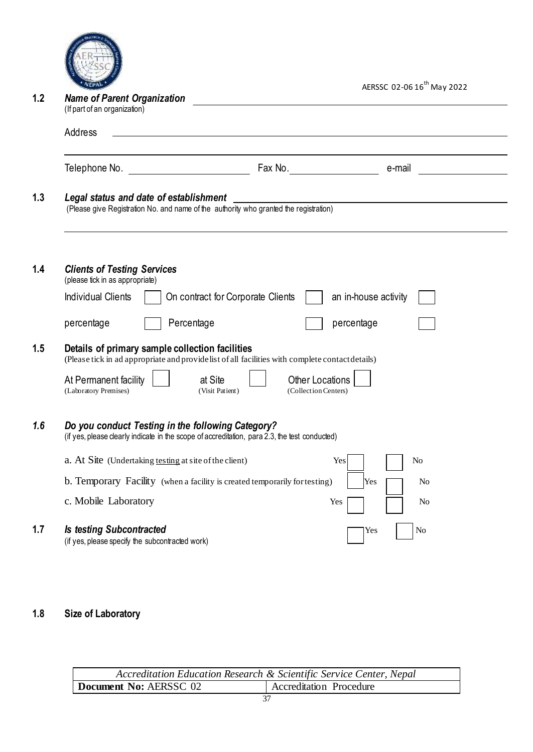

| Address                                                                            |                                                                                                                                                                                   |                                         |                                                                                                                       |  |  |
|------------------------------------------------------------------------------------|-----------------------------------------------------------------------------------------------------------------------------------------------------------------------------------|-----------------------------------------|-----------------------------------------------------------------------------------------------------------------------|--|--|
| Telephone No.                                                                      |                                                                                                                                                                                   | $\sqrt{2}$ Fax No.                      | e-mail                                                                                                                |  |  |
| Legal status and date of establishment                                             | (Please give Registration No. and name of the authority who granted the registration)                                                                                             |                                         | <u> 1989 - Johann Stoff, deutscher Stoff, der Stoff, der Stoff, der Stoff, der Stoff, der Stoff, der Stoff, der S</u> |  |  |
| <b>Clients of Testing Services</b><br>(please tick in as appropriate)              |                                                                                                                                                                                   |                                         |                                                                                                                       |  |  |
| <b>Individual Clients</b>                                                          | On contract for Corporate Clients                                                                                                                                                 |                                         | an in-house activity                                                                                                  |  |  |
| percentage                                                                         | Percentage                                                                                                                                                                        |                                         | percentage                                                                                                            |  |  |
| At Permanent facility<br>(Laboratory Premises)                                     | Details of primary sample collection facilities<br>(Please tick in ad appropriate and provide list of all facilities with complete contact details)<br>at Site<br>(Visit Patient) | Other Locations<br>(Collection Centers) |                                                                                                                       |  |  |
|                                                                                    | Do you conduct Testing in the following Category?<br>(if yes, please clearly indicate in the scope of accreditation, para 2.3, the test conducted)                                |                                         |                                                                                                                       |  |  |
|                                                                                    | a. At Site (Undertaking testing at site of the client)                                                                                                                            | Yes                                     | N <sub>0</sub>                                                                                                        |  |  |
|                                                                                    | b. Temporary Facility (when a facility is created temporarily for testing)                                                                                                        |                                         | Yes<br>No                                                                                                             |  |  |
| c. Mobile Laboratory                                                               |                                                                                                                                                                                   | Yes                                     | No                                                                                                                    |  |  |
| <b>Is testing Subcontracted</b><br>(if yes, please specify the subcontracted work) |                                                                                                                                                                                   |                                         | No<br>Yes                                                                                                             |  |  |

**1.8 Size of Laboratory**

| Accreditation Education Research & Scientific Service Center, Nepal |  |  |  |  |
|---------------------------------------------------------------------|--|--|--|--|
| <b>Accreditation Procedure</b><br>Document No: AERSSC 02            |  |  |  |  |
|                                                                     |  |  |  |  |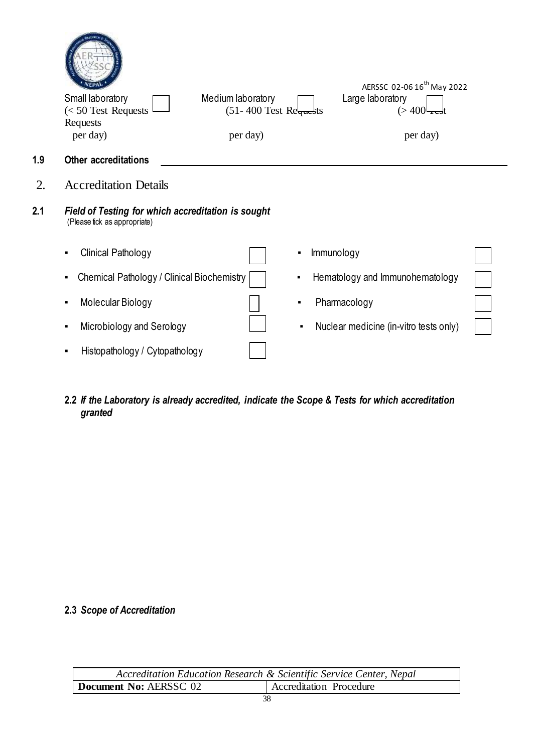|     | Small laboratory<br>$(< 50$ Test Requests<br>Requests<br>per day)                         | Medium laboratory<br>$(51 - 400$ Test Releasts<br>per day) | AERSSC 02-06 16 <sup>th</sup> May 2022<br>Large laboratory<br>$( > 400 - c$<br>per day) |  |
|-----|-------------------------------------------------------------------------------------------|------------------------------------------------------------|-----------------------------------------------------------------------------------------|--|
|     |                                                                                           |                                                            |                                                                                         |  |
| 1.9 | <b>Other accreditations</b>                                                               |                                                            |                                                                                         |  |
| 2.  | <b>Accreditation Details</b>                                                              |                                                            |                                                                                         |  |
| 2.1 | <b>Field of Testing for which accreditation is sought</b><br>(Please tick as appropriate) |                                                            |                                                                                         |  |
|     | Clinical Pathology<br>٠                                                                   | $\blacksquare$                                             | Immunology                                                                              |  |
|     | Chemical Pathology / Clinical Biochemistry<br>п                                           | ٠                                                          | Hematology and Immunohematology                                                         |  |
|     | Molecular Biology<br>$\blacksquare$                                                       | $\blacksquare$                                             | Pharmacology                                                                            |  |
|     | Microbiology and Serology<br>٠                                                            |                                                            | Nuclear medicine (in-vitro tests only)                                                  |  |
|     | Histopathology / Cytopathology<br>$\blacksquare$                                          |                                                            |                                                                                         |  |

#### **2.2** *If the Laboratory is already accredited, indicate the Scope & Tests for which accreditation granted*

#### **2.3** *Scope of Accreditation*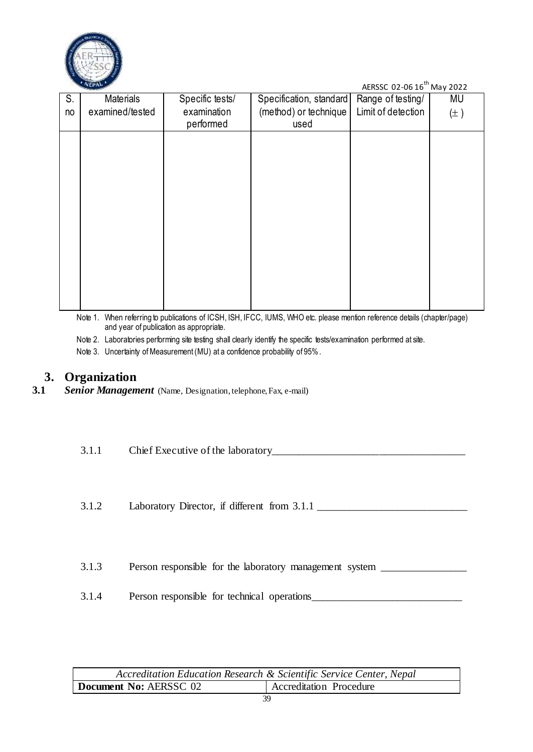

#### AERSSC 02-06 <sup>16</sup>th May <sup>2022</sup>

|    |                  |                 |                         | <b>ALIMITY OF THE US OF ALIMITY</b> |           |
|----|------------------|-----------------|-------------------------|-------------------------------------|-----------|
| S. | <b>Materials</b> | Specific tests/ | Specification, standard | Range of testing/                   | <b>MU</b> |
| no | examined/tested  | examination     | (method) or technique   | Limit of detection                  | $(\pm)$   |
|    |                  | performed       | used                    |                                     |           |
|    |                  |                 |                         |                                     |           |
|    |                  |                 |                         |                                     |           |
|    |                  |                 |                         |                                     |           |
|    |                  |                 |                         |                                     |           |
|    |                  |                 |                         |                                     |           |
|    |                  |                 |                         |                                     |           |
|    |                  |                 |                         |                                     |           |
|    |                  |                 |                         |                                     |           |
|    |                  |                 |                         |                                     |           |
|    |                  |                 |                         |                                     |           |
|    |                  |                 |                         |                                     |           |
|    |                  |                 |                         |                                     |           |
|    |                  |                 |                         |                                     |           |
|    |                  |                 |                         |                                     |           |
|    |                  |                 |                         | $\cdots$                            |           |

Note 1. When referring to publications of ICSH, ISH, IFCC, IUMS, WHO etc. please mention reference details (chapter/page) and year of publication as appropriate.

Note 2. Laboratories performing site testing shall clearly identify the specific tests/examination performed at site.

Note 3. Uncertainty of Measurement (MU) at a confidence probability of 95% .

#### **3. Organization**

**3.1** *Senior Management* (Name, Designation, telephone, Fax, e-mail)

| 3.1.1 |                                                                 |
|-------|-----------------------------------------------------------------|
| 3.1.2 |                                                                 |
|       |                                                                 |
| 3.1.3 | Person responsible for the laboratory management system _______ |
| 3.1.4 | Person responsible for technical operations                     |

#### *Accreditation Education Research & Scientific Service Center, Nepal* **Document No: AERSSC 02** Accreditation Procedure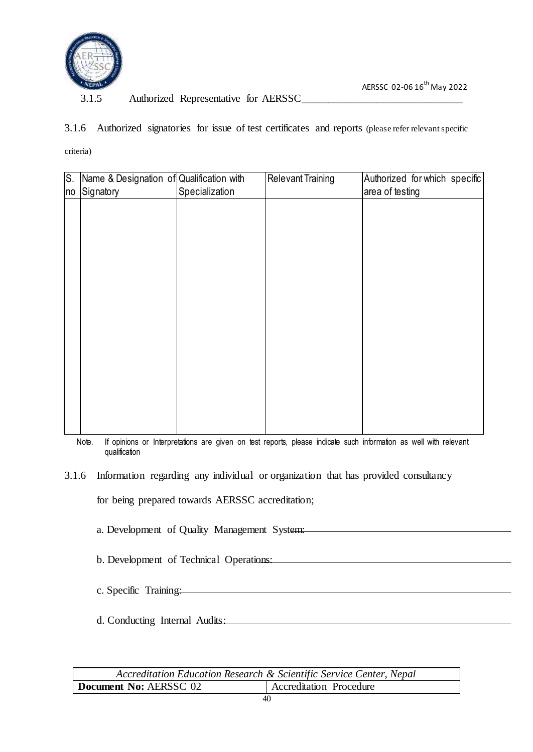

3.1.5 Authorized Representative for AERSSC\_\_\_\_\_\_\_\_\_\_\_\_\_\_\_\_\_\_\_\_\_\_\_\_\_\_\_\_\_\_

3.1.6 Authorized signatories for issue of test certificates and reports (please refer relevant specific

criteria)

|    | S. Name & Designation of Qualification with |                | <b>Relevant Training</b> | Authorized for which specific |
|----|---------------------------------------------|----------------|--------------------------|-------------------------------|
| no | Signatory                                   | Specialization |                          | area of testing               |
|    |                                             |                |                          |                               |
|    |                                             |                |                          |                               |
|    |                                             |                |                          |                               |
|    |                                             |                |                          |                               |
|    |                                             |                |                          |                               |
|    |                                             |                |                          |                               |
|    |                                             |                |                          |                               |
|    |                                             |                |                          |                               |
|    |                                             |                |                          |                               |
|    |                                             |                |                          |                               |
|    |                                             |                |                          |                               |
|    |                                             |                |                          |                               |
|    |                                             |                |                          |                               |
|    |                                             |                |                          |                               |
|    |                                             |                |                          |                               |
|    |                                             |                |                          |                               |
|    |                                             |                |                          |                               |
|    |                                             |                |                          |                               |

Note. If opinions or Interpretations are given on test reports, please indicate such information as well with relevant qualification

3.1.6 Information regarding any individual or organization that has provided consultancy

for being prepared towards AERSSC accreditation;

- a. Development of Quality Management System:
- b. Development of Technical Operations:
- c. Specific Training:
- d. Conducting Internal Audits:

*Accreditation Education Research & Scientific Service Center, Nepal* **Document No: AERSSC 02** Accreditation Procedure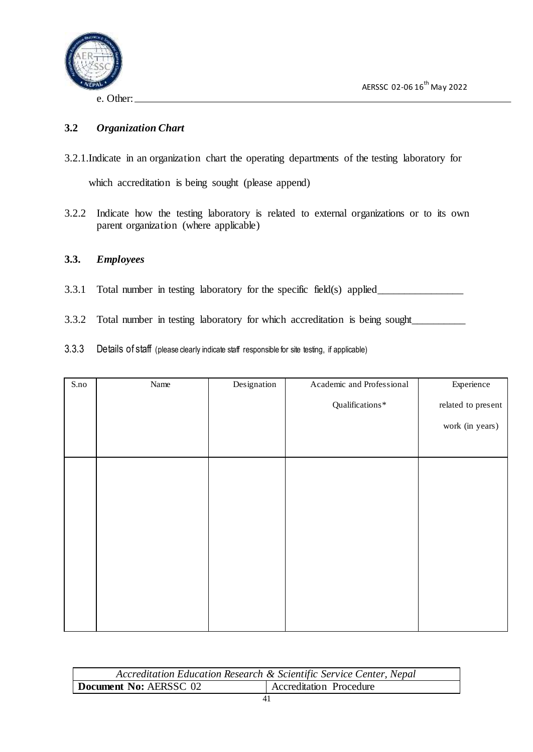

e. Other:

#### **3.2** *Organization Chart*

- 3.2.1.Indicate in an organization chart the operating departments of the testing laboratory for which accreditation is being sought (please append)
- 3.2.2 Indicate how the testing laboratory is related to external organizations or to its own parent organization (where applicable)

#### **3.3.** *Employees*

- 3.3.1 Total number in testing laboratory for the specific field(s) applied\_\_\_\_\_\_\_\_\_\_\_\_\_\_\_\_
- 3.3.2 Total number in testing laboratory for which accreditation is being sought\_\_\_\_\_\_\_\_\_\_
- 3.3.3 Details of staff (please clearly indicate staff responsible for site testing, if applicable)

| S.no | Name | Designation | Academic and Professional | Experience         |
|------|------|-------------|---------------------------|--------------------|
|      |      |             | Qualifications $*$        | related to present |
|      |      |             |                           | work (in years)    |
|      |      |             |                           |                    |
|      |      |             |                           |                    |
|      |      |             |                           |                    |
|      |      |             |                           |                    |
|      |      |             |                           |                    |
|      |      |             |                           |                    |
|      |      |             |                           |                    |
|      |      |             |                           |                    |
|      |      |             |                           |                    |

|                        | Accreditation Education Research & Scientific Service Center, Nepal |  |  |
|------------------------|---------------------------------------------------------------------|--|--|
| Document No: AERSSC 02 | Accreditation Procedure                                             |  |  |
|                        |                                                                     |  |  |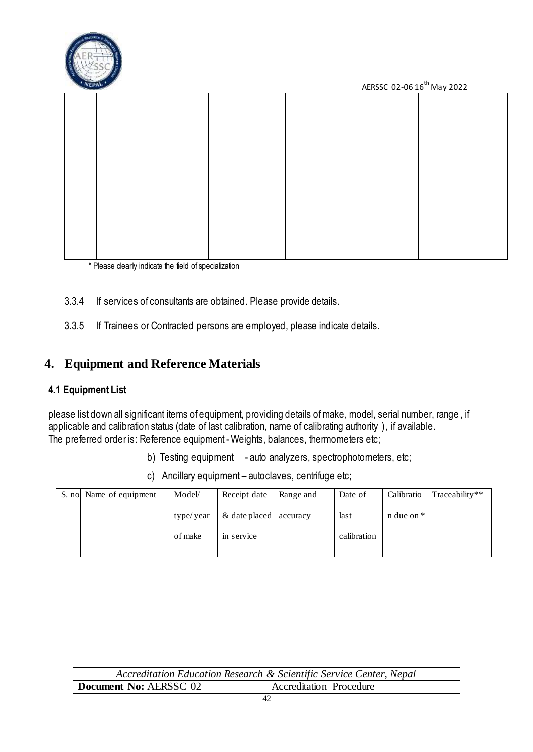



| <b>STEPHEN</b> | AERSSC 02-06 16 May 2022 |
|----------------|--------------------------|
|                |                          |
|                |                          |
|                |                          |
|                |                          |
|                |                          |
|                |                          |
|                |                          |
|                |                          |
|                |                          |
|                |                          |
|                |                          |

\* Please clearly indicate the field of specialization

- 3.3.4 If services of consultants are obtained. Please provide details.
- 3.3.5 If Trainees or Contracted persons are employed, please indicate details.

#### **4. Equipment and Reference Materials**

#### **4.1 Equipment List**

please list down all significant items of equipment, providing details of make, model, serial number, range , if applicable and calibration status (date of last calibration, name of calibrating authority ), if available. The preferred order is: Reference equipment - Weights, balances, thermometers etc;

- b) Testing equipment auto analyzers, spectrophotometers, etc;
- c) Ancillary equipment autoclaves, centrifuge etc;

| S. no Name of equipment | Model/     | Receipt date             | Range and | Date of     | Calibratio     | Traceability** |
|-------------------------|------------|--------------------------|-----------|-------------|----------------|----------------|
|                         | type/ year | & date placed   accuracy |           | last        | $n$ due on $*$ |                |
|                         | of make    | in service               |           | calibration |                |                |
|                         |            |                          |           |             |                |                |

| Accreditation Education Research & Scientific Service Center, Nepal |                         |
|---------------------------------------------------------------------|-------------------------|
| <b>Document No: AERSSC 02</b>                                       | Accreditation Procedure |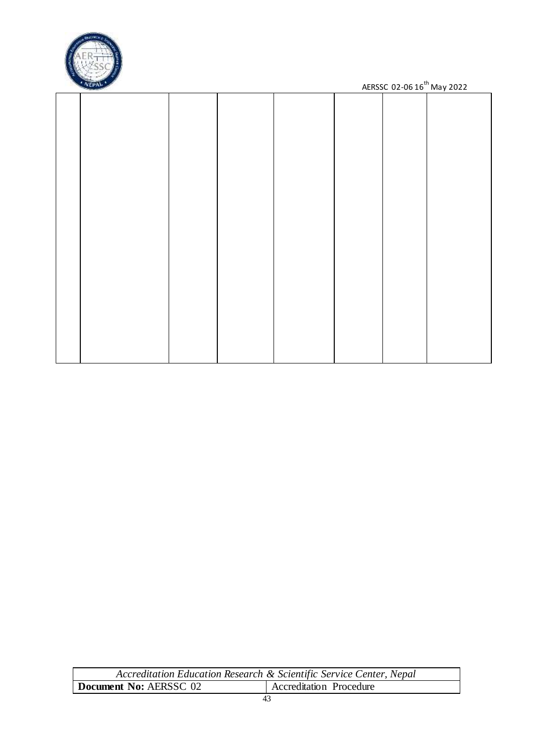

*Accreditation Education Research & Scientific Service Center, Nepal*<br> **Accreditation Procedure Document No: AERSSC 02**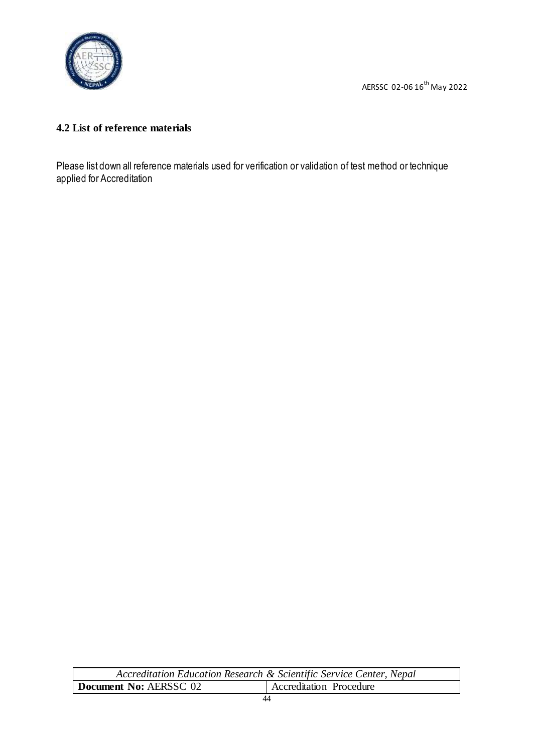

#### **4.2 List of reference materials**

Please list down all reference materials used for verification or validation of test method or technique applied for Accreditation

| Accreditation Education Research & Scientific Service Center, Nepal |                         |
|---------------------------------------------------------------------|-------------------------|
| <b>Document No: AERSSC 02</b>                                       | Accreditation Procedure |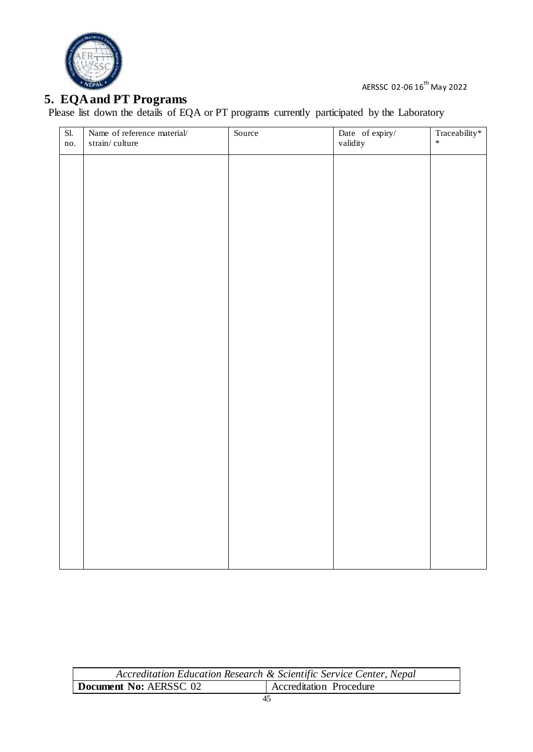

## **5. EQA and PT Programs**

Please list down the details of EQA or PT programs currently participated by the Laboratory

| SI.<br>no. | Name of reference material/<br>strain/culture | Source | Date of expiry/<br>validity | Traceability* |
|------------|-----------------------------------------------|--------|-----------------------------|---------------|
|            |                                               |        |                             |               |
|            |                                               |        |                             |               |
|            |                                               |        |                             |               |
|            |                                               |        |                             |               |
|            |                                               |        |                             |               |
|            |                                               |        |                             |               |
|            |                                               |        |                             |               |
|            |                                               |        |                             |               |
|            |                                               |        |                             |               |
|            |                                               |        |                             |               |
|            |                                               |        |                             |               |
|            |                                               |        |                             |               |
|            |                                               |        |                             |               |
|            |                                               |        |                             |               |
|            |                                               |        |                             |               |
|            |                                               |        |                             |               |

| Accreditation Education Research & Scientific Service Center, Nepal |                                |
|---------------------------------------------------------------------|--------------------------------|
| <b>Document No: AERSSC 02</b>                                       | <b>Accreditation Procedure</b> |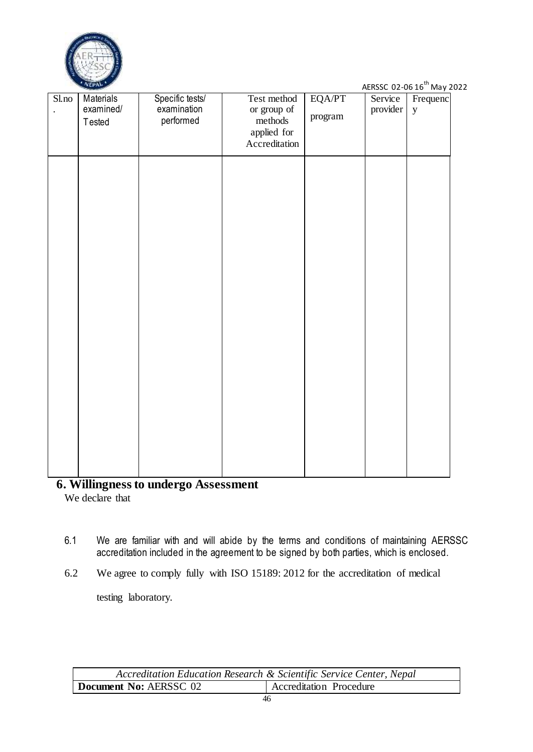

AERSSC  $02-0616^{th}$  May 2022

|                      |           |                                |               |         | HENSSE UZ-00 ID IVIDY ZU |             |  |
|----------------------|-----------|--------------------------------|---------------|---------|--------------------------|-------------|--|
| Sl.no                | Materials |                                | Test method   | EQA/PT  | Service                  | Frequenc    |  |
| $\ddot{\phantom{0}}$ | examined/ | Specific tests/<br>examination | or group of   |         | provider                 | $\mathbf y$ |  |
|                      |           |                                | methods       | program |                          |             |  |
|                      | Tested    | performed                      |               |         |                          |             |  |
|                      |           |                                | applied for   |         |                          |             |  |
|                      |           |                                | Accreditation |         |                          |             |  |
|                      |           |                                |               |         |                          |             |  |
|                      |           |                                |               |         |                          |             |  |
|                      |           |                                |               |         |                          |             |  |
|                      |           |                                |               |         |                          |             |  |
|                      |           |                                |               |         |                          |             |  |
|                      |           |                                |               |         |                          |             |  |
|                      |           |                                |               |         |                          |             |  |
|                      |           |                                |               |         |                          |             |  |
|                      |           |                                |               |         |                          |             |  |
|                      |           |                                |               |         |                          |             |  |
|                      |           |                                |               |         |                          |             |  |
|                      |           |                                |               |         |                          |             |  |
|                      |           |                                |               |         |                          |             |  |
|                      |           |                                |               |         |                          |             |  |
|                      |           |                                |               |         |                          |             |  |
|                      |           |                                |               |         |                          |             |  |
|                      |           |                                |               |         |                          |             |  |
|                      |           |                                |               |         |                          |             |  |
|                      |           |                                |               |         |                          |             |  |
|                      |           |                                |               |         |                          |             |  |
|                      |           |                                |               |         |                          |             |  |
|                      |           |                                |               |         |                          |             |  |
|                      |           |                                |               |         |                          |             |  |
|                      |           |                                |               |         |                          |             |  |
|                      |           |                                |               |         |                          |             |  |
|                      |           |                                |               |         |                          |             |  |
|                      |           |                                |               |         |                          |             |  |
|                      |           |                                |               |         |                          |             |  |
|                      |           |                                |               |         |                          |             |  |
|                      |           |                                |               |         |                          |             |  |
|                      |           |                                |               |         |                          |             |  |
|                      |           |                                |               |         |                          |             |  |
|                      |           |                                |               |         |                          |             |  |
|                      |           |                                |               |         |                          |             |  |
|                      |           |                                |               |         |                          |             |  |
|                      |           |                                |               |         |                          |             |  |
|                      |           |                                |               |         |                          |             |  |
|                      |           |                                |               |         |                          |             |  |

## **6. Willingness to undergo Assessment**

- We declare that
- 6.1 We are familiar with and will abide by the terms and conditions of maintaining AERSSC accreditation included in the agreement to be signed by both parties, which is enclosed.
- 6.2 We agree to comply fully with ISO 15189: 2012 for the accreditation of medical

testing laboratory.

*Accreditation Education Research & Scientific Service Center, Nepal* **Document No: AERSSC 02**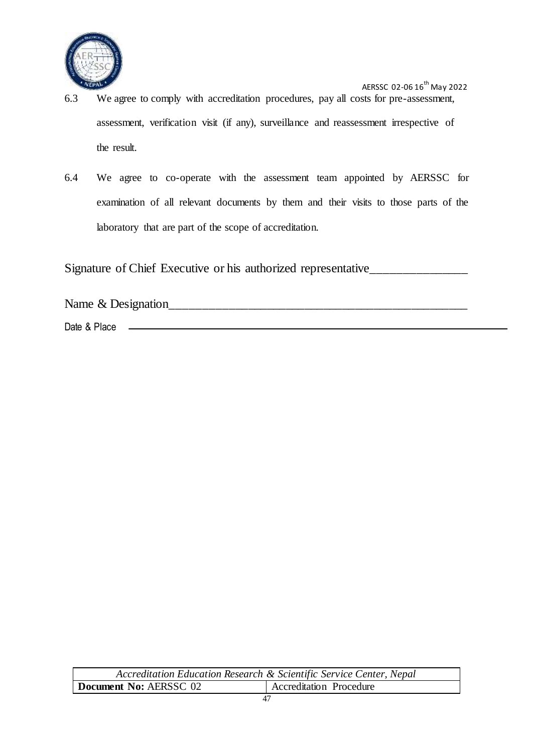

- 6.3 We agree to comply with accreditation procedures, pay all costs for pre-assessment, assessment, verification visit (if any), surveillance and reassessment irrespective of the result.
- 6.4 We agree to co-operate with the assessment team appointed by AERSSC for examination of all relevant documents by them and their visits to those parts of the laboratory that are part of the scope of accreditation.

Signature of Chief Executive or his authorized representative\_\_\_\_\_\_\_\_\_\_\_\_\_\_\_\_\_\_\_

| Name & Designation |  |  |
|--------------------|--|--|
| Date & Place       |  |  |

| Accreditation Education Research & Scientific Service Center, Nepal |                         |  |  |  |  |
|---------------------------------------------------------------------|-------------------------|--|--|--|--|
| <b>Document No: AERSSC 02</b>                                       | Accreditation Procedure |  |  |  |  |
|                                                                     |                         |  |  |  |  |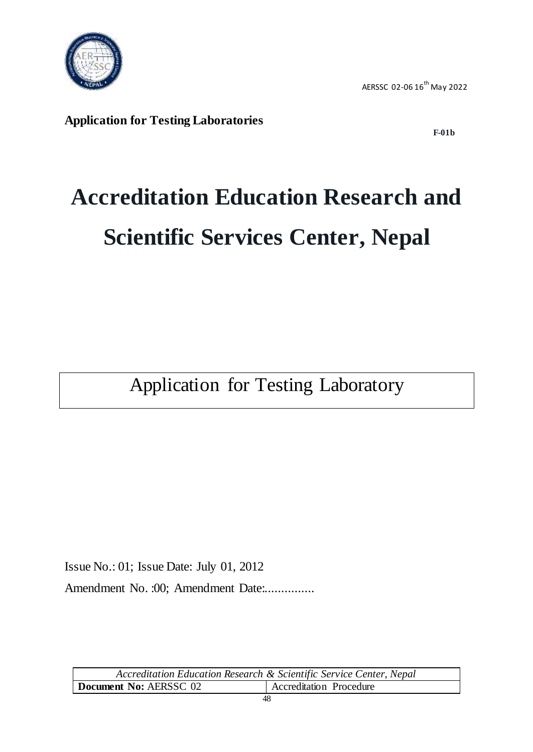

**Application for Testing Laboratories**

**F-01b**

# **Accreditation Education Research and Scientific Services Center, Nepal**

Application for Testing Laboratory

Issue No.: 01; Issue Date: July 01, 2012

Amendment No. : 00; Amendment Date:................

*Accreditation Education Research & Scientific Service Center, Nepal* **Document No: AERSSC 02** Accreditation Procedure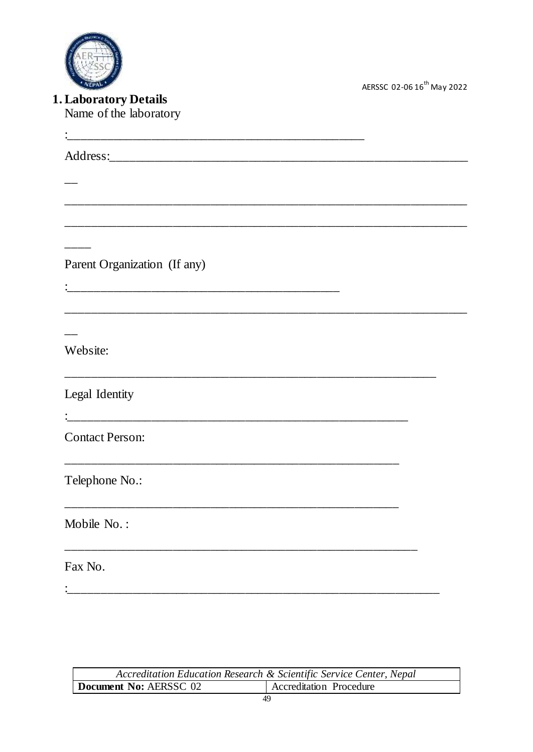

| Name of the laboratory       |  |
|------------------------------|--|
|                              |  |
|                              |  |
|                              |  |
|                              |  |
|                              |  |
|                              |  |
| Parent Organization (If any) |  |
|                              |  |
|                              |  |
|                              |  |
| Website:                     |  |
|                              |  |
| Legal Identity               |  |
|                              |  |
| <b>Contact Person:</b>       |  |
|                              |  |
|                              |  |
| Telephone No.:               |  |
|                              |  |
| Mobile No.:                  |  |
|                              |  |
| Fax No.                      |  |
|                              |  |

Accreditation Education Research & Scientific Service Center, Nepal Document No: AERSSC 02 Accreditation Procedure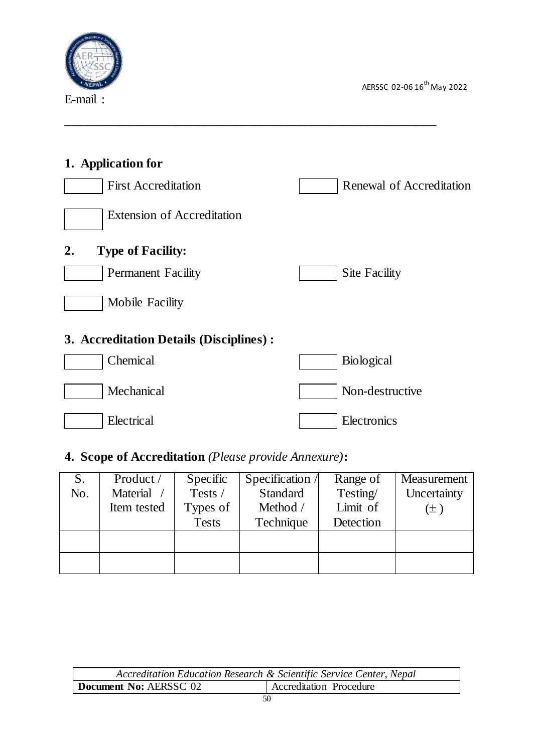

| 1. Application for                       |                          |
|------------------------------------------|--------------------------|
| <b>First Accreditation</b>               | Renewal of Accreditation |
| Extension of Accreditation               |                          |
| 2.<br><b>Type of Facility:</b>           |                          |
| <b>Permanent Facility</b>                | <b>Site Facility</b>     |
| Mobile Facility                          |                          |
| 3. Accreditation Details (Disciplines) : |                          |
| Chemical                                 | <b>Biological</b>        |
| Mechanical                               | Non-destructive          |
| Electrical                               | Electronics              |

\_\_\_\_\_\_\_\_\_\_\_\_\_\_\_\_\_\_\_\_\_\_\_\_\_\_\_\_\_\_\_\_\_\_\_\_\_\_\_\_\_\_\_\_\_\_\_\_\_\_\_\_\_\_\_\_\_\_\_

## **4. Scope of Accreditation** *(Please provide Annexure)***:**

|     | Product /   | Specific     | Specification / | Range of  | Measurement |
|-----|-------------|--------------|-----------------|-----------|-------------|
| No. | Material    | Tests /      | <b>Standard</b> | Testing/  | Uncertainty |
|     | Item tested | Types of     | Method /        | Limit of  | $(\pm )$    |
|     |             | <b>Tests</b> | Technique       | Detection |             |
|     |             |              |                 |           |             |
|     |             |              |                 |           |             |

| Accreditation Education Research & Scientific Service Center, Nepal |                         |
|---------------------------------------------------------------------|-------------------------|
| <b>Document No: AERSSC 02</b>                                       | Accreditation Procedure |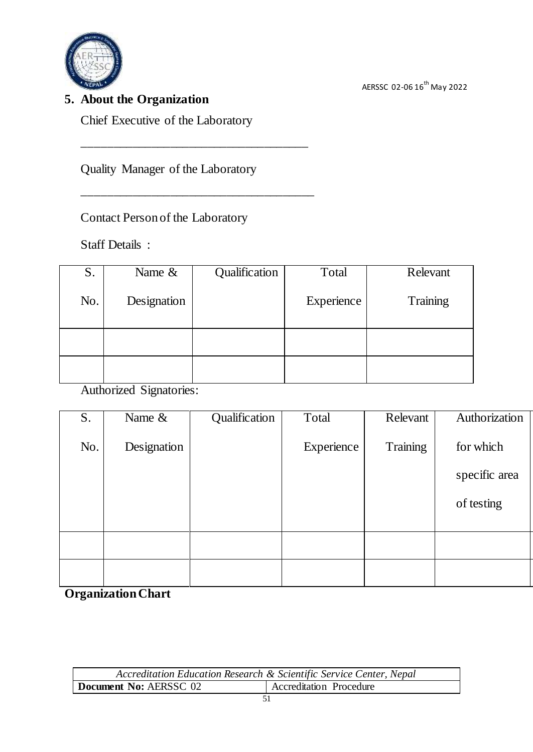

## **5. About the Organization**

Chief Executive of the Laboratory

Quality Manager of the Laboratory

\_\_\_\_\_\_\_\_\_\_\_\_\_\_\_\_\_\_\_\_\_\_\_\_\_\_\_\_\_\_\_\_\_\_\_\_

\_\_\_\_\_\_\_\_\_\_\_\_\_\_\_\_\_\_\_\_\_\_\_\_\_\_\_\_\_\_\_\_\_\_\_\_\_

Contact Person of the Laboratory

Staff Details :

| S.  | Name $\&$   | Qualification | Total      | Relevant |
|-----|-------------|---------------|------------|----------|
| No. | Designation |               | Experience | Training |
|     |             |               |            |          |
|     |             |               |            |          |

Authorized Signatories:

| S.  | Name $\&$   | Qualification | Total      | Relevant | Authorization |
|-----|-------------|---------------|------------|----------|---------------|
| No. | Designation |               | Experience | Training | for which     |
|     |             |               |            |          | specific area |
|     |             |               |            |          | of testing    |
|     |             |               |            |          |               |
|     |             |               |            |          |               |
|     |             |               |            |          |               |

## **Organization Chart**

*Accreditation Education Research & Scientific Service Center, Nepal* **Document No: AERSSC 02**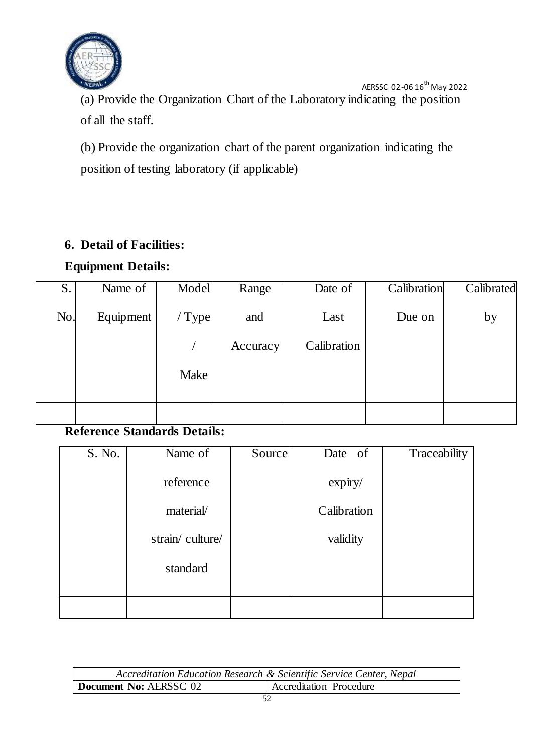

AERSSC 02-06 16<sup>th</sup> May 2022 (a) Provide the Organization Chart of the Laboratory indicating the position of all the staff.

(b) Provide the organization chart of the parent organization indicating the position of testing laboratory (if applicable)

## **6. Detail of Facilities:**

## **Equipment Details:**

| S.  | Name of   | Model    | Range    | Date of     | Calibration | Calibrated |
|-----|-----------|----------|----------|-------------|-------------|------------|
| No. | Equipment | $/$ Type | and      | Last        | Due on      | by         |
|     |           |          | Accuracy | Calibration |             |            |
|     |           | Make     |          |             |             |            |
|     |           |          |          |             |             |            |

## **Reference Standards Details:**

| S. No. | Name of         | Source | Date of     | Traceability |
|--------|-----------------|--------|-------------|--------------|
|        | reference       |        | expiry/     |              |
|        | material/       |        | Calibration |              |
|        | strain/culture/ |        | validity    |              |
|        | standard        |        |             |              |
|        |                 |        |             |              |
|        |                 |        |             |              |

| Accreditation Education Research & Scientific Service Center, Nepal |                         |  |
|---------------------------------------------------------------------|-------------------------|--|
| <b>Document No: AERSSC 02</b>                                       | Accreditation Procedure |  |
|                                                                     |                         |  |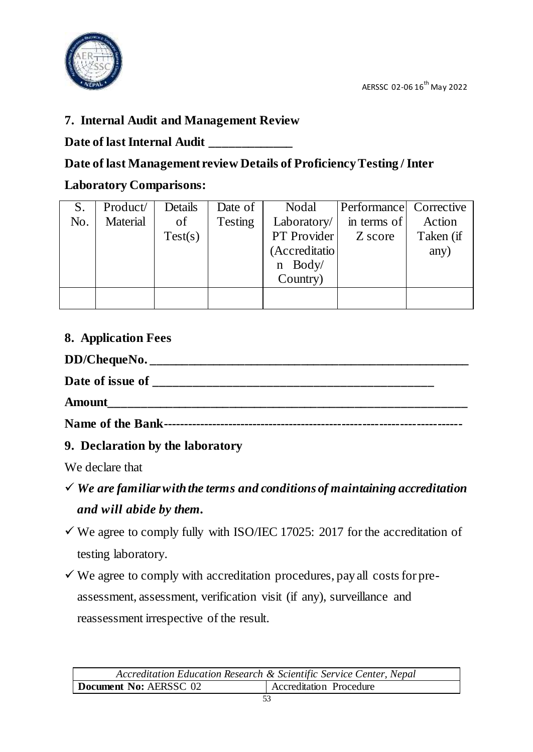

## **7. Internal Audit and Management Review**

**Date of last Internal Audit \_\_\_\_\_\_\_\_\_\_\_\_\_**

**Date of last Management review Details of Proficiency Testing / Inter** 

## **Laboratory Comparisons:**

|     | Product/ | Details | Date of | Nodal              | Performance Corrective |           |
|-----|----------|---------|---------|--------------------|------------------------|-----------|
| No. | Material | of      | Testing | Laboratory/        | in terms of            | Action    |
|     |          | Test(s) |         | <b>PT</b> Provider | Z score                | Taken (if |
|     |          |         |         | (Accreditatio)     |                        | any)      |
|     |          |         |         | n Body/            |                        |           |
|     |          |         |         | Country)           |                        |           |
|     |          |         |         |                    |                        |           |
|     |          |         |         |                    |                        |           |

## **8. Application Fees**

**DD/ChequeNo. \_\_\_\_\_\_\_\_\_\_\_\_\_\_\_\_\_\_\_\_\_\_\_\_\_\_\_\_\_\_\_\_\_\_\_\_\_\_\_\_\_\_\_\_\_\_\_\_\_\_\_**

**Date of issue of \_\_\_\_\_\_\_\_\_\_\_\_\_\_\_\_\_\_\_\_\_\_\_\_\_\_\_\_\_\_\_\_\_\_\_\_\_\_\_\_\_\_**

**Amount\_\_\_\_\_\_\_\_\_\_\_\_\_\_\_\_\_\_\_\_\_\_\_\_\_\_\_\_\_\_\_\_\_\_\_\_\_\_\_\_\_\_\_\_\_\_\_\_\_\_\_\_\_\_\_\_**

**Name of the Bank-------------------------------------------------------------------------**

## **9. Declaration by the laboratory**

We declare that

- *We are familiar with the terms and conditions of maintaining accreditation and will abide by them.*
- $\checkmark$  We agree to comply fully with ISO/IEC 17025: 2017 for the accreditation of testing laboratory.
- $\checkmark$  We agree to comply with accreditation procedures, pay all costs for preassessment, assessment, verification visit (if any), surveillance and reassessment irrespective of the result.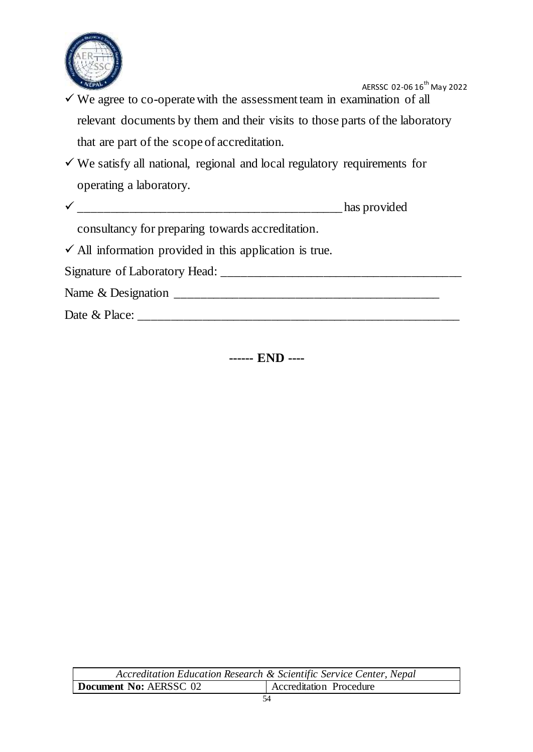

- $\checkmark$  We agree to co-operate with the assessment team in examination of all relevant documents by them and their visits to those parts of the laboratory that are part of the scope of accreditation.
- We satisfy all national, regional and local regulatory requirements for operating a laboratory.

| $\checkmark$                                                       | has provided |
|--------------------------------------------------------------------|--------------|
| consultancy for preparing towards accreditation.                   |              |
| $\checkmark$ All information provided in this application is true. |              |
|                                                                    |              |
|                                                                    |              |
| Date $\&$ Place:                                                   |              |

**------ END ----**

| Accreditation Education Research & Scientific Service Center, Nepal |                         |  |
|---------------------------------------------------------------------|-------------------------|--|
| <b>Document No: AERSSC 02</b>                                       | Accreditation Procedure |  |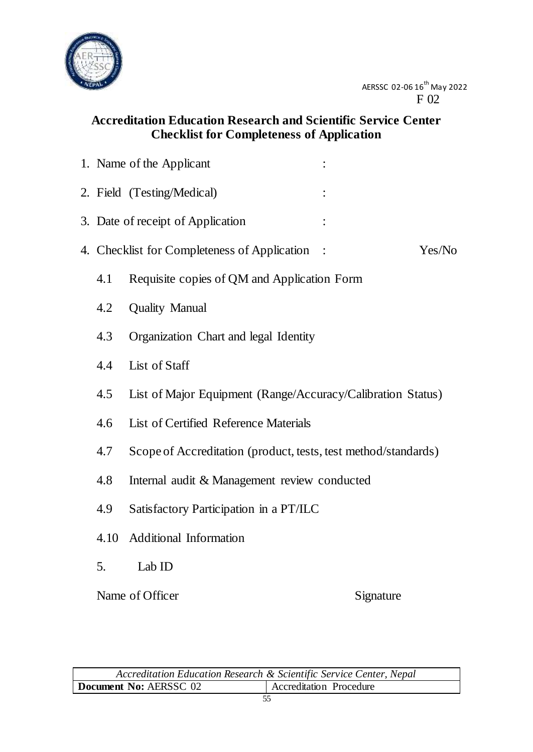

## **Accreditation Education Research and Scientific Service Center Checklist for Completeness of Application**

|      | 1. Name of the Applicant                                       |        |
|------|----------------------------------------------------------------|--------|
|      | 2. Field (Testing/Medical)                                     |        |
|      | 3. Date of receipt of Application                              |        |
|      | 4. Checklist for Completeness of Application :                 | Yes/No |
| 4.1  | Requisite copies of QM and Application Form                    |        |
| 4.2  | <b>Quality Manual</b>                                          |        |
| 4.3  | Organization Chart and legal Identity                          |        |
| 4.4  | List of Staff                                                  |        |
| 4.5  | List of Major Equipment (Range/Accuracy/Calibration Status)    |        |
| 4.6  | List of Certified Reference Materials                          |        |
| 4.7  | Scope of Accreditation (product, tests, test method/standards) |        |
| 4.8  | Internal audit & Management review conducted                   |        |
| 4.9  | Satisfactory Participation in a PT/ILC                         |        |
| 4.10 | <b>Additional Information</b>                                  |        |
| 5.   | Lab ID                                                         |        |

Name of Officer Signature

*Accreditation Education Research & Scientific Service Center, Nepal*<br>**nt No:** AERSSC 02 <br>**Accreditation Procedure Document No: AERSSC 02**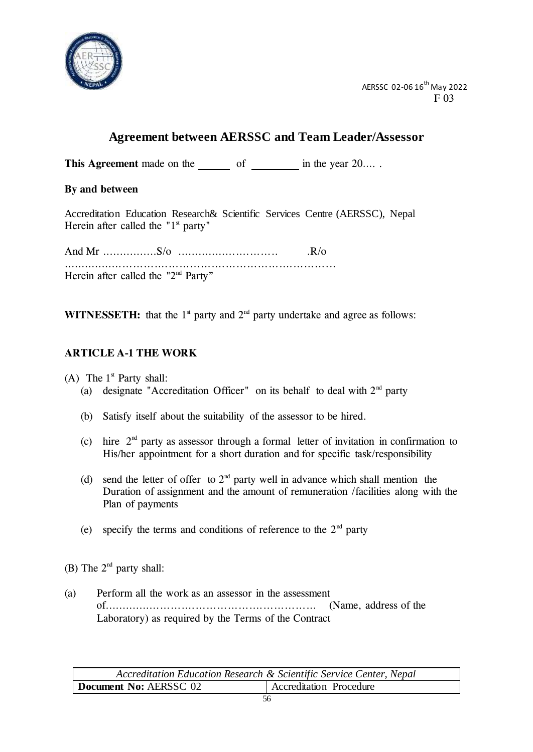

#### **Agreement between AERSSC and Team Leader/Assessor**

**This Agreement** made on the of in the year 20.....

#### **By and between**

Accreditation Education Research& Scientific Services Centre (AERSSC), Nepal Herein after called the " $1<sup>st</sup>$  party"

And Mr ................S/o ............................. .R/o ............................................................................. Herein after called the " $2<sup>nd</sup>$  Party"

**WITNESSETH:** that the  $1^{\text{st}}$  party and  $2^{\text{nd}}$  party undertake and agree as follows:

#### **ARTICLE A-1 THE WORK**

(A) The  $1<sup>st</sup>$  Party shall:

- (a) designate "Accreditation Officer" on its behalf to deal with  $2<sup>nd</sup>$  party
- (b) Satisfy itself about the suitability of the assessor to be hired.
- (c) hire  $2<sup>nd</sup>$  party as assessor through a formal letter of invitation in confirmation to His/her appointment for a short duration and for specific task/responsibility
- (d) send the letter of offer to  $2<sup>nd</sup>$  party well in advance which shall mention the Duration of assignment and the amount of remuneration /facilities along with the Plan of payments
- (e) specify the terms and conditions of reference to the  $2<sup>nd</sup>$  party
- (B) The  $2^{nd}$  party shall:
- (a) Perform all the work as an assessor in the assessment of............................................................ (Name, address of the Laboratory) as required by the Terms of the Contract

*Accreditation Education Research & Scientific Service Center, Nepal* **Document No: AERSSC 02** Accreditation Procedure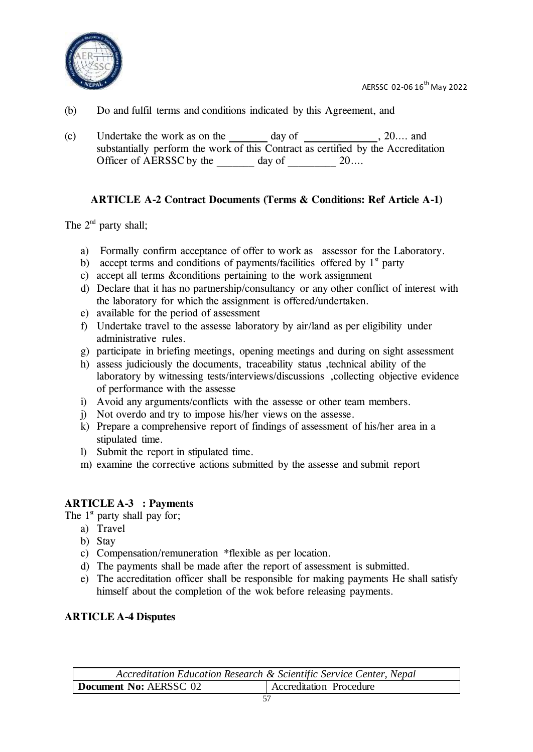



- (b) Do and fulfil terms and conditions indicated by this Agreement, and
- (c) Undertake the work as on the day of , 20... and substantially perform the work of this Contract as certified by the Accreditation Officer of AERSSC by the  $\qquad \qquad$  day of  $\qquad \qquad$  20...

#### **ARTICLE A-2 Contract Documents (Terms & Conditions: Ref Article A-1)**

The  $2<sup>nd</sup>$  party shall;

- a) Formally confirm acceptance of offer to work as assessor for the Laboratory.
- b) accept terms and conditions of payments/facilities offered by  $1<sup>s</sup>$  party
- c) accept all terms &conditions pertaining to the work assignment
- d) Declare that it has no partnership/consultancy or any other conflict of interest with the laboratory for which the assignment is offered/undertaken.
- e) available for the period of assessment
- f) Undertake travel to the assesse laboratory by air/land as per eligibility under administrative rules.
- g) participate in briefing meetings, opening meetings and during on sight assessment
- h) assess judiciously the documents, traceability status ,technical ability of the laboratory by witnessing tests/interviews/discussions ,collecting objective evidence of performance with the assesse
- i) Avoid any arguments/conflicts with the assesse or other team members.
- j) Not overdo and try to impose his/her views on the assesse.
- k) Prepare a comprehensive report of findings of assessment of his/her area in a stipulated time.
- l) Submit the report in stipulated time.
- m) examine the corrective actions submitted by the assesse and submit report

#### **ARTICLE A-3 : Payments**

The  $1<sup>st</sup>$  party shall pay for;

- a) Travel
- b) Stay
- c) Compensation/remuneration \*flexible as per location.
- d) The payments shall be made after the report of assessment is submitted.
- e) The accreditation officer shall be responsible for making payments He shall satisfy himself about the completion of the wok before releasing payments.

#### **ARTICLE A-4 Disputes**

| Accreditation Education Research & Scientific Service Center, Nepal |                         |
|---------------------------------------------------------------------|-------------------------|
| Document No: AERSSC 02                                              | Accreditation Procedure |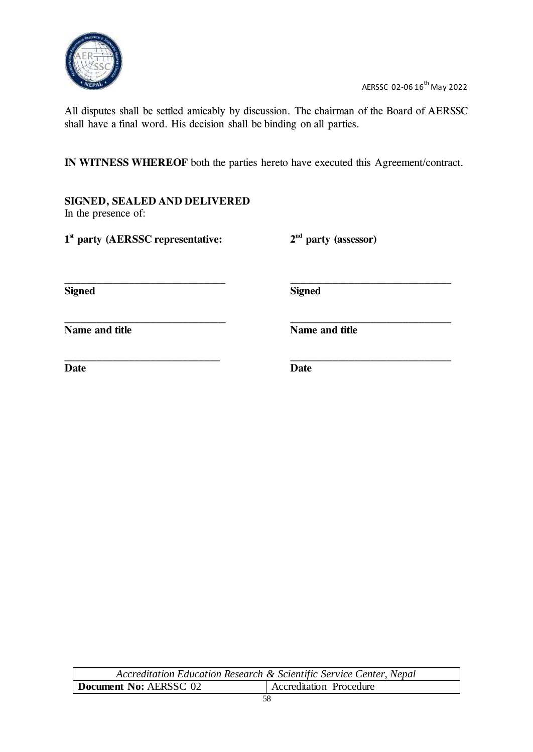

All disputes shall be settled amicably by discussion. The chairman of the Board of AERSSC shall have a final word. His decision shall be binding on all parties.

**IN WITNESS WHEREOF** both the parties hereto have executed this Agreement/contract.

**SIGNED, SEALED AND DELIVERED** In the presence of:

| 1 <sup>st</sup> party (AERSSC representative: | $2nd$ party (assessor) |
|-----------------------------------------------|------------------------|
| <b>Signed</b>                                 | <b>Signed</b>          |
| Name and title                                | Name and title         |
| <b>Date</b>                                   | <b>Date</b>            |

| Accreditation Education Research & Scientific Service Center, Nepal |                         |
|---------------------------------------------------------------------|-------------------------|
| <b>Document No: AERSSC 02</b>                                       | Accreditation Procedure |
|                                                                     |                         |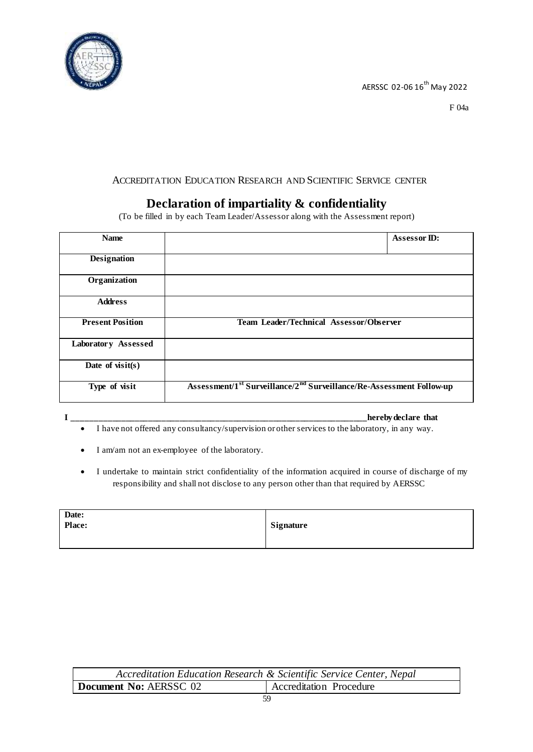

#### ACCREDITATION EDUCATION RESEARCH AND SCIENTIFIC SERVICE CENTER

#### **Declaration of impartiality & confidentiality**

(To be filled in by each Team Leader/Assessor along with the Assessment report)

| <b>Name</b>                | <b>Assessor ID:</b>                                                                          |
|----------------------------|----------------------------------------------------------------------------------------------|
| Designation                |                                                                                              |
| Organization               |                                                                                              |
| <b>Address</b>             |                                                                                              |
| <b>Present Position</b>    | <b>Team Leader/Technical Assessor/Observer</b>                                               |
| <b>Laboratory Assessed</b> |                                                                                              |
| Date of $visit(s)$         |                                                                                              |
| Type of visit              | Assessment/1 <sup>st</sup> Surveillance/2 <sup>nd</sup> Surveillance/Re-Assessment Follow-up |

**I \_\_\_\_\_\_\_\_\_\_\_\_\_\_\_\_\_\_\_\_\_\_\_\_\_\_\_\_\_\_\_\_\_\_\_\_\_\_\_\_\_\_\_\_\_\_\_\_\_\_\_\_\_\_\_\_\_\_\_\_\_\_\_\_\_\_hereby declare that**

I have not offered any consultancy/supervision or other services to the laboratory, in any way.

- I am/am not an ex-employee of the laboratory.
- I undertake to maintain strict confidentiality of the information acquired in course of discharge of my responsibility and shall not disclose to any person other than that required by AERSSC

| Date:<br><b>Place:</b> | Signature |
|------------------------|-----------|
|                        |           |

| Accreditation Education Research & Scientific Service Center, Nepal |                         |
|---------------------------------------------------------------------|-------------------------|
| <b>Document No: AERSSC 02</b>                                       | Accreditation Procedure |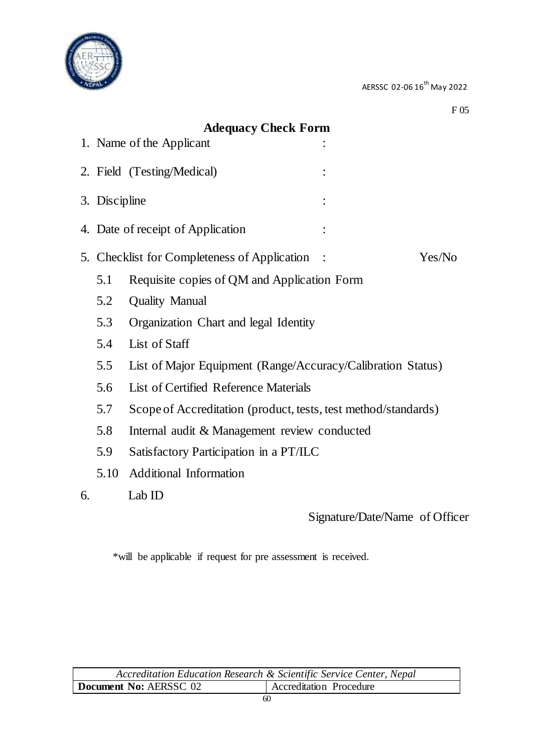

F 05

|    |               | <b>Adequacy Check Form</b><br>1. Name of the Applicant         |                                |        |
|----|---------------|----------------------------------------------------------------|--------------------------------|--------|
|    |               | 2. Field (Testing/Medical)                                     |                                |        |
|    | 3. Discipline |                                                                |                                |        |
|    |               | 4. Date of receipt of Application                              |                                |        |
|    |               | 5. Checklist for Completeness of Application                   |                                | Yes/No |
|    | 5.1           | Requisite copies of QM and Application Form                    |                                |        |
|    | 5.2           | <b>Quality Manual</b>                                          |                                |        |
|    | 5.3           | Organization Chart and legal Identity                          |                                |        |
|    | 5.4           | List of Staff                                                  |                                |        |
|    | 5.5           | List of Major Equipment (Range/Accuracy/Calibration Status)    |                                |        |
|    | 5.6           | List of Certified Reference Materials                          |                                |        |
|    | 5.7           | Scope of Accreditation (product, tests, test method/standards) |                                |        |
|    | 5.8           | Internal audit & Management review conducted                   |                                |        |
|    | 5.9           | Satisfactory Participation in a PT/ILC                         |                                |        |
|    | 5.10          | <b>Additional Information</b>                                  |                                |        |
| 6. |               | Lab ID                                                         |                                |        |
|    |               |                                                                | Signature/Date/Name of Officer |        |

\*will be applicable if request for pre assessment is received.

*Accreditation Education Research & Scientific Service Center, Nepal*<br>**nt No:** AERSSC 02 <br>Accreditation Procedure **Document No: AERSSC 02**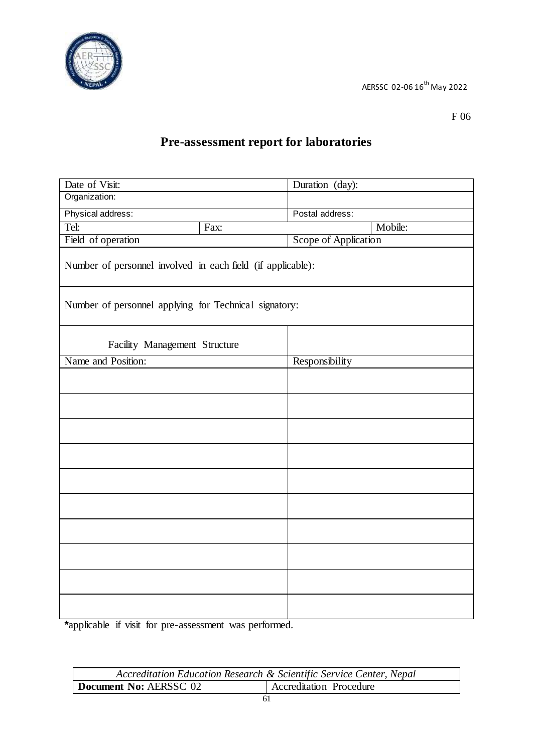

F 06

## **Pre-assessment report for laboratories**

| Date of Visit:                                              |      | Duration (day):      |
|-------------------------------------------------------------|------|----------------------|
| Organization:                                               |      |                      |
| Physical address:                                           |      | Postal address:      |
| Tel:                                                        | Fax: | Mobile:              |
| Field of operation                                          |      | Scope of Application |
| Number of personnel involved in each field (if applicable): |      |                      |
| Number of personnel applying for Technical signatory:       |      |                      |
| Facility Management Structure                               |      |                      |
| Name and Position:                                          |      | Responsibility       |
|                                                             |      |                      |
|                                                             |      |                      |
|                                                             |      |                      |
|                                                             |      |                      |
|                                                             |      |                      |
|                                                             |      |                      |
|                                                             |      |                      |
|                                                             |      |                      |
|                                                             |      |                      |
|                                                             |      |                      |

**\***applicable if visit for pre-assessment was performed.

| Accreditation Education Research & Scientific Service Center, Nepal |                                |
|---------------------------------------------------------------------|--------------------------------|
| <b>Document No: AERSSC 02</b>                                       | <b>Accreditation Procedure</b> |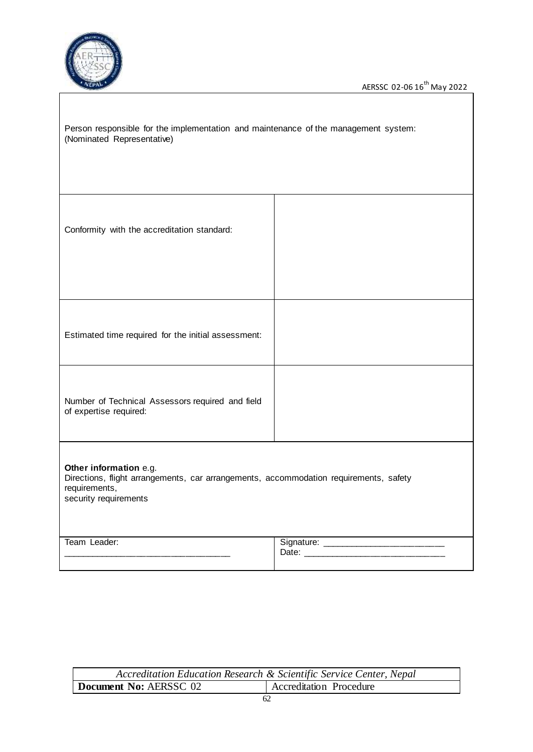

Person responsible for the implementation and maintenance of the management system: (Nominated Representative)

| Conformity with the accreditation standard:                                                                                                               |                                                                                                                                                                                                                                                                         |  |
|-----------------------------------------------------------------------------------------------------------------------------------------------------------|-------------------------------------------------------------------------------------------------------------------------------------------------------------------------------------------------------------------------------------------------------------------------|--|
| Estimated time required for the initial assessment:                                                                                                       |                                                                                                                                                                                                                                                                         |  |
| Number of Technical Assessors required and field<br>of expertise required:                                                                                |                                                                                                                                                                                                                                                                         |  |
| Other information e.g.<br>Directions, flight arrangements, car arrangements, accommodation requirements, safety<br>requirements,<br>security requirements |                                                                                                                                                                                                                                                                         |  |
| Team Leader:                                                                                                                                              | Signature: __________________________<br>Date: experience and a series of the series of the series of the series of the series of the series of the series of the series of the series of the series of the series of the series of the series of the series of the ser |  |

| Accreditation Education Research & Scientific Service Center, Nepal |                                |
|---------------------------------------------------------------------|--------------------------------|
| <b>Document No: AERSSC 02</b>                                       | <b>Accreditation Procedure</b> |
|                                                                     |                                |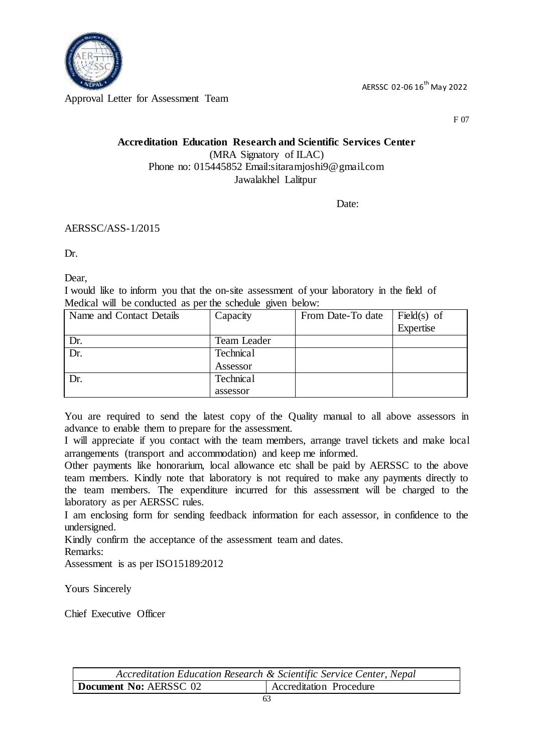

Approval Letter for Assessment Team

F 07

#### **Accreditation Education Research and Scientific Services Center** (MRA Signatory of ILAC) Phone no: 015445852 Email:sitaramjoshi9@gmail.com Jawalakhel Lalitpur

Date:

#### AERSSC/ASS-1/2015

Dr.

Dear,

I would like to inform you that the on-site assessment of your laboratory in the field of Medical will be conducted as per the schedule given below:

| Name and Contact Details | Capacity    | From Date-To date | Field(s) of |
|--------------------------|-------------|-------------------|-------------|
|                          |             |                   | Expertise   |
| Dr.                      | Team Leader |                   |             |
| Dr.                      | Technical   |                   |             |
|                          | Assessor    |                   |             |
| Dr.                      | Technical   |                   |             |
|                          | assessor    |                   |             |

You are required to send the latest copy of the Quality manual to all above assessors in advance to enable them to prepare for the assessment.

I will appreciate if you contact with the team members, arrange travel tickets and make local arrangements (transport and accommodation) and keep me informed.

Other payments like honorarium, local allowance etc shall be paid by AERSSC to the above team members. Kindly note that laboratory is not required to make any payments directly to the team members. The expenditure incurred for this assessment will be charged to the laboratory as per AERSSC rules.

I am enclosing form for sending feedback information for each assessor, in confidence to the undersigned.

Kindly confirm the acceptance of the assessment team and dates.

Remarks:

Assessment is as per ISO15189:2012

Yours Sincerely

Chief Executive Officer

*Accreditation Education Research & Scientific Service Center, Nepal* **Document No: AERSSC 02** Accreditation Procedure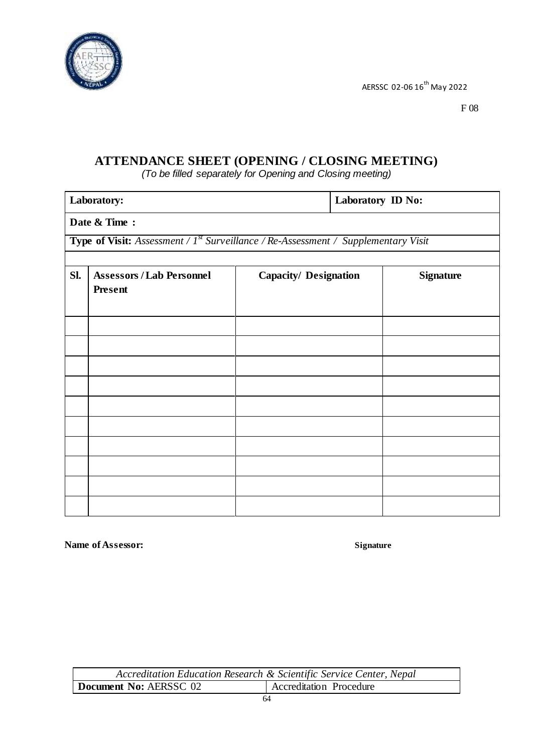

## **ATTENDANCE SHEET (OPENING / CLOSING MEETING)**

*(To be filled separately for Opening and Closing meeting)*

|     | Laboratory:                                                                                 |                              | Laboratory ID No: |                  |
|-----|---------------------------------------------------------------------------------------------|------------------------------|-------------------|------------------|
|     | Date & Time:                                                                                |                              |                   |                  |
|     | <b>Type of Visit:</b> Assessment / $Ist$ Surveillance / Re-Assessment / Supplementary Visit |                              |                   |                  |
|     |                                                                                             |                              |                   |                  |
| SI. | <b>Assessors / Lab Personnel</b><br><b>Present</b>                                          | <b>Capacity/ Designation</b> |                   | <b>Signature</b> |
|     |                                                                                             |                              |                   |                  |
|     |                                                                                             |                              |                   |                  |
|     |                                                                                             |                              |                   |                  |
|     |                                                                                             |                              |                   |                  |
|     |                                                                                             |                              |                   |                  |
|     |                                                                                             |                              |                   |                  |
|     |                                                                                             |                              |                   |                  |
|     |                                                                                             |                              |                   |                  |
|     |                                                                                             |                              |                   |                  |
|     |                                                                                             |                              |                   |                  |

**Name of Assessor: Signature** 

*Accreditation Education Research & Scientific Service Center, Nepal*<br> **Accreditation Procedure Document No: AERSSC 02**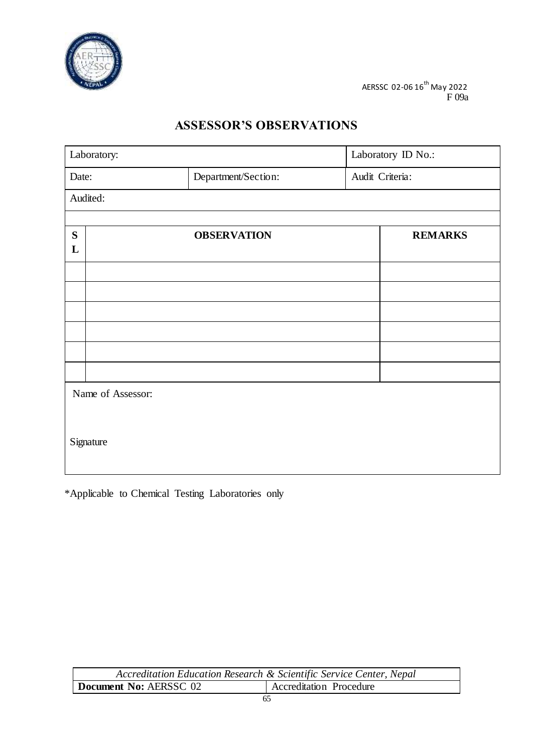

## **ASSESSOR'S OBSERVATIONS**

|        | Laboratory:       |                     |                 | Laboratory ID No.: |
|--------|-------------------|---------------------|-----------------|--------------------|
| Date:  |                   | Department/Section: | Audit Criteria: |                    |
|        | Audited:          |                     |                 |                    |
|        |                   |                     |                 |                    |
| S<br>L |                   | <b>OBSERVATION</b>  |                 | <b>REMARKS</b>     |
|        |                   |                     |                 |                    |
|        |                   |                     |                 |                    |
|        |                   |                     |                 |                    |
|        |                   |                     |                 |                    |
|        |                   |                     |                 |                    |
|        |                   |                     |                 |                    |
|        | Name of Assessor: |                     |                 |                    |
|        |                   |                     |                 |                    |
|        | Signature         |                     |                 |                    |

\*Applicable to Chemical Testing Laboratories only

| Accreditation Education Research & Scientific Service Center, Nepal |                         |
|---------------------------------------------------------------------|-------------------------|
| <b>Document No: AERSSC 02</b>                                       | Accreditation Procedure |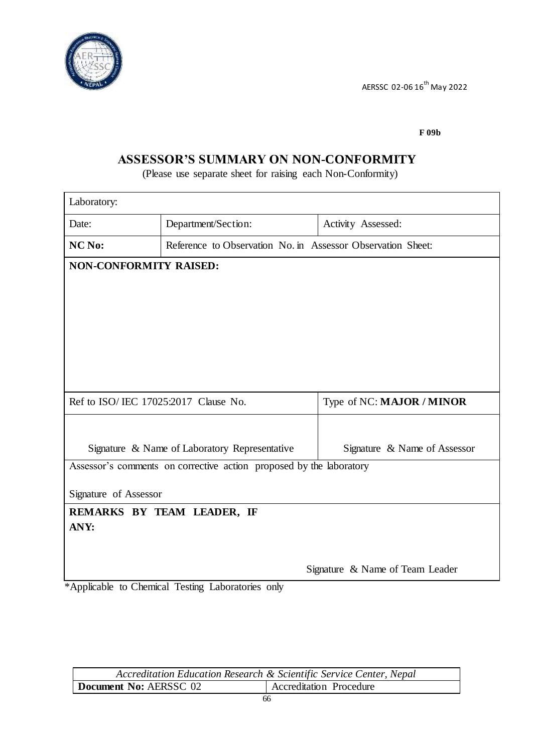

**F 09b**

#### **ASSESSOR'S SUMMARY ON NON-CONFORMITY**

(Please use separate sheet for raising each Non-Conformity)

| Laboratory:                                                         |                                                             |                                 |
|---------------------------------------------------------------------|-------------------------------------------------------------|---------------------------------|
| Date:                                                               | Department/Section:                                         | Activity Assessed:              |
| NC No:                                                              | Reference to Observation No. in Assessor Observation Sheet: |                                 |
| <b>NON-CONFORMITY RAISED:</b>                                       |                                                             |                                 |
|                                                                     |                                                             |                                 |
|                                                                     |                                                             |                                 |
|                                                                     |                                                             |                                 |
|                                                                     |                                                             |                                 |
|                                                                     |                                                             |                                 |
| Ref to ISO/ IEC 17025:2017 Clause No.                               |                                                             | Type of NC: MAJOR / MINOR       |
|                                                                     |                                                             |                                 |
| Signature & Name of Laboratory Representative                       |                                                             | Signature & Name of Assessor    |
| Assessor's comments on corrective action proposed by the laboratory |                                                             |                                 |
| Signature of Assessor                                               |                                                             |                                 |
|                                                                     | REMARKS BY TEAM LEADER, IF                                  |                                 |
| ANY:                                                                |                                                             |                                 |
|                                                                     |                                                             |                                 |
|                                                                     |                                                             | Signature & Name of Team Leader |

\*Applicable to Chemical Testing Laboratories only

*Accreditation Education Research & Scientific Service Center, Nepal*<br>**Accreditation Procedure Document No: AERSSC 02**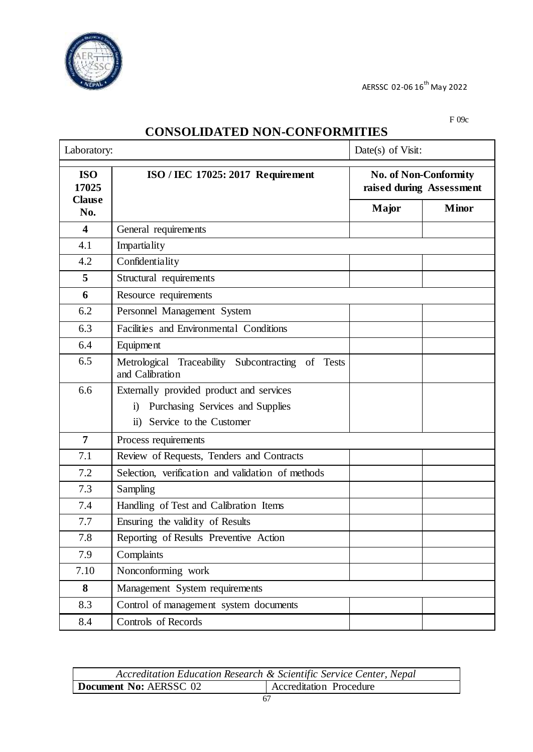

F 09c

## **CONSOLIDATED NON-CONFORMITIES**

| Laboratory:             |                                                                      | Date(s) of Visit:                                        |              |  |
|-------------------------|----------------------------------------------------------------------|----------------------------------------------------------|--------------|--|
| <b>ISO</b><br>17025     | ISO / IEC 17025: 2017 Requirement                                    | <b>No. of Non-Conformity</b><br>raised during Assessment |              |  |
| <b>Clause</b><br>No.    |                                                                      | <b>Major</b>                                             | <b>Minor</b> |  |
| $\overline{\mathbf{4}}$ | General requirements                                                 |                                                          |              |  |
| 4.1                     | Impartiality                                                         |                                                          |              |  |
| 4.2                     | Confidentiality                                                      |                                                          |              |  |
| 5                       | Structural requirements                                              |                                                          |              |  |
| 6                       | Resource requirements                                                |                                                          |              |  |
| 6.2                     | Personnel Management System                                          |                                                          |              |  |
| 6.3                     | Facilities and Environmental Conditions                              |                                                          |              |  |
| 6.4                     | Equipment                                                            |                                                          |              |  |
| 6.5                     | Metrological Traceability Subcontracting of Tests<br>and Calibration |                                                          |              |  |
| 6.6                     | Externally provided product and services                             |                                                          |              |  |
|                         | Purchasing Services and Supplies<br>i)                               |                                                          |              |  |
|                         | ii) Service to the Customer                                          |                                                          |              |  |
| $\overline{7}$          | Process requirements                                                 |                                                          |              |  |
| 7.1                     | Review of Requests, Tenders and Contracts                            |                                                          |              |  |
| 7.2                     | Selection, verification and validation of methods                    |                                                          |              |  |
| 7.3                     | Sampling                                                             |                                                          |              |  |
| 7.4                     | Handling of Test and Calibration Items                               |                                                          |              |  |
| 7.7                     | Ensuring the validity of Results                                     |                                                          |              |  |
| 7.8                     | Reporting of Results Preventive Action                               |                                                          |              |  |
| 7.9                     | Complaints                                                           |                                                          |              |  |
| 7.10                    | Nonconforming work                                                   |                                                          |              |  |
| 8                       | Management System requirements                                       |                                                          |              |  |
| 8.3                     | Control of management system documents                               |                                                          |              |  |
| 8.4                     | Controls of Records                                                  |                                                          |              |  |

*Accreditation Education Research & Scientific Service Center, Nepal*<br> **Accreditation Procedure Document No: AERSSC 02**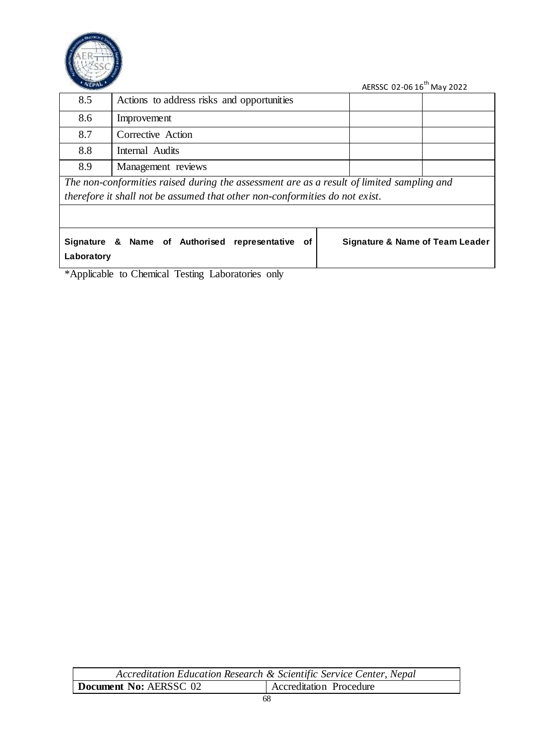

|     |                                                                                           | AERSSC 02-06 16 <sup>th</sup> May 2022 |  |
|-----|-------------------------------------------------------------------------------------------|----------------------------------------|--|
| 8.5 | Actions to address risks and opportunities                                                |                                        |  |
| 8.6 | Improvement                                                                               |                                        |  |
| 8.7 | Corrective Action                                                                         |                                        |  |
| 8.8 | Internal Audits                                                                           |                                        |  |
| 8.9 | Management reviews                                                                        |                                        |  |
|     | The non-conformities raised during the assessment are as a result of limited sampling and |                                        |  |
|     |                                                                                           |                                        |  |

*therefore it shall not be assumed that other non-conformities do not exist.* 

|            |  |  | Signature & Name of Authorised representative of | <b>Signature &amp; Name of Team Leader</b> |
|------------|--|--|--------------------------------------------------|--------------------------------------------|
| Laboratory |  |  |                                                  |                                            |

\*Applicable to Chemical Testing Laboratories only

| Accreditation Education Research & Scientific Service Center, Nepal |                                |
|---------------------------------------------------------------------|--------------------------------|
| <b>Document No: AERSSC 02</b>                                       | <b>Accreditation Procedure</b> |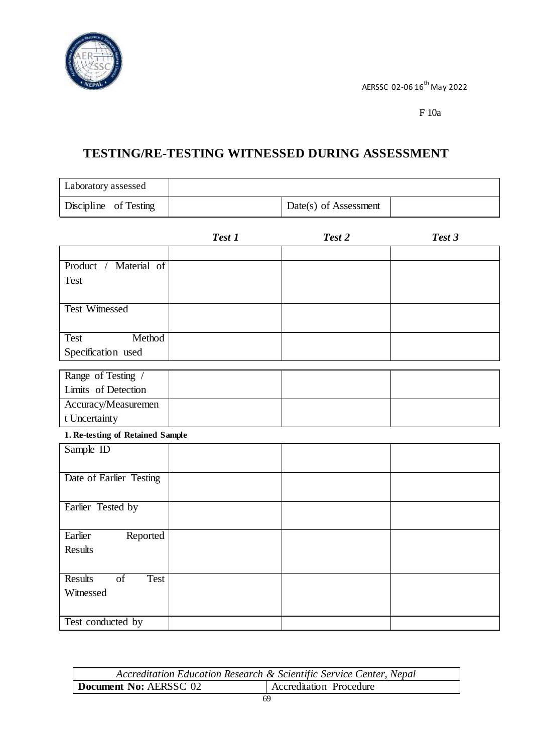

## **TESTING/RE-TESTING WITNESSED DURING ASSESSMENT**

| Laboratory assessed   |                       |  |
|-----------------------|-----------------------|--|
| Discipline of Testing | Date(s) of Assessment |  |

|                                           | Test 1 | Test 2 | Test 3 |
|-------------------------------------------|--------|--------|--------|
|                                           |        |        |        |
| Product / Material of                     |        |        |        |
| <b>Test</b>                               |        |        |        |
|                                           |        |        |        |
| <b>Test Witnessed</b>                     |        |        |        |
|                                           |        |        |        |
| Method<br><b>Test</b>                     |        |        |        |
| Specification used                        |        |        |        |
| Range of Testing /                        |        |        |        |
| Limits of Detection                       |        |        |        |
|                                           |        |        |        |
| Accuracy/Measuremen                       |        |        |        |
| t Uncertainty                             |        |        |        |
| 1. Re-testing of Retained Sample          |        |        |        |
| Sample ID                                 |        |        |        |
|                                           |        |        |        |
| Date of Earlier Testing                   |        |        |        |
|                                           |        |        |        |
| Earlier Tested by                         |        |        |        |
|                                           |        |        |        |
| Earlier<br>Reported                       |        |        |        |
| <b>Results</b>                            |        |        |        |
|                                           |        |        |        |
| <b>Results</b><br>Test<br>$\overline{of}$ |        |        |        |
| Witnessed                                 |        |        |        |
|                                           |        |        |        |
| Test conducted by                         |        |        |        |

*Accreditation Education Research & Scientific Service Center, Nepal*<br> **Accreditation Procedure Document No: AERSSC 02**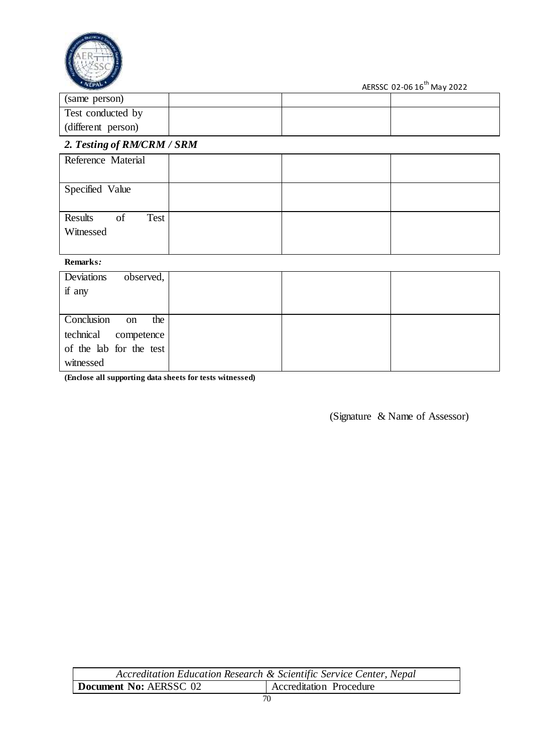

| (same person)      |  |  |
|--------------------|--|--|
| Test conducted by  |  |  |
| (different person) |  |  |

## *2. Testing of RM/CRM / SRM*

| Reference Material                     |  |  |
|----------------------------------------|--|--|
| Specified Value                        |  |  |
| Results of<br><b>Test</b><br>Witnessed |  |  |

#### **Remarks***:*

| Deviations<br>observed, |  |  |
|-------------------------|--|--|
| if any                  |  |  |
|                         |  |  |
| Conclusion<br>the<br>on |  |  |
| technical competence    |  |  |
| of the lab for the test |  |  |
| witnessed               |  |  |

**(Enclose all supporting data sheets for tests witnessed)**

## (Signature & Name of Assessor)

| Accreditation Education Research & Scientific Service Center, Nepal |                         |  |  |  |
|---------------------------------------------------------------------|-------------------------|--|--|--|
| <b>Document No: AERSSC 02</b>                                       | Accreditation Procedure |  |  |  |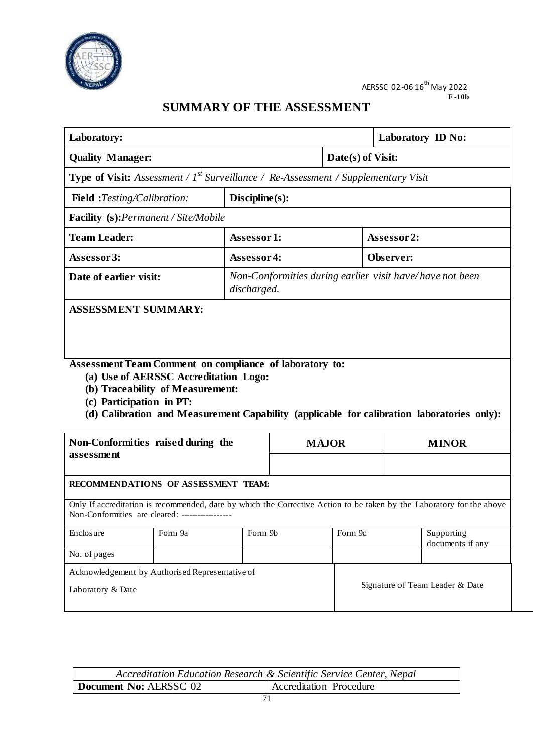

## **SUMMARY OF THE ASSESSMENT**

|                                                                                                                                                                           |            |                            |  |              |  | Laboratory ID No:                                                                                          |
|---------------------------------------------------------------------------------------------------------------------------------------------------------------------------|------------|----------------------------|--|--------------|--|------------------------------------------------------------------------------------------------------------|
| <b>Quality Manager:</b>                                                                                                                                                   |            | Date(s) of Visit:          |  |              |  |                                                                                                            |
| <b>Type of Visit:</b> Assessment / $I^{st}$ Surveillance / Re-Assessment / Supplementary Visit                                                                            |            |                            |  |              |  |                                                                                                            |
| <b>Field</b> :Testing/Calibration:                                                                                                                                        |            | Discipher(s):              |  |              |  |                                                                                                            |
| <b>Facility</b> (s): Permanent / Site/Mobile                                                                                                                              |            |                            |  |              |  |                                                                                                            |
| <b>Team Leader:</b>                                                                                                                                                       |            | Assessor 1:<br>Assessor 2: |  |              |  |                                                                                                            |
| Assessor 3:                                                                                                                                                               | Assessor4: |                            |  | Observer:    |  |                                                                                                            |
| Date of earlier visit:                                                                                                                                                    |            | discharged.                |  |              |  | Non-Conformities during earlier visit have/have not been                                                   |
| Assessment Team Comment on compliance of laboratory to:<br>(a) Use of AERSSC Accreditation Logo:                                                                          |            |                            |  |              |  |                                                                                                            |
| (b) Traceability of Measurement:<br>(c) Participation in PT:<br>Non-Conformities raised during the                                                                        |            |                            |  | <b>MAJOR</b> |  | (d) Calibration and Measurement Capability (applicable for calibration laboratories only):<br><b>MINOR</b> |
| assessment                                                                                                                                                                |            |                            |  |              |  |                                                                                                            |
| RECOMMENDATIONS OF ASSESSMENT TEAM:                                                                                                                                       |            |                            |  |              |  |                                                                                                            |
| Only If accreditation is recommended, date by which the Corrective Action to be taken by the Laboratory for the above<br>Non-Conformities are cleared: ------------------ |            |                            |  |              |  |                                                                                                            |
| Enclosure                                                                                                                                                                 | Form 9a    | Form 9b                    |  | Form 9c      |  | Supporting<br>documents if any                                                                             |
| No. of pages                                                                                                                                                              |            |                            |  |              |  |                                                                                                            |

| Accreditation Education Research & Scientific Service Center, Nepal |                         |  |  |  |
|---------------------------------------------------------------------|-------------------------|--|--|--|
| <b>Document No: AERSSC 02</b>                                       | Accreditation Procedure |  |  |  |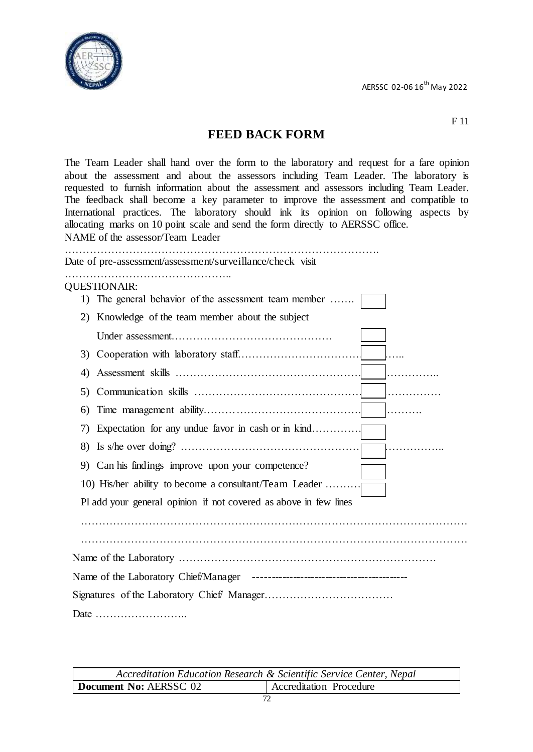

F 11



## **FEED BACK FORM**

The Team Leader shall hand over the form to the laboratory and request for a fare opinion about the assessment and about the assessors including Team Leader. The laboratory is requested to furnish information about the assessment and assessors including Team Leader. The feedback shall become a key parameter to improve the assessment and compatible to International practices. The laboratory should ink its opinion on following aspects by allocating marks on 10 point scale and send the form directly to AERSSC office. NAME of the assessor/Team Leader

| Date of pre-assessment/assessment/surveillance/check visit       |
|------------------------------------------------------------------|
| <b>QUESTIONAIR:</b>                                              |
| 1) The general behavior of the assessment team member            |
| Knowledge of the team member about the subject<br>2)             |
|                                                                  |
|                                                                  |
| 4)                                                               |
| 5)                                                               |
| 6)                                                               |
| Expectation for any undue favor in cash or in kind<br>7)         |
|                                                                  |
| 9) Can his findings improve upon your competence?                |
| 10) His/her ability to become a consultant/Team Leader           |
| Pl add your general opinion if not covered as above in few lines |
|                                                                  |
|                                                                  |
|                                                                  |
|                                                                  |
|                                                                  |
| Date                                                             |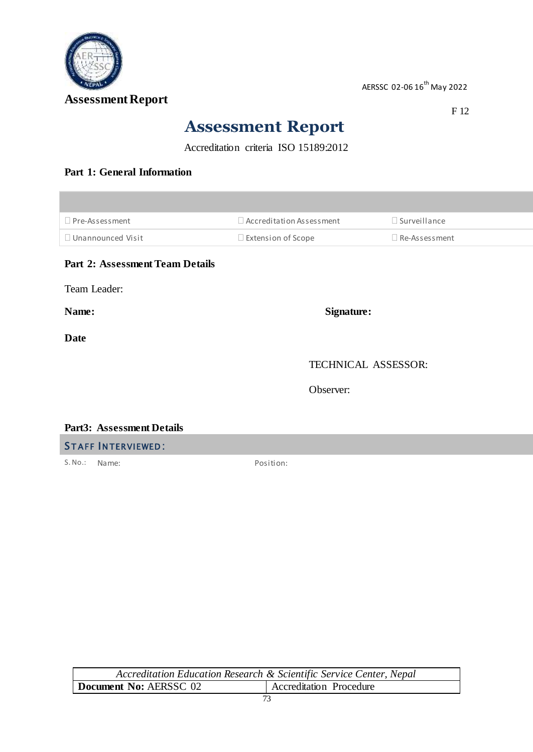

F 12

# **Assessment Report**

Accreditation criteria ISO 15189:2012

#### **Part 1: General Information**

| Pre-Assessment      | Accreditation Assessment  | $\Box$ Surveillance |
|---------------------|---------------------------|---------------------|
| □ Unannounced Visit | $\Box$ Extension of Scope | Re-Assessment       |
|                     |                           |                     |

#### **Part 2: Assessment Team Details**

Team Leader:

**Date** 

## Name: Signature:

TECHNICAL ASSESSOR:

Observer:

|               | <b>Part3: Assessment Details</b> |           |
|---------------|----------------------------------|-----------|
|               | <b>STAFF INTERVIEWED:</b>        |           |
| S. No.: Name: |                                  | Position: |

| Accreditation Education Research & Scientific Service Center, Nepal |  |  |
|---------------------------------------------------------------------|--|--|
| Accreditation Procedure<br><b>Document No: AERSSC 02</b>            |  |  |
| $\overline{\phantom{a}}$                                            |  |  |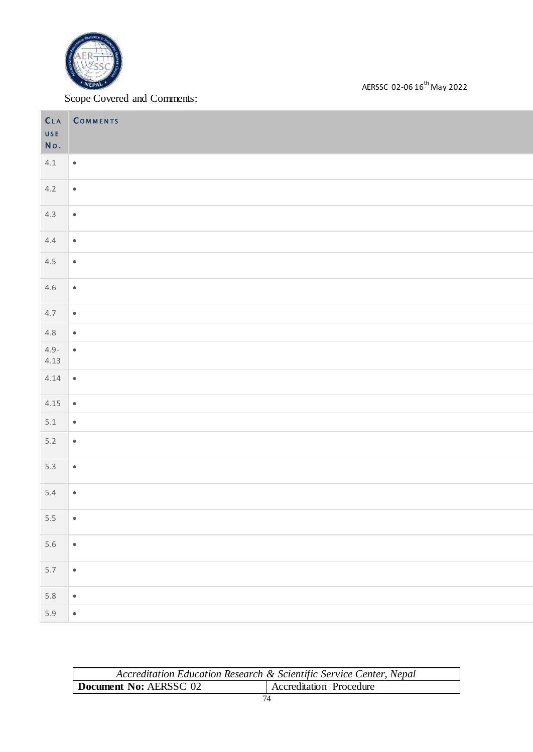

## Scope Covered and Comments:

## AERSSC 02-06 16<sup>th</sup> May 2022

| CLA<br><b>USE</b><br>No. | <b>COMMENTS</b> |
|--------------------------|-----------------|
| 4.1                      | $\bullet$       |
| 4.2                      | $\bullet$       |
| 4.3                      | $\bullet$       |
| 4.4                      | $\bullet$       |
| $4.5\,$                  | $\bullet$       |
| $4.6\,$                  | $\bullet$       |
| 4.7                      | $\bullet$       |
| 4.8                      | $\bullet$       |
| $4.9 -$<br>4.13          | $\bullet$       |
| 4.14                     | $\bullet$       |
| 4.15                     | $\bullet$       |
| $5.1\,$                  | $\bullet$       |
| $5.2\,$                  | $\bullet$       |
| 5.3                      | $\bullet$       |
| 5.4                      | $\bullet$       |
| $5.5\,$                  | $\bullet$       |
| $5.6\,$                  | $\bullet$       |
| $5.7\,$                  | $\bullet$       |
| $5.8\,$                  | $\bullet$       |
| 5.9                      | $\bullet$       |

| Accreditation Education Research & Scientific Service Center, Nepal |  |  |
|---------------------------------------------------------------------|--|--|
| <b>Document No: AERSSC 02</b><br><b>Accreditation Procedure</b>     |  |  |
|                                                                     |  |  |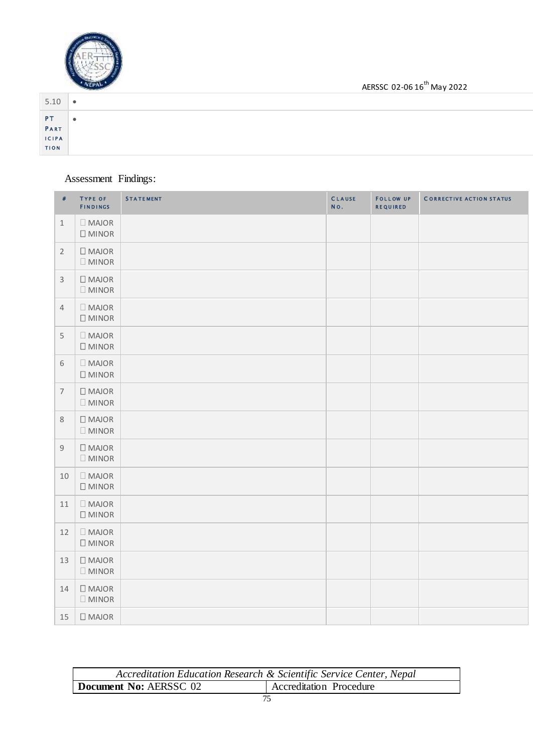

| the company of the company of the company |  |
|-------------------------------------------|--|
| $\bullet$                                 |  |
| ٠                                         |  |
|                                           |  |
|                                           |  |
|                                           |  |
|                                           |  |

### Assessment Findings:

| #                         | <b>TYPE OF</b><br><b>FINDINGS</b>  | <b>STATEMENT</b> | <b>CLAUSE</b><br>NO. | <b>FOLLOW UP</b><br><b>REQUIRED</b> | <b>CORRECTIVE ACTION STATUS</b> |
|---------------------------|------------------------------------|------------------|----------------------|-------------------------------------|---------------------------------|
| $\mathbf{1}$              | $\Box$ MAJOR<br>$\square$ MINOR    |                  |                      |                                     |                                 |
| $\overline{2}$            | $\square$ MAJOR<br>$\Box$ MINOR    |                  |                      |                                     |                                 |
| $\ensuremath{\mathsf{3}}$ | $\square$ MAJOR<br>$\square$ MINOR |                  |                      |                                     |                                 |
| $\overline{4}$            | $\Box$ MAJOR<br>$\square$ MINOR    |                  |                      |                                     |                                 |
| $\mathsf S$               | $\Box$ MAJOR<br>$\square$ MINOR    |                  |                      |                                     |                                 |
| 6                         | $\Box$ MAJOR<br>$\square$ MINOR    |                  |                      |                                     |                                 |
| $\overline{7}$            | $\square$ MAJOR<br>$\Box$ MINOR    |                  |                      |                                     |                                 |
| $\,8\,$                   | $\square$ MAJOR<br>$\square$ MINOR |                  |                      |                                     |                                 |
| $9\,$                     | $\Box$ MAJOR<br>$\square$ MINOR    |                  |                      |                                     |                                 |
| 10                        | $\Box$ MAJOR<br>$\square$ MINOR    |                  |                      |                                     |                                 |
| $11\,$                    | $\square$ MAJOR<br>$\square$ MINOR |                  |                      |                                     |                                 |
| $12$                      | $\square$ MAJOR<br>$\Box$ MINOR    |                  |                      |                                     |                                 |
| 13                        | $\Box$ MAJOR<br>$\Box$ MINOR       |                  |                      |                                     |                                 |
| 14                        | $\square$ MAJOR<br>$\Box$ MINOR    |                  |                      |                                     |                                 |
| 15                        | $\square$ MAJOR                    |                  |                      |                                     |                                 |

| Accreditation Education Research & Scientific Service Center, Nepal |  |  |
|---------------------------------------------------------------------|--|--|
| <b>Document No: AERSSC 02</b><br><b>Accreditation Procedure</b>     |  |  |
|                                                                     |  |  |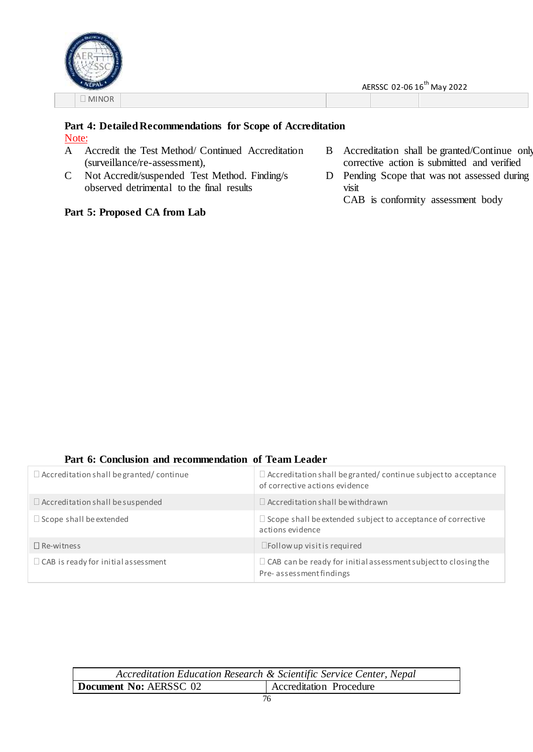

#### **Part 4: Detailed Recommendations for Scope of Accreditation** Note:

- A Accredit the Test Method/ Continued Accreditation (surveillance/re-assessment),
- C Not Accredit/suspended Test Method. Finding/s observed detrimental to the final results

#### **Part 5: Proposed CA from Lab**

- B Accreditation shall be granted/Continue only corrective action is submitted and verified
- D Pending Scope that was not assessed during visit

CAB is conformity assessment body

#### **Part 6: Conclusion and recommendation of Team Leader**

| $\Box$ Accreditation shall be granted/continue | $\Box$ Accreditation shall be granted/continue subject to acceptance<br>of corrective actions evidence |
|------------------------------------------------|--------------------------------------------------------------------------------------------------------|
| $\Box$ Accreditation shall be suspended        | $\Box$ Accreditation shall be withdrawn                                                                |
| $\Box$ Scope shall be extended                 | $\Box$ Scope shall be extended subject to acceptance of corrective<br>actions evidence                 |
| $\Box$ Re-witness                              | $\square$ Follow up visit is required                                                                  |
| $\Box$ CAB is ready for initial assessment     | $\Box$ CAB can be ready for initial assessment subject to closing the<br>Pre-assessment findings       |

| Accreditation Education Research & Scientific Service Center, Nepal |                         |  |
|---------------------------------------------------------------------|-------------------------|--|
| <b>Document No: AERSSC 02</b>                                       | Accreditation Procedure |  |
|                                                                     |                         |  |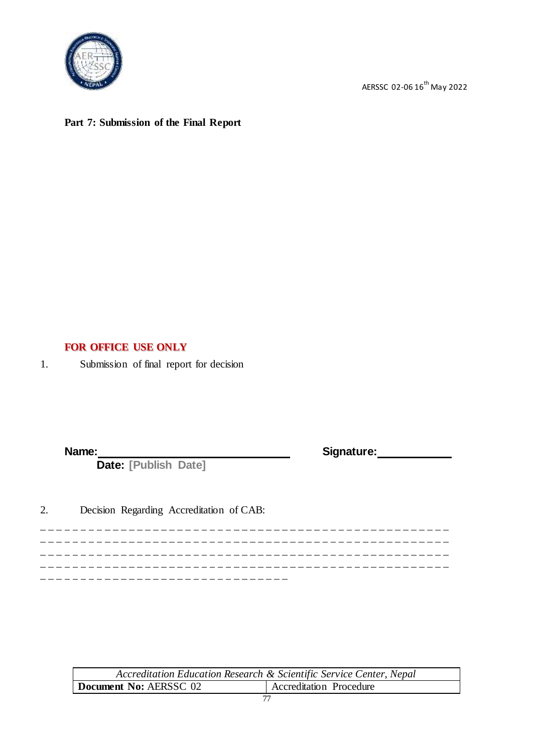

## **Part 7: Submission of the Final Report**

#### **FOR OFFICE USE ONLY**

1. Submission of final report for decision

**Date: [Publish Date]**

Name: Name: Name: Name: Name: Name: Name: Name: Name: Name: Name: Name: Name: Name: Name: Name: Name: Name: Name: Name: Name: Name: Name: Name: Name: Name: Name: Name: Name: Name: Name: Name: Name: Name: Name: Name: Name:

2. Decision Regarding Accreditation of CAB:------------------------------------------------

| Accreditation Education Research & Scientific Service Center, Nepal |  |  |
|---------------------------------------------------------------------|--|--|
| <b>Accreditation Procedure</b><br><b>Document No: AERSSC 02</b>     |  |  |
| --                                                                  |  |  |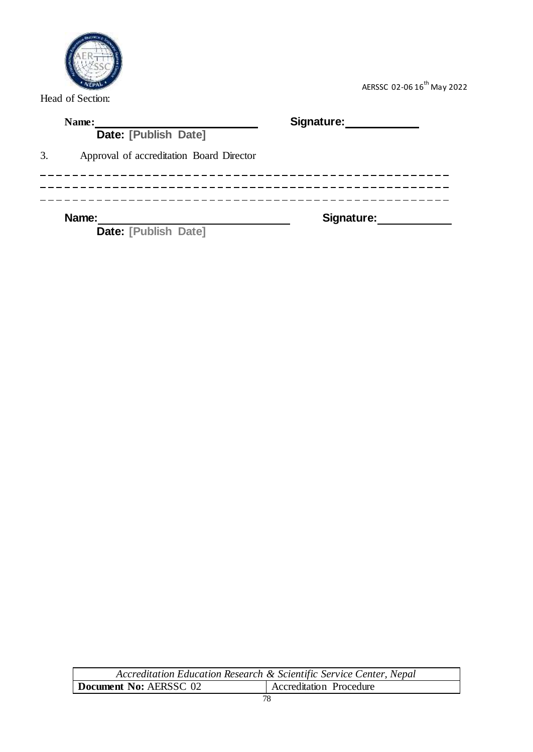

Head of Section:

AERSSC 02-06 16<sup>th</sup> May 2022

| Name:                                          | Signature: |  |  |
|------------------------------------------------|------------|--|--|
| Date: [Publish Date]                           |            |  |  |
| 3.<br>Approval of accreditation Board Director |            |  |  |
| Name:<br>_______________                       | Signature: |  |  |

**Date: [Publish Date]**

| Accreditation Education Research & Scientific Service Center, Nepal |                         |  |
|---------------------------------------------------------------------|-------------------------|--|
| <b>Document No: AERSSC 02</b>                                       | Accreditation Procedure |  |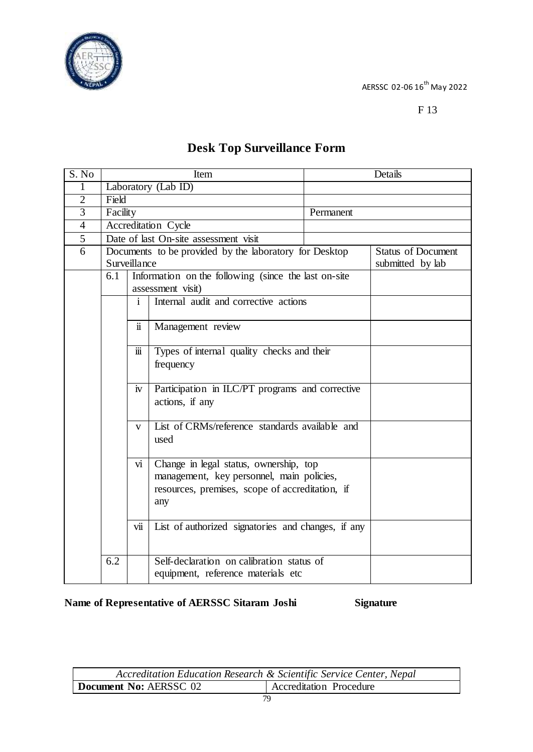

F 13

| S. No          | Item                                                                                |                 | Details                                            |           |  |
|----------------|-------------------------------------------------------------------------------------|-----------------|----------------------------------------------------|-----------|--|
| 1              | Laboratory (Lab ID)                                                                 |                 |                                                    |           |  |
| $\overline{2}$ | Field                                                                               |                 |                                                    |           |  |
| $\overline{3}$ | Facility                                                                            |                 |                                                    | Permanent |  |
| $\overline{4}$ | Accreditation Cycle                                                                 |                 |                                                    |           |  |
| $\overline{5}$ | Date of last On-site assessment visit                                               |                 |                                                    |           |  |
| 6              | Documents to be provided by the laboratory for Desktop<br><b>Status of Document</b> |                 |                                                    |           |  |
|                | Surveillance<br>submitted by lab                                                    |                 |                                                    |           |  |
|                | Information on the following (since the last on-site<br>6.1                         |                 |                                                    |           |  |
|                | assessment visit)                                                                   |                 |                                                    |           |  |
|                | Internal audit and corrective actions<br>$\mathbf{i}$                               |                 |                                                    |           |  |
|                | $\ddot{\mathbf{i}}$<br>Management review                                            |                 |                                                    |           |  |
|                |                                                                                     |                 |                                                    |           |  |
|                | $\overline{\text{iii}}$<br>Types of internal quality checks and their               |                 |                                                    |           |  |
|                | frequency                                                                           |                 |                                                    |           |  |
|                | Participation in ILC/PT programs and corrective<br>iv                               |                 |                                                    |           |  |
|                |                                                                                     | actions, if any |                                                    |           |  |
|                |                                                                                     |                 |                                                    |           |  |
|                | List of CRMs/reference standards available and<br>V                                 |                 |                                                    |           |  |
|                | used                                                                                |                 |                                                    |           |  |
|                |                                                                                     |                 |                                                    |           |  |
|                | Change in legal status, ownership, top<br>vi                                        |                 |                                                    |           |  |
|                | management, key personnel, main policies,                                           |                 |                                                    |           |  |
|                |                                                                                     |                 | resources, premises, scope of accreditation, if    |           |  |
|                |                                                                                     |                 | any                                                |           |  |
|                |                                                                                     | vii             | List of authorized signatories and changes, if any |           |  |
|                |                                                                                     |                 |                                                    |           |  |
|                |                                                                                     |                 |                                                    |           |  |
|                | 6.2                                                                                 |                 | Self-declaration on calibration status of          |           |  |
|                |                                                                                     |                 | equipment, reference materials etc                 |           |  |

## **Desk Top Surveillance Form**

**Name of Representative of AERSSC Sitaram Joshi Signature**

| Accreditation Education Research & Scientific Service Center, Nepal |                         |  |
|---------------------------------------------------------------------|-------------------------|--|
| <b>Document No: AERSSC 02</b>                                       | Accreditation Procedure |  |